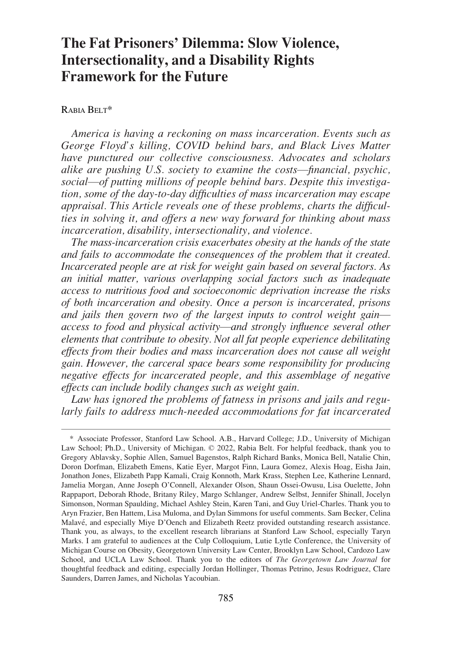# **The Fat Prisoners' Dilemma: Slow Violence, Intersectionality, and a Disability Rights Framework for the Future**

# RABIA BELT\*

*America is having a reckoning on mass incarceration. Events such as George Floyd's killing, COVID behind bars, and Black Lives Matter have punctured our collective consciousness. Advocates and scholars alike are pushing U.S. society to examine the costs*—*financial, psychic, social*—*of putting millions of people behind bars. Despite this investigation, some of the day-to-day difficulties of mass incarceration may escape appraisal. This Article reveals one of these problems, charts the difficulties in solving it, and offers a new way forward for thinking about mass incarceration, disability, intersectionality, and violence.* 

*The mass-incarceration crisis exacerbates obesity at the hands of the state and fails to accommodate the consequences of the problem that it created. Incarcerated people are at risk for weight gain based on several factors. As an initial matter, various overlapping social factors such as inadequate access to nutritious food and socioeconomic deprivation increase the risks of both incarceration and obesity. Once a person is incarcerated, prisons and jails then govern two of the largest inputs to control weight gain access to food and physical activity*—*and strongly influence several other elements that contribute to obesity. Not all fat people experience debilitating effects from their bodies and mass incarceration does not cause all weight gain. However, the carceral space bears some responsibility for producing negative effects for incarcerated people, and this assemblage of negative effects can include bodily changes such as weight gain.* 

*Law has ignored the problems of fatness in prisons and jails and regularly fails to address much-needed accommodations for fat incarcerated* 

<sup>\*</sup> Associate Professor, Stanford Law School. A.B., Harvard College; J.D., University of Michigan Law School; Ph.D., University of Michigan. © 2022, Rabia Belt. For helpful feedback, thank you to Gregory Ablavsky, Sophie Allen, Samuel Bagenstos, Ralph Richard Banks, Monica Bell, Natalie Chin, Doron Dorfman, Elizabeth Emens, Katie Eyer, Margot Finn, Laura Gomez, Alexis Hoag, Eisha Jain, Jonathon Jones, Elizabeth Papp Kamali, Craig Konnoth, Mark Krass, Stephen Lee, Katherine Lennard, Jamelia Morgan, Anne Joseph O'Connell, Alexander Olson, Shaun Ossei-Owusu, Lisa Ouelette, John Rappaport, Deborah Rhode, Britany Riley, Margo Schlanger, Andrew Selbst, Jennifer Shinall, Jocelyn Simonson, Norman Spaulding, Michael Ashley Stein, Karen Tani, and Guy Uriel-Charles. Thank you to Aryn Frazier, Ben Hattem, Lisa Muloma, and Dylan Simmons for useful comments. Sam Becker, Celina Malavé, and especially Miye D'Oench and Elizabeth Reetz provided outstanding research assistance. Thank you, as always, to the excellent research librarians at Stanford Law School, especially Taryn Marks. I am grateful to audiences at the Culp Colloquium, Lutie Lytle Conference, the University of Michigan Course on Obesity, Georgetown University Law Center, Brooklyn Law School, Cardozo Law School, and UCLA Law School. Thank you to the editors of *The Georgetown Law Journal* for thoughtful feedback and editing, especially Jordan Hollinger, Thomas Petrino, Jesus Rodriguez, Clare Saunders, Darren James, and Nicholas Yacoubian.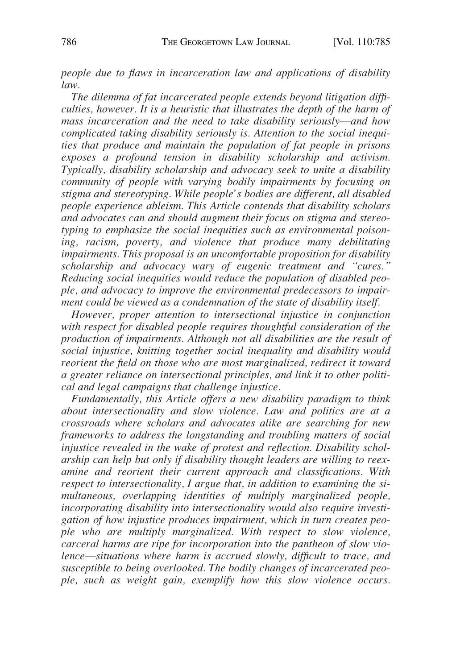*people due to flaws in incarceration law and applications of disability law.* 

*The dilemma of fat incarcerated people extends beyond litigation difficulties, however. It is a heuristic that illustrates the depth of the harm of mass incarceration and the need to take disability seriously*—*and how complicated taking disability seriously is. Attention to the social inequities that produce and maintain the population of fat people in prisons exposes a profound tension in disability scholarship and activism. Typically, disability scholarship and advocacy seek to unite a disability community of people with varying bodily impairments by focusing on stigma and stereotyping. While people's bodies are different, all disabled people experience ableism. This Article contends that disability scholars and advocates can and should augment their focus on stigma and stereotyping to emphasize the social inequities such as environmental poisoning, racism, poverty, and violence that produce many debilitating impairments. This proposal is an uncomfortable proposition for disability scholarship and advocacy wary of eugenic treatment and "cures." Reducing social inequities would reduce the population of disabled people, and advocacy to improve the environmental predecessors to impairment could be viewed as a condemnation of the state of disability itself.* 

*However, proper attention to intersectional injustice in conjunction with respect for disabled people requires thoughtful consideration of the production of impairments. Although not all disabilities are the result of social injustice, knitting together social inequality and disability would reorient the field on those who are most marginalized, redirect it toward a greater reliance on intersectional principles, and link it to other political and legal campaigns that challenge injustice.* 

*Fundamentally, this Article offers a new disability paradigm to think about intersectionality and slow violence. Law and politics are at a crossroads where scholars and advocates alike are searching for new frameworks to address the longstanding and troubling matters of social injustice revealed in the wake of protest and reflection. Disability scholarship can help but only if disability thought leaders are willing to reexamine and reorient their current approach and classifications. With respect to intersectionality, I argue that, in addition to examining the simultaneous, overlapping identities of multiply marginalized people, incorporating disability into intersectionality would also require investigation of how injustice produces impairment, which in turn creates people who are multiply marginalized. With respect to slow violence, carceral harms are ripe for incorporation into the pantheon of slow violence*—*situations where harm is accrued slowly, difficult to trace, and susceptible to being overlooked. The bodily changes of incarcerated people, such as weight gain, exemplify how this slow violence occurs.*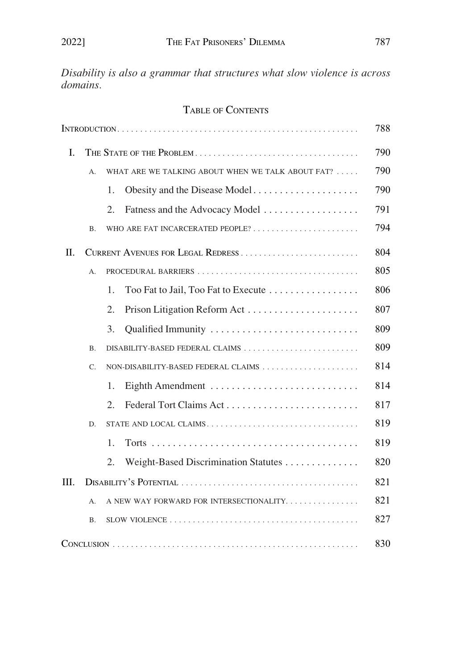*Disability is also a grammar that structures what slow violence is across domains.* 

# TABLE OF CONTENTS

|    |           |                                                   |                                          | 788 |
|----|-----------|---------------------------------------------------|------------------------------------------|-----|
| I. |           |                                                   |                                          | 790 |
|    | A.        | WHAT ARE WE TALKING ABOUT WHEN WE TALK ABOUT FAT? |                                          |     |
|    |           | 1.                                                | Obesity and the Disease Model            | 790 |
|    |           | 2.                                                | Fatness and the Advocacy Model           | 791 |
|    | <b>B.</b> |                                                   | WHO ARE FAT INCARCERATED PEOPLE?         | 794 |
| Π. |           |                                                   |                                          | 804 |
|    | A.        |                                                   |                                          |     |
|    |           | 1.                                                | Too Fat to Jail, Too Fat to Execute      | 806 |
|    |           | 2.                                                |                                          | 807 |
|    |           | 3.                                                |                                          | 809 |
|    | <b>B.</b> |                                                   | DISABILITY-BASED FEDERAL CLAIMS          | 809 |
|    | C.        | NON-DISABILITY-BASED FEDERAL CLAIMS               |                                          | 814 |
|    |           | 1.                                                |                                          | 814 |
|    |           | 2.                                                |                                          | 817 |
|    | D.        |                                                   | STATE AND LOCAL CLAIMS                   | 819 |
|    |           | 1.                                                |                                          | 819 |
|    |           | 2.                                                | Weight-Based Discrimination Statutes     | 820 |
| Ш. |           |                                                   |                                          | 821 |
|    | А.        |                                                   | A NEW WAY FORWARD FOR INTERSECTIONALITY. | 821 |
|    | Β.        |                                                   |                                          | 827 |
|    |           |                                                   |                                          | 830 |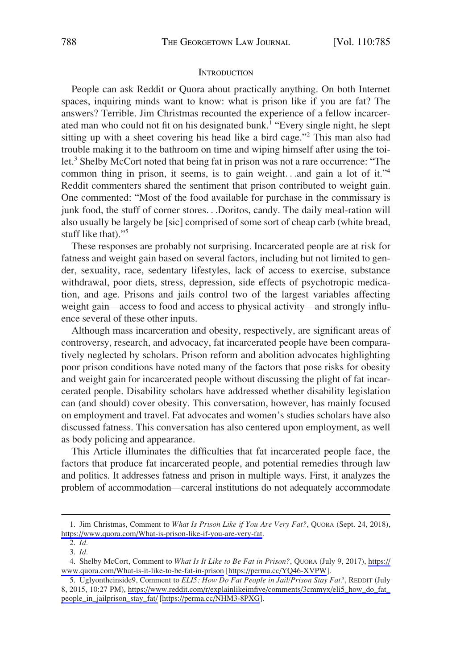#### **INTRODUCTION**

<span id="page-3-0"></span>People can ask Reddit or Quora about practically anything. On both Internet spaces, inquiring minds want to know: what is prison like if you are fat? The answers? Terrible. Jim Christmas recounted the experience of a fellow incarcerated man who could not fit on his designated bunk.<sup>1</sup> "Every single night, he slept sitting up with a sheet covering his head like a bird cage."<sup>2</sup> This man also had trouble making it to the bathroom on time and wiping himself after using the toilet.<sup>3</sup> Shelby McCort noted that being fat in prison was not a rare occurrence: "The common thing in prison, it seems, is to gain weight. . .and gain a lot of it."<sup>4</sup> Reddit commenters shared the sentiment that prison contributed to weight gain. One commented: "Most of the food available for purchase in the commissary is junk food, the stuff of corner stores. . .Doritos, candy. The daily meal-ration will also usually be largely be [sic] comprised of some sort of cheap carb (white bread, stuff like that)."<sup>5</sup>

These responses are probably not surprising. Incarcerated people are at risk for fatness and weight gain based on several factors, including but not limited to gender, sexuality, race, sedentary lifestyles, lack of access to exercise, substance withdrawal, poor diets, stress, depression, side effects of psychotropic medication, and age. Prisons and jails control two of the largest variables affecting weight gain—access to food and access to physical activity—and strongly influence several of these other inputs.

Although mass incarceration and obesity, respectively, are significant areas of controversy, research, and advocacy, fat incarcerated people have been comparatively neglected by scholars. Prison reform and abolition advocates highlighting poor prison conditions have noted many of the factors that pose risks for obesity and weight gain for incarcerated people without discussing the plight of fat incarcerated people. Disability scholars have addressed whether disability legislation can (and should) cover obesity. This conversation, however, has mainly focused on employment and travel. Fat advocates and women's studies scholars have also discussed fatness. This conversation has also centered upon employment, as well as body policing and appearance.

This Article illuminates the difficulties that fat incarcerated people face, the factors that produce fat incarcerated people, and potential remedies through law and politics. It addresses fatness and prison in multiple ways. First, it analyzes the problem of accommodation—carceral institutions do not adequately accommodate

<sup>1.</sup> Jim Christmas, Comment to What Is Prison Like if You Are Very Fat?, QUORA (Sept. 24, 2018), <https://www.quora.com/What-is-prison-like-if-you-are-very-fat>.

<sup>2.</sup> *Id.* 

<sup>3.</sup> *Id.* 

Shelby McCort, Comment to *What Is It Like to Be Fat in Prison?*, QUORA (July 9, 2017), [https://](https://www.quora.com/What-is-it-like-to-be-fat-in-prison)  4. [www.quora.com/What-is-it-like-to-be-fat-in-prison](https://www.quora.com/What-is-it-like-to-be-fat-in-prison) [<https://perma.cc/YQ46-XVPW>].

<sup>5.</sup> Uglyontheinside9, Comment to *ELI5: How Do Fat People in Jail/Prison Stay Fat?*, REDDIT (July 8, 2015, 10:27 PM), [https://www.reddit.com/r/explainlikeimfive/comments/3cmmyx/eli5\\_how\\_do\\_fat\\_](https://www.reddit.com/r/explainlikeimfive/comments/3cmmyx/eli5_how_do_fat_people_in_jailprison_stay_fat/)  [people\\_in\\_jailprison\\_stay\\_fat/](https://www.reddit.com/r/explainlikeimfive/comments/3cmmyx/eli5_how_do_fat_people_in_jailprison_stay_fat/) [\[https://perma.cc/NHM3-8PXG\]](https://perma.cc/NHM3-8PXG).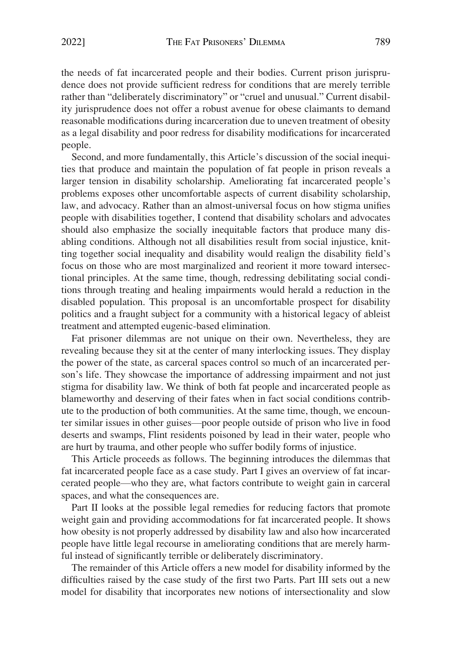the needs of fat incarcerated people and their bodies. Current prison jurisprudence does not provide sufficient redress for conditions that are merely terrible rather than "deliberately discriminatory" or "cruel and unusual." Current disability jurisprudence does not offer a robust avenue for obese claimants to demand reasonable modifications during incarceration due to uneven treatment of obesity as a legal disability and poor redress for disability modifications for incarcerated people.

Second, and more fundamentally, this Article's discussion of the social inequities that produce and maintain the population of fat people in prison reveals a larger tension in disability scholarship. Ameliorating fat incarcerated people's problems exposes other uncomfortable aspects of current disability scholarship, law, and advocacy. Rather than an almost-universal focus on how stigma unifies people with disabilities together, I contend that disability scholars and advocates should also emphasize the socially inequitable factors that produce many disabling conditions. Although not all disabilities result from social injustice, knitting together social inequality and disability would realign the disability field's focus on those who are most marginalized and reorient it more toward intersectional principles. At the same time, though, redressing debilitating social conditions through treating and healing impairments would herald a reduction in the disabled population. This proposal is an uncomfortable prospect for disability politics and a fraught subject for a community with a historical legacy of ableist treatment and attempted eugenic-based elimination.

Fat prisoner dilemmas are not unique on their own. Nevertheless, they are revealing because they sit at the center of many interlocking issues. They display the power of the state, as carceral spaces control so much of an incarcerated person's life. They showcase the importance of addressing impairment and not just stigma for disability law. We think of both fat people and incarcerated people as blameworthy and deserving of their fates when in fact social conditions contribute to the production of both communities. At the same time, though, we encounter similar issues in other guises—poor people outside of prison who live in food deserts and swamps, Flint residents poisoned by lead in their water, people who are hurt by trauma, and other people who suffer bodily forms of injustice.

This Article proceeds as follows. The beginning introduces the dilemmas that fat incarcerated people face as a case study. Part I gives an overview of fat incarcerated people—who they are, what factors contribute to weight gain in carceral spaces, and what the consequences are.

Part II looks at the possible legal remedies for reducing factors that promote weight gain and providing accommodations for fat incarcerated people. It shows how obesity is not properly addressed by disability law and also how incarcerated people have little legal recourse in ameliorating conditions that are merely harmful instead of significantly terrible or deliberately discriminatory.

The remainder of this Article offers a new model for disability informed by the difficulties raised by the case study of the first two Parts. Part III sets out a new model for disability that incorporates new notions of intersectionality and slow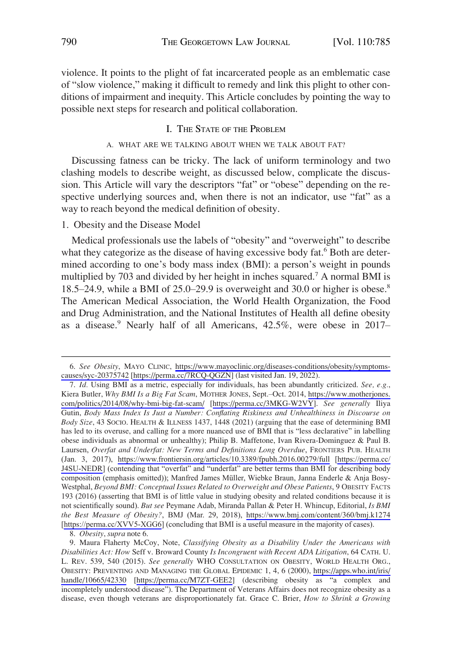<span id="page-5-0"></span>violence. It points to the plight of fat incarcerated people as an emblematic case of "slow violence," making it difficult to remedy and link this plight to other conditions of impairment and inequity. This Article concludes by pointing the way to possible next steps for research and political collaboration.

# I. THE STATE OF THE PROBLEM

# A. WHAT ARE WE TALKING ABOUT WHEN WE TALK ABOUT FAT?

Discussing fatness can be tricky. The lack of uniform terminology and two clashing models to describe weight, as discussed below, complicate the discussion. This Article will vary the descriptors "fat" or "obese" depending on the respective underlying sources and, when there is not an indicator, use "fat" as a way to reach beyond the medical definition of obesity.

# 1. Obesity and the Disease Model

Medical professionals use the labels of "obesity" and "overweight" to describe what they categorize as the disease of having excessive body fat.<sup>6</sup> Both are determined according to one's body mass index (BMI): a person's weight in pounds multiplied by 703 and divided by her height in inches squared.<sup>7</sup> A normal BMI is 18.5–24.9, while a BMI of 25.0–29.9 is overweight and 30.0 or higher is obese.<sup>8</sup> The American Medical Association, the World Health Organization, the Food and Drug Administration, and the National Institutes of Health all define obesity as a disease.<sup>9</sup> Nearly half of all Americans, 42.5%, were obese in 2017-

*See Obesity*, MAYO CLINIC, [https://www.mayoclinic.org/diseases-conditions/obesity/symptoms-](https://www.mayoclinic.org/diseases-conditions/obesity/symptoms-causes/syc-20375742)6. [causes/syc-20375742](https://www.mayoclinic.org/diseases-conditions/obesity/symptoms-causes/syc-20375742) [\[https://perma.cc/7RCQ-QGZN](https://perma.cc/7RCQ-QGZN)] (last visited Jan. 19, 2022).

*Id.* Using BMI as a metric, especially for individuals, has been abundantly criticized. *See, e.g.*, 7. Kiera Butler, *Why BMI Is a Big Fat Scam*, MOTHER JONES, Sept.–Oct. 2014, [https://www.motherjones.](https://www.motherjones.com/politics/2014/08/why-bmi-big-fat-scam/)  [com/politics/2014/08/why-bmi-big-fat-scam/](https://www.motherjones.com/politics/2014/08/why-bmi-big-fat-scam/) [<https://perma.cc/3MKG-W2VY>]. *See generally* Iliya Gutin, *Body Mass Index Is Just a Number: Conflating Riskiness and Unhealthiness in Discourse on Body Size*, 43 SOCIO. HEALTH & ILLNESS 1437, 1448 (2021) (arguing that the ease of determining BMI has led to its overuse, and calling for a more nuanced use of BMI that is "less declarative" in labelling obese individuals as abnormal or unhealthy); Philip B. Maffetone, Ivan Rivera-Dominguez & Paul B. Laursen, *Overfat and Underfat: New Terms and Definitions Long Overdue*, FRONTIERS PUB. HEALTH (Jan. 3, 2017), <https://www.frontiersin.org/articles/10.3389/fpubh.2016.00279/full>[\[https://perma.cc/](https://perma.cc/J4SU-NEDR) [J4SU-NEDR](https://perma.cc/J4SU-NEDR)] (contending that "overfat" and "underfat" are better terms than BMI for describing body composition (emphasis omitted)); Manfred James Müller, Wiebke Braun, Janna Enderle & Anja Bosy-Westphal, *Beyond BMI: Conceptual Issues Related to Overweight and Obese Patients*, 9 OBESITY FACTS 193 (2016) (asserting that BMI is of little value in studying obesity and related conditions because it is not scientifically sound). *But see* Peymane Adab, Miranda Pallan & Peter H. Whincup, Editorial, *Is BMI the Best Measure of Obesity?*, BMJ (Mar. 29, 2018), <https://www.bmj.com/content/360/bmj.k1274> [[https://perma.cc/XVV5-XGG6\]](https://perma.cc/XVV5-XGG6) (concluding that BMI is a useful measure in the majority of cases).

<sup>8.</sup> *Obesity*, *supra* note 6.

<sup>9.</sup> Maura Flaherty McCoy, Note, *Classifying Obesity as a Disability Under the Americans with Disabilities Act: How* Seff v. Broward County *Is Incongruent with Recent ADA Litigation*, 64 CATH. U. L. REV. 539, 540 (2015). *See generally* WHO CONSULTATION ON OBESITY, WORLD HEALTH ORG., OBESITY: PREVENTING AND MANAGING THE GLOBAL EPIDEMIC 1, 4, 6 (2000), [https://apps.who.int/iris/](https://apps.who.int/iris/handle/10665/42330)  [handle/10665/42330](https://apps.who.int/iris/handle/10665/42330) [[https://perma.cc/M7ZT-GEE2\]](https://perma.cc/M7ZT-GEE2) (describing obesity as "a complex and incompletely understood disease"). The Department of Veterans Affairs does not recognize obesity as a disease, even though veterans are disproportionately fat. Grace C. Brier, *How to Shrink a Growing*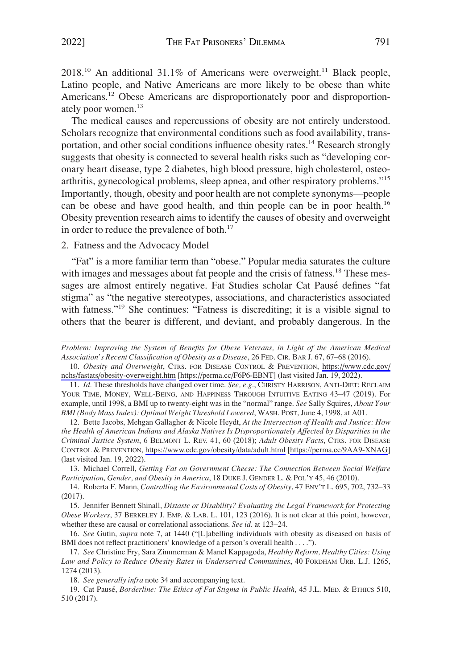<span id="page-6-0"></span>2018.<sup>10</sup> An additional 31.1% of Americans were overweight.<sup>11</sup> Black people, Latino people, and Native Americans are more likely to be obese than white Americans.<sup>12</sup> Obese Americans are disproportionately poor and disproportionately poor women.<sup>13</sup>

The medical causes and repercussions of obesity are not entirely understood. Scholars recognize that environmental conditions such as food availability, transportation, and other social conditions influence obesity rates.<sup>14</sup> Research strongly suggests that obesity is connected to several health risks such as "developing coronary heart disease, type 2 diabetes, high blood pressure, high cholesterol, osteoarthritis, gynecological problems, sleep apnea, and other respiratory problems."<sup>15</sup> Importantly, though, obesity and poor health are not complete synonyms—people can be obese and have good health, and thin people can be in poor health.16 Obesity prevention research aims to identify the causes of obesity and overweight in order to reduce the prevalence of both.<sup>17</sup>

2. Fatness and the Advocacy Model

"Fat" is a more familiar term than "obese." Popular media saturates the culture with images and messages about fat people and the crisis of fatness.<sup>18</sup> These messages are almost entirely negative. Fat Studies scholar Cat Pausé defines "fat stigma" as "the negative stereotypes, associations, and characteristics associated with fatness."<sup>19</sup> She continues: "Fatness is discrediting; it is a visible signal to others that the bearer is different, and deviant, and probably dangerous. In the

13. Michael Correll, *Getting Fat on Government Cheese: The Connection Between Social Welfare Participation, Gender, and Obesity in America*, 18 DUKE J. GENDER L. & POL'Y 45, 46 (2010).

14. Roberta F. Mann, *Controlling the Environmental Costs of Obesity*, 47 ENV'T L. 695, 702, 732–33 (2017).

15. Jennifer Bennett Shinall, *Distaste or Disability? Evaluating the Legal Framework for Protecting Obese Workers*, 37 BERKELEY J. EMP. & LAB. L. 101, 123 (2016). It is not clear at this point, however, whether these are causal or correlational associations. *See id.* at 123–24.

16. *See* Gutin, *supra* note 7, at 1440 ("[L]abelling individuals with obesity as diseased on basis of BMI does not reflect practitioners' knowledge of a person's overall health . . . .").

17. *See* Christine Fry, Sara Zimmerman & Manel Kappagoda, *Healthy Reform, Healthy Cities: Using Law and Policy to Reduce Obesity Rates in Underserved Communities*, 40 FORDHAM URB. L.J. 1265, 1274 (2013).

18. *See generally infra* note 34 and accompanying text.

19. Cat Pausé, *Borderline: The Ethics of Fat Stigma in Public Health*, 45 J.L. MED. & ETHICS 510, 510 (2017).

*Problem: Improving the System of Benefits for Obese Veterans, in Light of the American Medical Association's Recent Classification of Obesity as a Disease*, 26 FED. CIR. BAR J. 67, 67–68 (2016).

*Obesity and Overweight*, CTRS. FOR DISEASE CONTROL & PREVENTION, [https://www.cdc.gov/](https://www.cdc.gov/nchs/fastats/obesity-overweight.htm)  10. [nchs/fastats/obesity-overweight.htm](https://www.cdc.gov/nchs/fastats/obesity-overweight.htm) [\[https://perma.cc/F6P6-EBNT](https://perma.cc/F6P6-EBNT)] (last visited Jan. 19, 2022).

<sup>11.</sup> *Id.* These thresholds have changed over time. *See, e.g.*, CHRISTY HARRISON, ANTI-DIET: RECLAIM YOUR TIME, MONEY, WELL-BEING, AND HAPPINESS THROUGH INTUITIVE EATING 43-47 (2019). For example, until 1998, a BMI up to twenty-eight was in the "normal" range. *See* Sally Squires, *About Your BMI (Body Mass Index): Optimal Weight Threshold Lowered*, WASH. POST, June 4, 1998, at A01.

<sup>12.</sup> Bette Jacobs, Mehgan Gallagher & Nicole Heydt, At the Intersection of Health and Justice: How *the Health of American Indians and Alaska Natives Is Disproportionately Affected by Disparities in the Criminal Justice System*, 6 BELMONT L. REV. 41, 60 (2018); *Adult Obesity Facts*, CTRS. FOR DISEASE CONTROL & PREVENTION,<https://www.cdc.gov/obesity/data/adult.html> [\[https://perma.cc/9AA9-XNAG](https://perma.cc/9AA9-XNAG)] (last visited Jan. 19, 2022).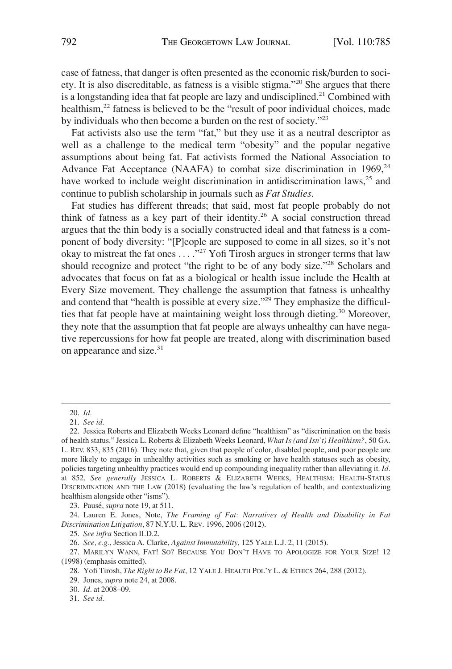case of fatness, that danger is often presented as the economic risk/burden to society. It is also discreditable, as fatness is a visible stigma."20 She argues that there is a longstanding idea that fat people are lazy and undisciplined.<sup>21</sup> Combined with healthism,<sup>22</sup> fatness is believed to be the "result of poor individual choices, made by individuals who then become a burden on the rest of society."<sup>23</sup>

Fat activists also use the term "fat," but they use it as a neutral descriptor as well as a challenge to the medical term "obesity" and the popular negative assumptions about being fat. Fat activists formed the National Association to Advance Fat Acceptance (NAAFA) to combat size discrimination in  $1969<sub>z</sub><sup>24</sup>$ have worked to include weight discrimination in antidiscrimination laws,<sup>25</sup> and continue to publish scholarship in journals such as *Fat Studies*.

Fat studies has different threads; that said, most fat people probably do not think of fatness as a key part of their identity.<sup>26</sup> A social construction thread argues that the thin body is a socially constructed ideal and that fatness is a component of body diversity: "[P]eople are supposed to come in all sizes, so it's not okay to mistreat the fat ones . . . . "<sup>27</sup> Yofi Tirosh argues in stronger terms that law should recognize and protect "the right to be of any body size."28 Scholars and advocates that focus on fat as a biological or health issue include the Health at Every Size movement. They challenge the assumption that fatness is unhealthy and contend that "health is possible at every size."<sup>29</sup> They emphasize the difficulties that fat people have at maintaining weight loss through dieting.<sup>30</sup> Moreover, they note that the assumption that fat people are always unhealthy can have negative repercussions for how fat people are treated, along with discrimination based on appearance and size.<sup>31</sup>

23. Pause´, *supra* note 19, at 511.

24. Lauren E. Jones, Note, *The Framing of Fat: Narratives of Health and Disability in Fat Discrimination Litigation*, 87 N.Y.U. L. REV. 1996, 2006 (2012).

25. *See infra* Section II.D.2.

26. *See, e.g.*, Jessica A. Clarke, *Against Immutability*, 125 YALE L.J. 2, 11 (2015).

30. *Id.* at 2008–09.

31. *See id.* 

<sup>20.</sup> *Id.* 

<sup>21.</sup> *See id.* 

<sup>22.</sup> Jessica Roberts and Elizabeth Weeks Leonard define "healthism" as "discrimination on the basis of health status." Jessica L. Roberts & Elizabeth Weeks Leonard, *What Is (and Isn't) Healthism?*, 50 GA. L. REV. 833, 835 (2016). They note that, given that people of color, disabled people, and poor people are more likely to engage in unhealthy activities such as smoking or have health statuses such as obesity, policies targeting unhealthy practices would end up compounding inequality rather than alleviating it. *Id.*  at 852. *See generally* JESSICA L. ROBERTS & ELIZABETH WEEKS, HEALTHISM: HEALTH-STATUS DISCRIMINATION AND THE LAW (2018) (evaluating the law's regulation of health, and contextualizing healthism alongside other "isms").

<sup>27.</sup> MARILYN WANN, FAT! SO? BECAUSE YOU DON'T HAVE TO APOLOGIZE FOR YOUR SIZE! 12 (1998) (emphasis omitted).

<sup>28.</sup> Yofi Tirosh, *The Right to Be Fat*, 12 YALE J. HEALTH POL'Y L. & ETHICS 264, 288 (2012).

<sup>29.</sup> Jones, *supra* note 24, at 2008.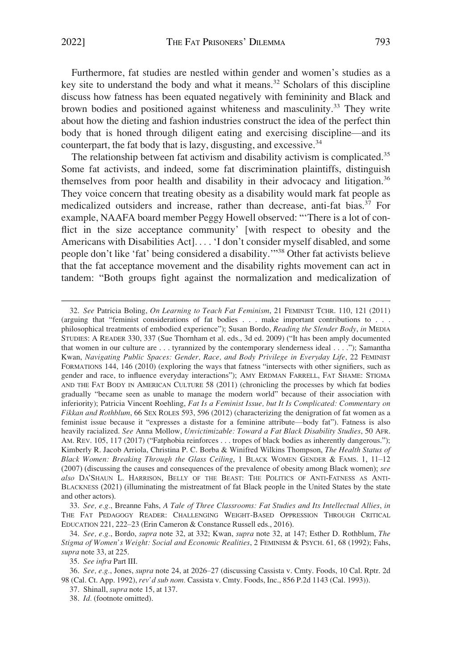Furthermore, fat studies are nestled within gender and women's studies as a key site to understand the body and what it means.<sup>32</sup> Scholars of this discipline discuss how fatness has been equated negatively with femininity and Black and brown bodies and positioned against whiteness and masculinity.<sup>33</sup> They write about how the dieting and fashion industries construct the idea of the perfect thin body that is honed through diligent eating and exercising discipline—and its counterpart, the fat body that is lazy, disgusting, and excessive.<sup>34</sup>

The relationship between fat activism and disability activism is complicated.<sup>35</sup> Some fat activists, and indeed, some fat discrimination plaintiffs, distinguish themselves from poor health and disability in their advocacy and litigation.<sup>36</sup> They voice concern that treating obesity as a disability would mark fat people as medicalized outsiders and increase, rather than decrease, anti-fat bias.<sup>37</sup> For example, NAAFA board member Peggy Howell observed: "'There is a lot of conflict in the size acceptance community' [with respect to obesity and the Americans with Disabilities Act]. . . . 'I don't consider myself disabled, and some people don't like 'fat' being considered a disability.'"38 Other fat activists believe that the fat acceptance movement and the disability rights movement can act in tandem: "Both groups fight against the normalization and medicalization of

33. *See, e.g.*, Breanne Fahs, *A Tale of Three Classrooms: Fat Studies and Its Intellectual Allies*, *in*  THE FAT PEDAGOGY READER: CHALLENGING WEIGHT-BASED OPPRESSION THROUGH CRITICAL EDUCATION 221, 222–23 (Erin Cameron & Constance Russell eds., 2016).

35. *See infra* Part III.

<sup>32.</sup> *See* Patricia Boling, *On Learning to Teach Fat Feminism*, 21 FEMINIST TCHR. 110, 121 (2011) (arguing that "feminist considerations of fat bodies . . . make important contributions to . . . philosophical treatments of embodied experience"); Susan Bordo, *Reading the Slender Body*, *in* MEDIA STUDIES: A READER 330, 337 (Sue Thornham et al. eds., 3d ed. 2009) ("It has been amply documented that women in our culture are . . . tyrannized by the contemporary slenderness ideal . . . ."); Samantha Kwan, *Navigating Public Spaces: Gender, Race, and Body Privilege in Everyday Life*, 22 FEMINIST FORMATIONS 144, 146 (2010) (exploring the ways that fatness "intersects with other signifiers, such as gender and race, to influence everyday interactions"); AMY ERDMAN FARRELL, FAT SHAME: STIGMA AND THE FAT BODY IN AMERICAN CULTURE 58 (2011) (chronicling the processes by which fat bodies gradually "became seen as unable to manage the modern world" because of their association with inferiority); Patricia Vincent Roehling, *Fat Is a Feminist Issue, but It Is Complicated: Commentary on Fikkan and Rothblum*, 66 SEX ROLES 593, 596 (2012) (characterizing the denigration of fat women as a feminist issue because it "expresses a distaste for a feminine attribute—body fat"). Fatness is also heavily racialized. *See* Anna Mollow, *Unvictimizable: Toward a Fat Black Disability Studies*, 50 AFR. AM. REV. 105, 117 (2017) ("Fatphobia reinforces . . . tropes of black bodies as inherently dangerous."); Kimberly R. Jacob Arriola, Christina P. C. Borba & Winifred Wilkins Thompson, *The Health Status of Black Women: Breaking Through the Glass Ceiling*, 1 BLACK WOMEN GENDER & FAMS. 1, 11–12 (2007) (discussing the causes and consequences of the prevalence of obesity among Black women); *see also* DA'SHAUN L. HARRISON, BELLY OF THE BEAST: THE POLITICS OF ANTI-FATNESS AS ANTI-BLACKNESS (2021) (illuminating the mistreatment of fat Black people in the United States by the state and other actors).

<sup>34.</sup> *See, e.g.*, Bordo, *supra* note 32, at 332; Kwan, *supra* note 32, at 147; Esther D. Rothblum, *The Stigma of Women's Weight: Social and Economic Realities*, 2 FEMINISM & PSYCH. 61, 68 (1992); Fahs, *supra* note 33, at 225.

<sup>36.</sup> *See, e.g.*, Jones, *supra* note 24, at 2026–27 (discussing Cassista v. Cmty. Foods, 10 Cal. Rptr. 2d 98 (Cal. Ct. App. 1992), *rev'd sub nom.* Cassista v. Cmty. Foods, Inc., 856 P.2d 1143 (Cal. 1993)).

<sup>37.</sup> Shinall, *supra* note 15, at 137.

<sup>38.</sup> *Id.* (footnote omitted).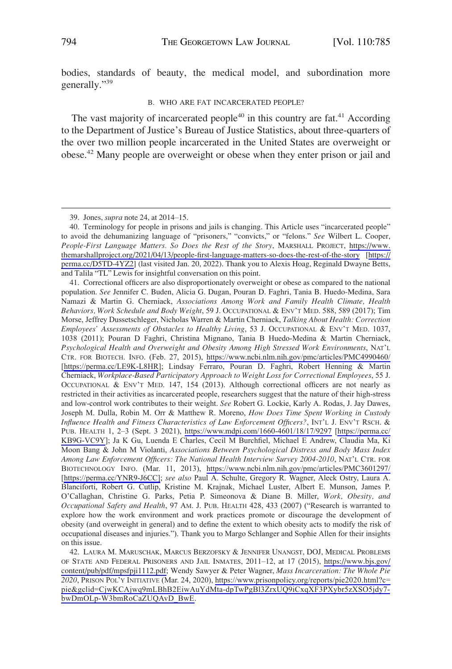<span id="page-9-0"></span>bodies, standards of beauty, the medical model, and subordination more generally."<sup>39</sup>

#### B. WHO ARE FAT INCARCERATED PEOPLE?

The vast majority of incarcerated people $40$  in this country are fat. $41$  According to the Department of Justice's Bureau of Justice Statistics, about three-quarters of the over two million people incarcerated in the United States are overweight or obese.42 Many people are overweight or obese when they enter prison or jail and

Correctional officers are also disproportionately overweight or obese as compared to the national 41. population. *See* Jennifer C. Buden, Alicia G. Dugan, Pouran D. Faghri, Tania B. Huedo-Medina, Sara Namazi & Martin G. Cherniack, *Associations Among Work and Family Health Climate, Health Behaviors, Work Schedule and Body Weight*, 59 J. OCCUPATIONAL & ENV'T MED. 588, 589 (2017); Tim Morse, Jeffrey Dussetschleger, Nicholas Warren & Martin Cherniack, *Talking About Health: Correction Employees' Assessments of Obstacles to Healthy Living*, 53 J. OCCUPATIONAL & ENV'T MED. 1037, 1038 (2011); Pouran D Faghri, Christina Mignano, Tania B Huedo-Medina & Martin Cherniack, *Psychological Health and Overweight and Obesity Among High Stressed Work Environments*, NAT'L CTR. FOR BIOTECH. INFO. (Feb. 27, 2015), <https://www.ncbi.nlm.nih.gov/pmc/articles/PMC4990460/> [[https://perma.cc/LE9K-L8HR\]](https://perma.cc/LE9K-L8HR); Lindsay Ferraro, Pouran D. Faghri, Robert Henning & Martin Cherniack, *Workplace-Based Participatory Approach to Weight Loss for Correctional Employees*, 55 J. OCCUPATIONAL & ENV'T MED. 147, 154 (2013). Although correctional officers are not nearly as restricted in their activities as incarcerated people, researchers suggest that the nature of their high-stress and low-control work contributes to their weight. *See* Robert G. Lockie, Karly A. Rodas, J. Jay Dawes, Joseph M. Dulla, Robin M. Orr & Matthew R. Moreno, *How Does Time Spent Working in Custody Influence Health and Fitness Characteristics of Law Enforcement Officers?*, INT'L J. ENV'T RSCH. & PUB. HEALTH 1, 2–3 (Sept. 3 2021), <https://www.mdpi.com/1660-4601/18/17/9297>[\[https://perma.cc/](https://perma.cc/KB9G-VC9Y) [KB9G-VC9Y](https://perma.cc/KB9G-VC9Y)]; Ja K Gu, Luenda E Charles, Cecil M Burchfiel, Michael E Andrew, Claudia Ma, Ki Moon Bang & John M Violanti, *Associations Between Psychological Distress and Body Mass Index Among Law Enforcement Officers: The National Health Interview Survey 2004-2010*, NAT'L CTR. FOR BIOTECHNOLOGY INFO. (Mar. 11, 2013), <https://www.ncbi.nlm.nih.gov/pmc/articles/PMC3601297/> [[https://perma.cc/YNR9-J6CC\]](https://perma.cc/YNR9-J6CC];); *see also* Paul A. Schulte, Gregory R. Wagner, Aleck Ostry, Laura A. Blanciforti, Robert G. Cutlip, Kristine M. Krajnak, Michael Luster, Albert E. Munson, James P. O'Callaghan, Christine G. Parks, Petia P. Simeonova & Diane B. Miller, *Work, Obesity, and Occupational Safety and Health*, 97 AM. J. PUB. HEALTH 428, 433 (2007) ("Research is warranted to explore how the work environment and work practices promote or discourage the development of obesity (and overweight in general) and to define the extent to which obesity acts to modify the risk of occupational diseases and injuries."). Thank you to Margo Schlanger and Sophie Allen for their insights on this issue.

42. LAURA M. MARUSCHAK, MARCUS BERZOFSKY & JENNIFER UNANGST, DOJ, MEDICAL PROBLEMS OF STATE AND FEDERAL PRISONERS AND JAIL INMATES, 2011–12, at 17 (2015), [https://www.bjs.gov/](https://www.bjs.gov/content/pub/pdf/mpsfpji1112.pdf)  [content/pub/pdf/mpsfpji1112.pdf;](https://www.bjs.gov/content/pub/pdf/mpsfpji1112.pdf) Wendy Sawyer & Peter Wagner, *Mass Incarceration: The Whole Pie 2020*, PRISON POL'Y INITIATIVE (Mar. 24, 2020), [https://www.prisonpolicy.org/reports/pie2020.html?c=](https://www.prisonpolicy.org/reports/pie2020.html?c=pie&gclid=CjwKCAjwq9mLBhB2EiwAuYdMta-dpTwPgBl3ZrxUQ9iCxqXF3PXybr5zXSO5jdy7-bwDmOLp-W3bmRoCaZUQAvD_BwE) [pie&gclid=CjwKCAjwq9mLBhB2EiwAuYdMta-dpTwPgBl3ZrxUQ9iCxqXF3PXybr5zXSO5jdy7](https://www.prisonpolicy.org/reports/pie2020.html?c=pie&gclid=CjwKCAjwq9mLBhB2EiwAuYdMta-dpTwPgBl3ZrxUQ9iCxqXF3PXybr5zXSO5jdy7-bwDmOLp-W3bmRoCaZUQAvD_BwE)  [bwDmOLp-W3bmRoCaZUQAvD\\_BwE](https://www.prisonpolicy.org/reports/pie2020.html?c=pie&gclid=CjwKCAjwq9mLBhB2EiwAuYdMta-dpTwPgBl3ZrxUQ9iCxqXF3PXybr5zXSO5jdy7-bwDmOLp-W3bmRoCaZUQAvD_BwE).

<sup>39.</sup> Jones, *supra* note 24, at 2014–15.

Terminology for people in prisons and jails is changing. This Article uses "incarcerated people" 40. to avoid the dehumanizing language of "prisoners," "convicts," or "felons." *See* Wilbert L. Cooper, *People-First Language Matters. So Does the Rest of the Story*, MARSHALL PROJECT, [https://www.](https://www.themarshallproject.org/2021/04/13/people-first-language-matters-so-does-the-rest-of-the-story)  [themarshallproject.org/2021/04/13/people-first-language-matters-so-does-the-rest-of-the-story](https://www.themarshallproject.org/2021/04/13/people-first-language-matters-so-does-the-rest-of-the-story) [\[https://](https://perma.cc/D5TD-4YZ2)  [perma.cc/D5TD-4YZ2\]](https://perma.cc/D5TD-4YZ2) (last visited Jan. 20, 2022). Thank you to Alexis Hoag, Reginald Dwayne Betts, and Talila "TL" Lewis for insightful conversation on this point.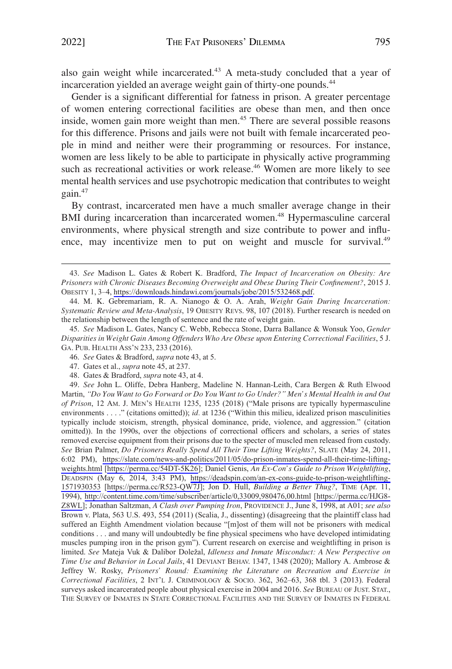also gain weight while incarcerated.<sup>43</sup> A meta-study concluded that a year of incarceration yielded an average weight gain of thirty-one pounds.<sup>44</sup>

Gender is a significant differential for fatness in prison. A greater percentage of women entering correctional facilities are obese than men, and then once inside, women gain more weight than men.45 There are several possible reasons for this difference. Prisons and jails were not built with female incarcerated people in mind and neither were their programming or resources. For instance, women are less likely to be able to participate in physically active programming such as recreational activities or work release.<sup>46</sup> Women are more likely to see mental health services and use psychotropic medication that contributes to weight gain.47

By contrast, incarcerated men have a much smaller average change in their BMI during incarceration than incarcerated women.<sup>48</sup> Hypermasculine carceral environments, where physical strength and size contribute to power and influence, may incentivize men to put on weight and muscle for survival.<sup>49</sup>

- 46. *See* Gates & Bradford, *supra* note 43, at 5.
- 47. Gates et al., *supra* note 45, at 237.
- 48. Gates & Bradford, *supra* note 43, at 4.

49. See John L. Oliffe, Debra Hanberg, Madeline N. Hannan-Leith, Cara Bergen & Ruth Elwood Martin, *"Do You Want to Go Forward or Do You Want to Go Under?" Men's Mental Health in and Out of Prison*, 12 AM. J. MEN'S HEALTH 1235, 1235 (2018) ("Male prisons are typically hypermasculine environments . . . ." (citations omitted)); *id.* at 1236 ("Within this milieu, idealized prison masculinities typically include stoicism, strength, physical dominance, pride, violence, and aggression." (citation omitted)). In the 1990s, over the objections of correctional officers and scholars, a series of states removed exercise equipment from their prisons due to the specter of muscled men released from custody. *See* Brian Palmer, *Do Prisoners Really Spend All Their Time Lifting Weights?*, SLATE (May 24, 2011, 6:02 PM), [https://slate.com/news-and-politics/2011/05/do-prison-inmates-spend-all-their-time-lifting](https://slate.com/news-and-politics/2011/05/do-prison-inmates-spend-all-their-time-lifting-weights.html)[weights.html](https://slate.com/news-and-politics/2011/05/do-prison-inmates-spend-all-their-time-lifting-weights.html) [\[https://perma.cc/54DT-5K26](https://perma.cc/54DT-5K26)]; Daniel Genis, *An Ex-Con's Guide to Prison Weightlifting*, DEADSPIN (May 6, 2014, 3:43 PM), [https://deadspin.com/an-ex-cons-guide-to-prison-weightlifting-](https://deadspin.com/an-ex-cons-guide-to-prison-weightlifting-1571930353)[1571930353](https://deadspin.com/an-ex-cons-guide-to-prison-weightlifting-1571930353) [\[https://perma.cc/R523-QW7J](https://perma.cc/R523-QW7J)]; Jon D. Hull, *Building a Better Thug?*, TIME (Apr. 11, 1994), <http://content.time.com/time/subscriber/article/0,33009,980476,00.html>[\[https://perma.cc/HJG8-](https://perma.cc/HJG8-Z8WL)  [Z8WL\]](https://perma.cc/HJG8-Z8WL); Jonathan Saltzman, *A Clash over Pumping Iron*, PROVIDENCE J., June 8, 1998, at A01; *see also*  Brown v. Plata, 563 U.S. 493, 554 (2011) (Scalia, J., dissenting) (disagreeing that the plaintiff class had suffered an Eighth Amendment violation because "[m]ost of them will not be prisoners with medical conditions . . . and many will undoubtedly be fine physical specimens who have developed intimidating muscles pumping iron in the prison gym"). Current research on exercise and weightlifting in prison is limited. *See* Mateja Vuk & Dalibor Doležal, *Idleness and Inmate Misconduct: A New Perspective on Time Use and Behavior in Local Jails*, 41 DEVIANT BEHAV. 1347, 1348 (2020); Mallory A. Ambrose & Jeffrey W. Rosky, *Prisoners' Round: Examining the Literature on Recreation and Exercise in Correctional Facilities*, 2 INT'L J. CRIMINOLOGY & SOCIO. 362, 362–63, 368 tbl. 3 (2013). Federal surveys asked incarcerated people about physical exercise in 2004 and 2016. *See* BUREAU OF JUST. STAT., THE SURVEY OF INMATES IN STATE CORRECTIONAL FACILITIES AND THE SURVEY OF INMATES IN FEDERAL

*See* Madison L. Gates & Robert K. Bradford, *The Impact of Incarceration on Obesity: Are*  43. *Prisoners with Chronic Diseases Becoming Overweight and Obese During Their Confinement?*, 2015 J. OBESITY 1, 3–4, <https://downloads.hindawi.com/journals/jobe/2015/532468.pdf>.

<sup>44.</sup> M. K. Gebremariam, R. A. Nianogo & O. A. Arah, *Weight Gain During Incarceration: Systematic Review and Meta-Analysis*, 19 OBESITY REVS. 98, 107 (2018). Further research is needed on the relationship between the length of sentence and the rate of weight gain.

<sup>45.</sup> *See* Madison L. Gates, Nancy C. Webb, Rebecca Stone, Darra Ballance & Wonsuk Yoo, *Gender Disparities in Weight Gain Among Offenders Who Are Obese upon Entering Correctional Facilities*, 5 J. GA. PUB. HEALTH ASS'N 233, 233 (2016).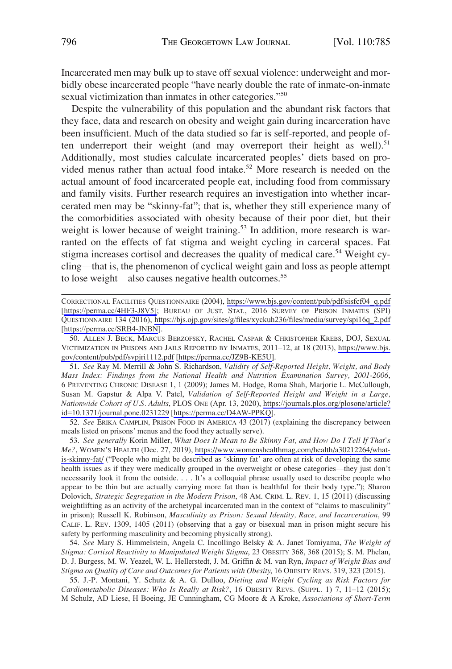Incarcerated men may bulk up to stave off sexual violence: underweight and morbidly obese incarcerated people "have nearly double the rate of inmate-on-inmate sexual victimization than inmates in other categories."<sup>50</sup>

Despite the vulnerability of this population and the abundant risk factors that they face, data and research on obesity and weight gain during incarceration have been insufficient. Much of the data studied so far is self-reported, and people often underreport their weight (and may overreport their height as well).<sup>51</sup> Additionally, most studies calculate incarcerated peoples' diets based on provided menus rather than actual food intake.<sup>52</sup> More research is needed on the actual amount of food incarcerated people eat, including food from commissary and family visits. Further research requires an investigation into whether incarcerated men may be "skinny-fat"; that is, whether they still experience many of the comorbidities associated with obesity because of their poor diet, but their weight is lower because of weight training.<sup>53</sup> In addition, more research is warranted on the effects of fat stigma and weight cycling in carceral spaces. Fat stigma increases cortisol and decreases the quality of medical care.<sup>54</sup> Weight cycling—that is, the phenomenon of cyclical weight gain and loss as people attempt to lose weight—also causes negative health outcomes.<sup>55</sup>

CORRECTIONAL FACILITIES QUESTIONNAIRE (2004), [https://www.bjs.gov/content/pub/pdf/sisfcf04\\_q.pdf](https://www.bjs.gov/content/pub/pdf/sisfcf04_q.pdf) [[https://perma.cc/4HF3-J8V5\];](https://perma.cc/4HF3-J8V5];) BUREAU OF JUST. STAT., 2016 SURVEY OF PRISON INMATES (SPI) QUESTIONNAIRE 134 (2016), [https://bjs.ojp.gov/sites/g/files/xyckuh236/files/media/survey/spi16q\\_2.pdf](https://bjs.ojp.gov/sites/g/files/xyckuh236/files/media/survey/spi16q_2.pdf) [<https://perma.cc/SRB4-JNBN>].

50. ALLEN J. BECK, MARCUS BERZOFSKY, RACHEL CASPAR & CHRISTOPHER KREBS, DOJ, SEXUAL VICTIMIZATION IN PRISONS AND JAILS REPORTED BY INMATES, 2011–12, at 18 (2013), [https://www.bjs.](https://www.bjs.gov/content/pub/pdf/svpjri1112.pdf)  [gov/content/pub/pdf/svpjri1112.pdf](https://www.bjs.gov/content/pub/pdf/svpjri1112.pdf) [\[https://perma.cc/JZ9B-KE5U](https://perma.cc/JZ9B-KE5U)].

*See* Ray M. Merrill & John S. Richardson, *Validity of Self-Reported Height, Weight, and Body*  51. *Mass Index: Findings from the National Health and Nutrition Examination Survey, 2001-2006*, 6 PREVENTING CHRONIC DISEASE 1, 1 (2009); James M. Hodge, Roma Shah, Marjorie L. McCullough, Susan M. Gapstur & Alpa V. Patel, *Validation of Self-Reported Height and Weight in a Large, Nationwide Cohort of U.S. Adults*, PLOS ONE (Apr. 13, 2020), [https://journals.plos.org/plosone/article?](https://journals.plos.org/plosone/article?id=10.1371/journal.pone.0231229) [id=10.1371/journal.pone.0231229](https://journals.plos.org/plosone/article?id=10.1371/journal.pone.0231229) [[https://perma.cc/D4AW-PPKQ\]](https://perma.cc/D4AW-PPKQ).

52. *See* ERIKA CAMPLIN, PRISON FOOD IN AMERICA 43 (2017) (explaining the discrepancy between meals listed on prisons' menus and the food they actually serve).

*See generally* Korin Miller, *What Does It Mean to Be Skinny Fat, and How Do I Tell If That's*  53. *Me?*, WOMEN'S HEALTH (Dec. 27, 2019), [https://www.womenshealthmag.com/health/a30212264/what](https://www.womenshealthmag.com/health/a30212264/what-is-skinny-fat/)[is-skinny-fat/](https://www.womenshealthmag.com/health/a30212264/what-is-skinny-fat/) ("People who might be described as 'skinny fat' are often at risk of developing the same health issues as if they were medically grouped in the overweight or obese categories—they just don't necessarily look it from the outside. . . . It's a colloquial phrase usually used to describe people who appear to be thin but are actually carrying more fat than is healthful for their body type."); Sharon Dolovich, *Strategic Segregation in the Modern Prison*, 48 AM. CRIM. L. REV. 1, 15 (2011) (discussing weightlifting as an activity of the archetypal incarcerated man in the context of "claims to masculinity" in prison); Russell K. Robinson, *Masculinity as Prison: Sexual Identity, Race, and Incarceration*, 99 CALIF. L. REV. 1309, 1405 (2011) (observing that a gay or bisexual man in prison might secure his safety by performing masculinity and becoming physically strong).

54. *See* Mary S. Himmelstein, Angela C. Incollingo Belsky & A. Janet Tomiyama, *The Weight of Stigma: Cortisol Reactivity to Manipulated Weight Stigma*, 23 OBESITY 368, 368 (2015); S. M. Phelan, D. J. Burgess, M. W. Yeazel, W. L. Hellerstedt, J. M. Griffin & M. van Ryn, *Impact of Weight Bias and Stigma on Quality of Care and Outcomes for Patients with Obesity*, 16 OBESITY REVS. 319, 323 (2015).

55. J.-P. Montani, Y. Schutz & A. G. Dulloo, *Dieting and Weight Cycling as Risk Factors for Cardiometabolic Diseases: Who Is Really at Risk?*, 16 OBESITY REVS. (SUPPL. 1) 7, 11–12 (2015); M Schulz, AD Liese, H Boeing, JE Cunningham, CG Moore & A Kroke, *Associations of Short-Term*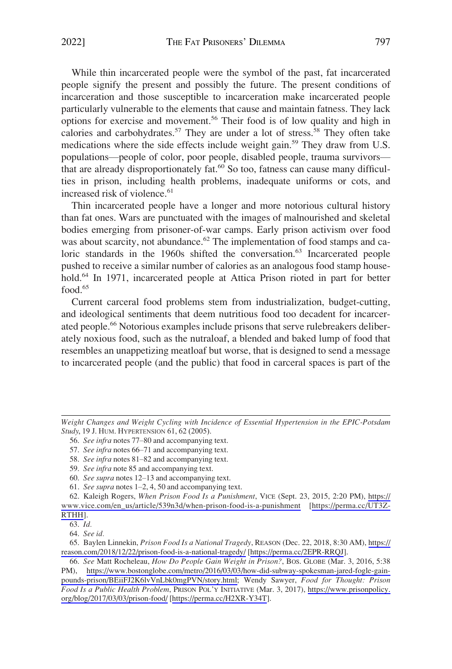While thin incarcerated people were the symbol of the past, fat incarcerated people signify the present and possibly the future. The present conditions of incarceration and those susceptible to incarceration make incarcerated people particularly vulnerable to the elements that cause and maintain fatness. They lack options for exercise and movement.56 Their food is of low quality and high in calories and carbohydrates.<sup>57</sup> They are under a lot of stress.<sup>58</sup> They often take medications where the side effects include weight gain.<sup>59</sup> They draw from U.S. populations—people of color, poor people, disabled people, trauma survivors that are already disproportionately fat.<sup>60</sup> So too, fatness can cause many difficulties in prison, including health problems, inadequate uniforms or cots, and increased risk of violence.<sup>61</sup>

Thin incarcerated people have a longer and more notorious cultural history than fat ones. Wars are punctuated with the images of malnourished and skeletal bodies emerging from prisoner-of-war camps. Early prison activism over food was about scarcity, not abundance.<sup>62</sup> The implementation of food stamps and caloric standards in the  $1960s$  shifted the conversation.<sup>63</sup> Incarcerated people pushed to receive a similar number of calories as an analogous food stamp household.<sup>64</sup> In 1971, incarcerated people at Attica Prison rioted in part for better food. $65$ 

Current carceral food problems stem from industrialization, budget-cutting, and ideological sentiments that deem nutritious food too decadent for incarcerated people.<sup>66</sup> Notorious examples include prisons that serve rulebreakers deliberately noxious food, such as the nutraloaf, a blended and baked lump of food that resembles an unappetizing meatloaf but worse, that is designed to send a message to incarcerated people (and the public) that food in carceral spaces is part of the

58. *See infra* notes 81–82 and accompanying text.

*Weight Changes and Weight Cycling with Incidence of Essential Hypertension in the EPIC-Potsdam Study*, 19 J. HUM. HYPERTENSION 61, 62 (2005).

<sup>56.</sup> *See infra* notes 77–80 and accompanying text.

<sup>57.</sup> *See infra* notes 66–71 and accompanying text.

<sup>59.</sup> *See infra* note 85 and accompanying text.

<sup>60.</sup> *See supra* notes 12–13 and accompanying text.

<sup>61.</sup> *See supra* notes 1–2, 4, 50 and accompanying text.

<sup>62.</sup> Kaleigh Rogers, When Prison Food Is a Punishment, VICE (Sept. 23, 2015, 2:20 PM), https:// [www.vice.com/en\\_us/article/539n3d/when-prison-food-is-a-punishment](https://www.vice.com/en_us/article/539n3d/when-prison-food-is-a-punishment) [[https://perma.cc/UT3Z-](https://perma.cc/UT3Z-RTHH)[RTHH\]](https://perma.cc/UT3Z-RTHH).

<sup>63.</sup> *Id.* 

<sup>64.</sup> *See id.* 

<sup>65.</sup> Baylen Linnekin, *Prison Food Is a National Tragedy*, REASON (Dec. 22, 2018, 8:30 AM), https:// [reason.com/2018/12/22/prison-food-is-a-national-tragedy/](https://reason.com/2018/12/22/prison-food-is-a-national-tragedy/) [\[https://perma.cc/2EPR-RRQJ\]](https://perma.cc/2EPR-RRQJ).

*See* Matt Rocheleau, *How Do People Gain Weight in Prison?*, BOS. GLOBE (Mar. 3, 2016, 5:38 66. PM), [https://www.bostonglobe.com/metro/2016/03/03/how-did-subway-spokesman-jared-fogle-gain](https://www.bostonglobe.com/metro/2016/03/03/how-did-subway-spokesman-jared-fogle-gain-pounds-prison/BEiiFJ2K6lvVnLbk0mgPVN/story.html)[pounds-prison/BEiiFJ2K6lvVnLbk0mgPVN/story.html](https://www.bostonglobe.com/metro/2016/03/03/how-did-subway-spokesman-jared-fogle-gain-pounds-prison/BEiiFJ2K6lvVnLbk0mgPVN/story.html); Wendy Sawyer, *Food for Thought: Prison Food Is a Public Health Problem*, PRISON POL'Y INITIATIVE (Mar. 3, 2017), [https://www.prisonpolicy.](https://www.prisonpolicy.org/blog/2017/03/03/prison-food/)  [org/blog/2017/03/03/prison-food/](https://www.prisonpolicy.org/blog/2017/03/03/prison-food/) [\[https://perma.cc/H2XR-Y34T](https://perma.cc/H2XR-Y34T)].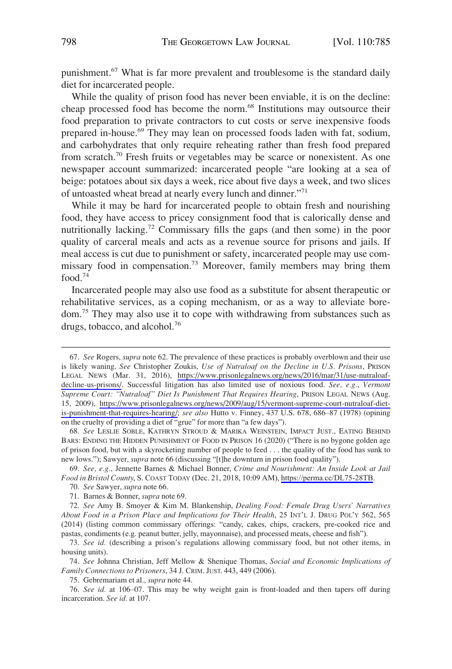punishment.<sup>67</sup> What is far more prevalent and troublesome is the standard daily diet for incarcerated people.

While the quality of prison food has never been enviable, it is on the decline: cheap processed food has become the norm.<sup>68</sup> Institutions may outsource their food preparation to private contractors to cut costs or serve inexpensive foods prepared in-house.<sup>69</sup> They may lean on processed foods laden with fat, sodium, and carbohydrates that only require reheating rather than fresh food prepared from scratch.70 Fresh fruits or vegetables may be scarce or nonexistent. As one newspaper account summarized: incarcerated people "are looking at a sea of beige: potatoes about six days a week, rice about five days a week, and two slices of untoasted wheat bread at nearly every lunch and dinner."<sup>71</sup>

While it may be hard for incarcerated people to obtain fresh and nourishing food, they have access to pricey consignment food that is calorically dense and nutritionally lacking.72 Commissary fills the gaps (and then some) in the poor quality of carceral meals and acts as a revenue source for prisons and jails. If meal access is cut due to punishment or safety, incarcerated people may use commissary food in compensation.73 Moreover, family members may bring them food.74

Incarcerated people may also use food as a substitute for absent therapeutic or rehabilitative services, as a coping mechanism, or as a way to alleviate boredom.75 They may also use it to cope with withdrawing from substances such as drugs, tobacco, and alcohol.<sup>76</sup>

68. *See* LESLIE SOBLE, KATHRYN STROUD & MARIKA WEINSTEIN, IMPACT JUST., EATING BEHIND BARS: ENDING THE HIDDEN PUNISHMENT OF FOOD IN PRISON 16 (2020) ("There is no bygone golden age of prison food, but with a skyrocketing number of people to feed . . . the quality of the food has sunk to new lows."); Sawyer, *supra* note 66 (discussing "[t]he downturn in prison food quality").

*See, e.g.*, Jennette Barnes & Michael Bonner, *Crime and Nourishment: An Inside Look at Jail*  69. *Food in Bristol County*, S. COAST TODAY (Dec. 21, 2018, 10:09 AM),<https://perma.cc/DL75-28TB>.

71. Barnes & Bonner, *supra* note 69.

72. *See* Amy B. Smoyer & Kim M. Blankenship, *Dealing Food: Female Drug Users' Narratives About Food in a Prison Place and Implications for Their Health*, 25 INT'L J. DRUG POL'Y 562, 565 (2014) (listing common commissary offerings: "candy, cakes, chips, crackers, pre-cooked rice and pastas, condiments (e.g. peanut butter, jelly, mayonnaise), and processed meats, cheese and fish").

73. *See id.* (describing a prison's regulations allowing commissary food, but not other items, in housing units).

74. *See* Johnna Christian, Jeff Mellow & Shenique Thomas, *Social and Economic Implications of Family Connections to Prisoners*, 34 J. CRIM. JUST. 443, 449 (2006).

75. Gebremariam et al., *supra* note 44.

76. *See id.* at 106–07. This may be why weight gain is front-loaded and then tapers off during incarceration. *See id.* at 107.

*See* Rogers, *supra* note 62. The prevalence of these practices is probably overblown and their use 67. is likely waning. *See* Christopher Zoukis, *Use of Nutraloaf on the Decline in U.S. Prisons*, PRISON LEGAL NEWS (Mar. 31, 2016), [https://www.prisonlegalnews.org/news/2016/mar/31/use-nutraloaf](https://www.prisonlegalnews.org/news/2016/mar/31/use-nutraloaf-decline-us-prisons/)[decline-us-prisons/.](https://www.prisonlegalnews.org/news/2016/mar/31/use-nutraloaf-decline-us-prisons/) Successful litigation has also limited use of noxious food. *See, e.g.*, *Vermont Supreme Court: "Nutraloaf" Diet Is Punishment That Requires Hearing*, PRISON LEGAL NEWS (Aug. 15, 2009), [https://www.prisonlegalnews.org/news/2009/aug/15/vermont-supreme-court-nutraloaf-diet](https://www.prisonlegalnews.org/news/2009/aug/15/vermont-supreme-court-nutraloaf-diet-is-punishment-that-requires-hearing/)[is-punishment-that-requires-hearing/;](https://www.prisonlegalnews.org/news/2009/aug/15/vermont-supreme-court-nutraloaf-diet-is-punishment-that-requires-hearing/) see also Hutto v. Finney, 437 U.S. 678, 686-87 (1978) (opining on the cruelty of providing a diet of "grue" for more than "a few days").

<sup>70.</sup> *See* Sawyer, *supra* note 66.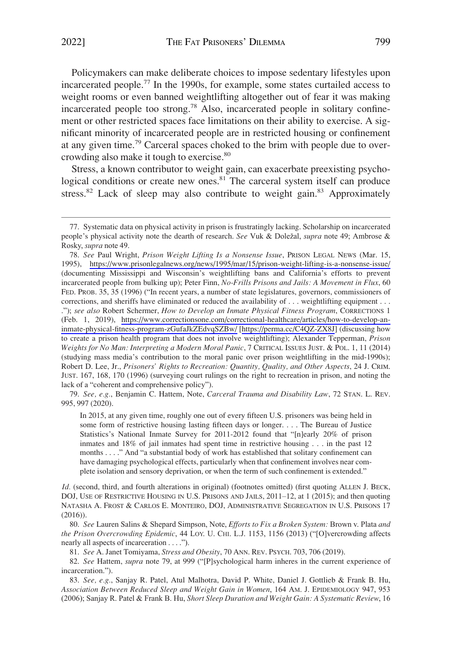Policymakers can make deliberate choices to impose sedentary lifestyles upon incarcerated people.77 In the 1990s, for example, some states curtailed access to weight rooms or even banned weightlifting altogether out of fear it was making incarcerated people too strong.78 Also, incarcerated people in solitary confinement or other restricted spaces face limitations on their ability to exercise. A significant minority of incarcerated people are in restricted housing or confinement at any given time.79 Carceral spaces choked to the brim with people due to overcrowding also make it tough to exercise.80

Stress, a known contributor to weight gain, can exacerbate preexisting psychological conditions or create new ones.<sup>81</sup> The carceral system itself can produce stress.<sup>82</sup> Lack of sleep may also contribute to weight gain.<sup>83</sup> Approximately

79. *See, e.g.*, Benjamin C. Hattem, Note, *Carceral Trauma and Disability Law*, 72 STAN. L. REV. 995, 997 (2020).

In 2015, at any given time, roughly one out of every fifteen U.S. prisoners was being held in some form of restrictive housing lasting fifteen days or longer. . . . The Bureau of Justice Statistics's National Inmate Survey for 2011-2012 found that "[n]early 20% of prison inmates and 18% of jail inmates had spent time in restrictive housing . . . in the past 12 months . . . ." And "a substantial body of work has established that solitary confinement can have damaging psychological effects, particularly when that confinement involves near complete isolation and sensory deprivation, or when the term of such confinement is extended."

*Id.* (second, third, and fourth alterations in original) (footnotes omitted) (first quoting ALLEN J. BECK, DOJ, USE OF RESTRICTIVE HOUSING IN U.S. PRISONS AND JAILS, 2011–12, at 1 (2015); and then quoting NATASHA A. FROST & CARLOS E. MONTEIRO, DOJ, ADMINISTRATIVE SEGREGATION IN U.S. PRISONS 17 (2016)).

80. *See* Lauren Salins & Shepard Simpson, Note, *Efforts to Fix a Broken System:* Brown v. Plata *and the Prison Overcrowding Epidemic*, 44 LOY. U. CHI. L.J. 1153, 1156 (2013) ("[O]vercrowding affects nearly all aspects of incarceration . . . .").

81. *See* A. Janet Tomiyama, *Stress and Obesity*, 70 ANN. REV. PSYCH. 703, 706 (2019).

82. *See* Hattem, *supra* note 79, at 999 ("[P]sychological harm inheres in the current experience of incarceration.").

83. *See, e.g.*, Sanjay R. Patel, Atul Malhotra, David P. White, Daniel J. Gottlieb & Frank B. Hu, *Association Between Reduced Sleep and Weight Gain in Women*, 164 AM. J. EPIDEMIOLOGY 947, 953 (2006); Sanjay R. Patel & Frank B. Hu, *Short Sleep Duration and Weight Gain: A Systematic Review*, 16

<sup>77.</sup> Systematic data on physical activity in prison is frustratingly lacking. Scholarship on incarcerated people's physical activity note the dearth of research. *See* Vuk & Doležal, *supra* note 49; Ambrose & Rosky, *supra* note 49.

*See* Paul Wright, *Prison Weight Lifting Is a Nonsense Issue*, PRISON LEGAL NEWS (Mar. 15, 78. 1995), <https://www.prisonlegalnews.org/news/1995/mar/15/prison-weight-lifting-is-a-nonsense-issue/> (documenting Mississippi and Wisconsin's weightlifting bans and California's efforts to prevent incarcerated people from bulking up); Peter Finn, *No-Frills Prisons and Jails: A Movement in Flux*, 60 FED. PROB. 35, 35 (1996) ("In recent years, a number of state legislatures, governors, commissioners of corrections, and sheriffs have eliminated or reduced the availability of . . . weightlifting equipment . . . ."); *see also* Robert Schermer, *How to Develop an Inmate Physical Fitness Program*, CORRECTIONS 1 (Feb. 1, 2019), [https://www.correctionsone.com/correctional-healthcare/articles/how-to-develop-an](https://www.correctionsone.com/correctional-healthcare/articles/how-to-develop-an-inmate-physical-fitness-program-zGufaJkZEdvqSZBw/)[inmate-physical-fitness-program-zGufaJkZEdvqSZBw/](https://www.correctionsone.com/correctional-healthcare/articles/how-to-develop-an-inmate-physical-fitness-program-zGufaJkZEdvqSZBw/) [\[https://perma.cc/C4QZ-ZX8J](https://perma.cc/C4QZ-ZX8J)] (discussing how to create a prison health program that does not involve weightlifting); Alexander Tepperman, *Prison Weights for No Man: Interpreting a Modern Moral Panic*, 7 CRITICAL ISSUES JUST. & POL. 1, 11 (2014) (studying mass media's contribution to the moral panic over prison weightlifting in the mid-1990s); Robert D. Lee, Jr., *Prisoners' Rights to Recreation: Quantity, Quality, and Other Aspects*, 24 J. CRIM. JUST. 167, 168, 170 (1996) (surveying court rulings on the right to recreation in prison, and noting the lack of a "coherent and comprehensive policy").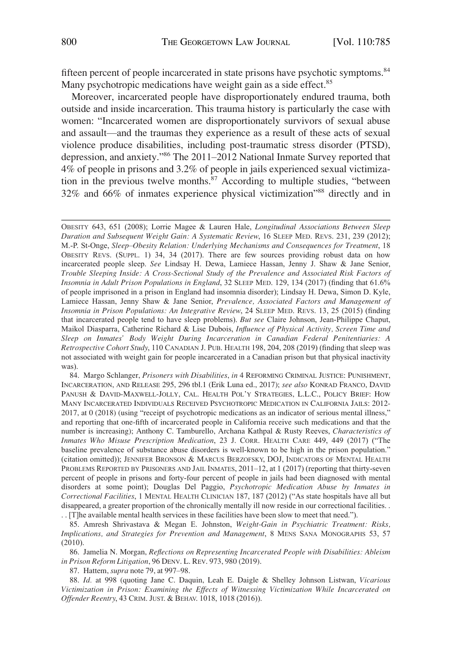fifteen percent of people incarcerated in state prisons have psychotic symptoms.<sup>84</sup> Many psychotropic medications have weight gain as a side effect.<sup>85</sup>

Moreover, incarcerated people have disproportionately endured trauma, both outside and inside incarceration. This trauma history is particularly the case with women: "Incarcerated women are disproportionately survivors of sexual abuse and assault—and the traumas they experience as a result of these acts of sexual violence produce disabilities, including post-traumatic stress disorder (PTSD), depression, and anxiety."86 The 2011–2012 National Inmate Survey reported that 4% of people in prisons and 3.2% of people in jails experienced sexual victimization in the previous twelve months.<sup>87</sup> According to multiple studies, "between 32% and 66% of inmates experience physical victimization"88 directly and in

84. Margo Schlanger, *Prisoners with Disabilities*, *in* 4 REFORMING CRIMINAL JUSTICE: PUNISHMENT, INCARCERATION, AND RELEASE 295, 296 tbl.1 (Erik Luna ed., 2017); *see also* KONRAD FRANCO, DAVID PANUSH & DAVID-MAXWELL-JOLLY, CAL. HEALTH POL'Y STRATEGIES, L.L.C., POLICY BRIEF: HOW MANY INCARCERATED INDIVIDUALS RECEIVED PSYCHOTROPIC MEDICATION IN CALIFORNIA JAILS: 2012- 2017, at 0 (2018) (using "receipt of psychotropic medications as an indicator of serious mental illness," and reporting that one-fifth of incarcerated people in California receive such medications and that the number is increasing); Anthony C. Tamburello, Archana Kathpal & Rusty Reeves, *Characteristics of Inmates Who Misuse Prescription Medication*, 23 J. CORR. HEALTH CARE 449, 449 (2017) ("The baseline prevalence of substance abuse disorders is well-known to be high in the prison population." (citation omitted)); JENNIFER BRONSON & MARCUS BERZOFSKY, DOJ, INDICATORS OF MENTAL HEALTH PROBLEMS REPORTED BY PRISONERS AND JAIL INMATES, 2011–12, at 1 (2017) (reporting that thirty-seven percent of people in prisons and forty-four percent of people in jails had been diagnosed with mental disorders at some point); Douglas Del Paggio, *Psychotropic Medication Abuse by Inmates in Correctional Facilities*, 1 MENTAL HEALTH CLINICIAN 187, 187 (2012) ("As state hospitals have all but disappeared, a greater proportion of the chronically mentally ill now reside in our correctional facilities. . . . [T]he available mental health services in these facilities have been slow to meet that need.").

85. Amresh Shrivastava & Megan E. Johnston, *Weight-Gain in Psychiatric Treatment: Risks, Implications, and Strategies for Prevention and Management*, 8 MENS SANA MONOGRAPHS 53, 57 (2010).

86. Jamelia N. Morgan, *Reflections on Representing Incarcerated People with Disabilities: Ableism in Prison Reform Litigation*, 96 DENV. L. REV. 973, 980 (2019).

87. Hattem, *supra* note 79, at 997–98.

88. *Id.* at 998 (quoting Jane C. Daquin, Leah E. Daigle & Shelley Johnson Listwan, *Vicarious Victimization in Prison: Examining the Effects of Witnessing Victimization While Incarcerated on Offender Reentry*, 43 CRIM. JUST. & BEHAV. 1018, 1018 (2016)).

OBESITY 643, 651 (2008); Lorrie Magee & Lauren Hale, *Longitudinal Associations Between Sleep Duration and Subsequent Weight Gain: A Systematic Review*, 16 SLEEP MED. REVS. 231, 239 (2012); M.-P. St-Onge, *Sleep*–*Obesity Relation: Underlying Mechanisms and Consequences for Treatment*, 18 OBESITY REVS. (SUPPL. 1) 34, 34 (2017). There are few sources providing robust data on how incarcerated people sleep. *See* Lindsay H. Dewa, Lamiece Hassan, Jenny J. Shaw & Jane Senior, *Trouble Sleeping Inside: A Cross-Sectional Study of the Prevalence and Associated Risk Factors of Insomnia in Adult Prison Populations in England*, 32 SLEEP MED. 129, 134 (2017) (finding that 61.6% of people imprisoned in a prison in England had insomnia disorder); Lindsay H. Dewa, Simon D. Kyle, Lamiece Hassan, Jenny Shaw & Jane Senior, *Prevalence, Associated Factors and Management of Insomnia in Prison Populations: An Integrative Review*, 24 SLEEP MED. REVS. 13, 25 (2015) (finding that incarcerated people tend to have sleep problems). *But see* Claire Johnson, Jean-Philippe Chaput, Maikol Diasparra, Catherine Richard & Lise Dubois, *Influence of Physical Activity, Screen Time and Sleep on Inmates' Body Weight During Incarceration in Canadian Federal Penitentiaries: A Retrospective Cohort Study*, 110 CANADIAN J. PUB. HEALTH 198, 204, 208 (2019) (finding that sleep was not associated with weight gain for people incarcerated in a Canadian prison but that physical inactivity was).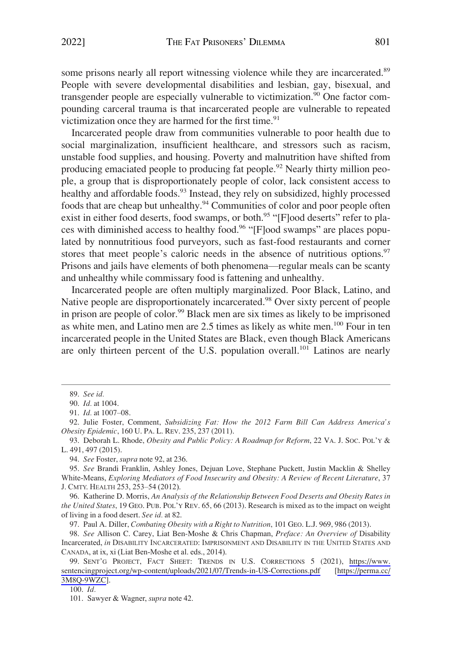some prisons nearly all report witnessing violence while they are incarcerated.<sup>89</sup> People with severe developmental disabilities and lesbian, gay, bisexual, and transgender people are especially vulnerable to victimization.<sup>90</sup> One factor compounding carceral trauma is that incarcerated people are vulnerable to repeated victimization once they are harmed for the first time. $91$ 

Incarcerated people draw from communities vulnerable to poor health due to social marginalization, insufficient healthcare, and stressors such as racism, unstable food supplies, and housing. Poverty and malnutrition have shifted from producing emaciated people to producing fat people.<sup>92</sup> Nearly thirty million people, a group that is disproportionately people of color, lack consistent access to healthy and affordable foods.<sup>93</sup> Instead, they rely on subsidized, highly processed foods that are cheap but unhealthy.<sup>94</sup> Communities of color and poor people often exist in either food deserts, food swamps, or both.<sup>95</sup> "[F]ood deserts" refer to places with diminished access to healthy food.96 "[F]ood swamps" are places populated by nonnutritious food purveyors, such as fast-food restaurants and corner stores that meet people's caloric needs in the absence of nutritious options.<sup>97</sup> Prisons and jails have elements of both phenomena—regular meals can be scanty and unhealthy while commissary food is fattening and unhealthy.

Incarcerated people are often multiply marginalized. Poor Black, Latino, and Native people are disproportionately incarcerated.<sup>98</sup> Over sixty percent of people in prison are people of color.<sup>99</sup> Black men are six times as likely to be imprisoned as white men, and Latino men are 2.5 times as likely as white men.100 Four in ten incarcerated people in the United States are Black, even though Black Americans are only thirteen percent of the U.S. population overall.<sup>101</sup> Latinos are nearly

94. *See* Foster, *supra* note 92, at 236.

100. *Id.* 

<sup>89.</sup> *See id.* 

<sup>90.</sup> *Id.* at 1004.

<sup>91.</sup> *Id.* at 1007–08.

<sup>92.</sup> Julie Foster, Comment, *Subsidizing Fat: How the 2012 Farm Bill Can Address America's Obesity Epidemic*, 160 U. PA. L. REV. 235, 237 (2011).

<sup>93.</sup> Deborah L. Rhode, *Obesity and Public Policy: A Roadmap for Reform*, 22 VA. J. SOC. POL'Y & L. 491, 497 (2015).

<sup>95.</sup> *See* Brandi Franklin, Ashley Jones, Dejuan Love, Stephane Puckett, Justin Macklin & Shelley White-Means, *Exploring Mediators of Food Insecurity and Obesity: A Review of Recent Literature*, 37 J. CMTY. HEALTH 253, 253–54 (2012).

<sup>96.</sup> Katherine D. Morris, *An Analysis of the Relationship Between Food Deserts and Obesity Rates in the United States*, 19 GEO. PUB. POL'Y REV. 65, 66 (2013). Research is mixed as to the impact on weight of living in a food desert. *See id.* at 82.

<sup>97.</sup> Paul A. Diller, *Combating Obesity with a Right to Nutrition*, 101 GEO. L.J. 969, 986 (2013).

<sup>98.</sup> *See* Allison C. Carey, Liat Ben-Moshe & Chris Chapman, *Preface: An Overview of* Disability Incarcerated, *in* DISABILITY INCARCERATED: IMPRISONMENT AND DISABILITY IN THE UNITED STATES AND CANADA, at ix, xi (Liat Ben-Moshe et al. eds., 2014).

<sup>99.</sup> SENT'G PROJECT, FACT SHEET: TRENDS IN U.S. CORRECTIONS 5 (2021), https://www. [sentencingproject.org/wp-content/uploads/2021/07/Trends-in-US-Corrections.pdf](https://www.sentencingproject.org/wp-content/uploads/2021/07/Trends-in-US-Corrections.pdf) [[https://perma.cc/](https://perma.cc/3M8Q-9WZC)  [3M8Q-9WZC](https://perma.cc/3M8Q-9WZC)].

<sup>101.</sup> Sawyer & Wagner, *supra* note 42.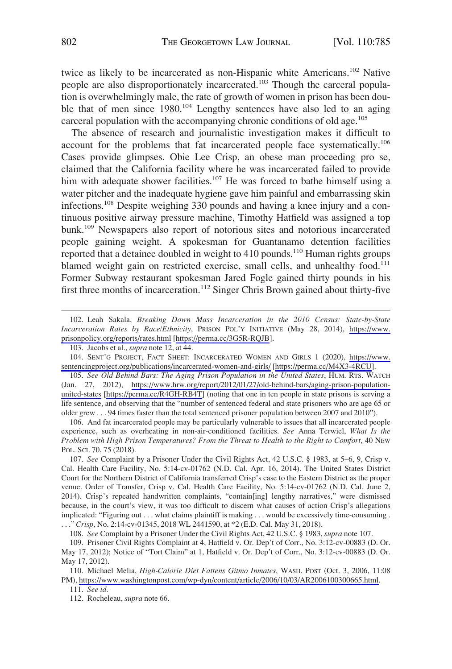twice as likely to be incarcerated as non-Hispanic white Americans.<sup>102</sup> Native people are also disproportionately incarcerated.103 Though the carceral population is overwhelmingly male, the rate of growth of women in prison has been double that of men since 1980.<sup>104</sup> Lengthy sentences have also led to an aging carceral population with the accompanying chronic conditions of old age.<sup>105</sup>

The absence of research and journalistic investigation makes it difficult to account for the problems that fat incarcerated people face systematically.106 Cases provide glimpses. Obie Lee Crisp, an obese man proceeding pro se, claimed that the California facility where he was incarcerated failed to provide him with adequate shower facilities.<sup>107</sup> He was forced to bathe himself using a water pitcher and the inadequate hygiene gave him painful and embarrassing skin infections.108 Despite weighing 330 pounds and having a knee injury and a continuous positive airway pressure machine, Timothy Hatfield was assigned a top bunk.109 Newspapers also report of notorious sites and notorious incarcerated people gaining weight. A spokesman for Guantanamo detention facilities reported that a detainee doubled in weight to 410 pounds.<sup>110</sup> Human rights groups blamed weight gain on restricted exercise, small cells, and unhealthy food.<sup>111</sup> Former Subway restaurant spokesman Jared Fogle gained thirty pounds in his first three months of incarceration.<sup>112</sup> Singer Chris Brown gained about thirty-five

*See Old Behind Bars: The Aging Prison Population in the United States*, HUM. RTS. WATCH 105. (Jan. 27, 2012), [https://www.hrw.org/report/2012/01/27/old-behind-bars/aging-prison-population](https://www.hrw.org/report/2012/01/27/old-behind-bars/aging-prison-population-united-states)[united-states](https://www.hrw.org/report/2012/01/27/old-behind-bars/aging-prison-population-united-states) [\[https://perma.cc/R4GH-RB4T](https://perma.cc/R4GH-RB4T)] (noting that one in ten people in state prisons is serving a life sentence, and observing that the "number of sentenced federal and state prisoners who are age 65 or older grew . . . 94 times faster than the total sentenced prisoner population between 2007 and 2010").

106. And fat incarcerated people may be particularly vulnerable to issues that all incarcerated people experience, such as overheating in non-air-conditioned facilities. *See* Anna Terwiel, *What Is the Problem with High Prison Temperatures? From the Threat to Health to the Right to Comfort*, 40 NEW POL. SCI. 70, 75 (2018).

107. *See* Complaint by a Prisoner Under the Civil Rights Act, 42 U.S.C. § 1983, at 5–6, 9, Crisp v. Cal. Health Care Facility, No. 5:14-cv-01762 (N.D. Cal. Apr. 16, 2014). The United States District Court for the Northern District of California transferred Crisp's case to the Eastern District as the proper venue. Order of Transfer, Crisp v. Cal. Health Care Facility, No. 5:14-cv-01762 (N.D. Cal. June 2, 2014). Crisp's repeated handwritten complaints, "contain[ing] lengthy narratives," were dismissed because, in the court's view, it was too difficult to discern what causes of action Crisp's allegations implicated: "Figuring out . . . what claims plaintiff is making . . . would be excessively time-consuming . . . ." *Crisp*, No. 2:14-cv-01345, 2018 WL 2441590, at \*2 (E.D. Cal. May 31, 2018).

108. *See* Complaint by a Prisoner Under the Civil Rights Act, 42 U.S.C. § 1983, *supra* note 107.

109. Prisoner Civil Rights Complaint at 4, Hatfield v. Or. Dep't of Corr., No. 3:12-cv-00883 (D. Or. May 17, 2012); Notice of "Tort Claim" at 1, Hatfield v. Or. Dep't of Corr., No. 3:12-cv-00883 (D. Or. May 17, 2012).

110. Michael Melia, *High-Calorie Diet Fattens Gitmo Inmates*, WASH. POST (Oct. 3, 2006, 11:08 PM),<https://www.washingtonpost.com/wp-dyn/content/article/2006/10/03/AR2006100300665.html>.

111. *See id.* 

112. Rocheleau, *supra* note 66.

Leah Sakala, *Breaking Down Mass Incarceration in the 2010 Census: State-by-State*  102. *Incarceration Rates by Race/Ethnicity*, PRISON POL'Y INITIATIVE (May 28, 2014), [https://www.](https://www.prisonpolicy.org/reports/rates.html) [prisonpolicy.org/reports/rates.html](https://www.prisonpolicy.org/reports/rates.html) [\[https://perma.cc/3G5R-RQJB](https://perma.cc/3G5R-RQJB)].

<sup>103.</sup> Jacobs et al., *supra* note 12, at 44.

<sup>104.</sup> SENT'G PROJECT, FACT SHEET: INCARCERATED WOMEN AND GIRLS 1 (2020), https://www. [sentencingproject.org/publications/incarcerated-women-and-girls/](https://www.sentencingproject.org/publications/incarcerated-women-and-girls/) [[https://perma.cc/M4X3-4RCU\]](https://perma.cc/M4X3-4RCU).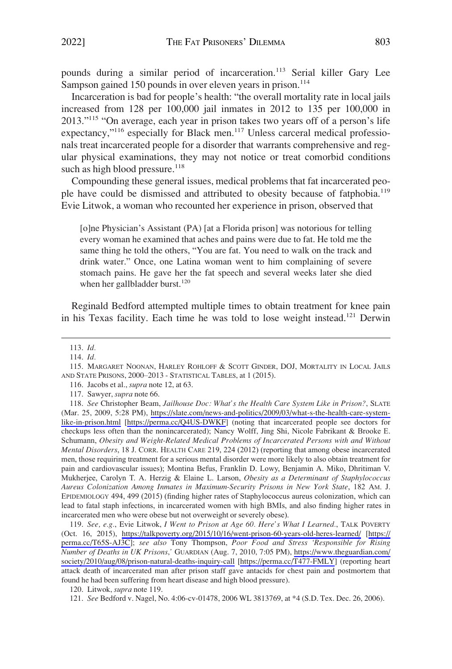pounds during a similar period of incarceration.<sup>113</sup> Serial killer Gary Lee Sampson gained 150 pounds in over eleven years in prison.<sup>114</sup>

Incarceration is bad for people's health: "the overall mortality rate in local jails increased from 128 per 100,000 jail inmates in 2012 to 135 per 100,000 in 2013."<sup>115</sup> "On average, each year in prison takes two years off of a person's life expectancy,"<sup>116</sup> especially for Black men.<sup>117</sup> Unless carceral medical professionals treat incarcerated people for a disorder that warrants comprehensive and regular physical examinations, they may not notice or treat comorbid conditions such as high blood pressure. $118$ 

Compounding these general issues, medical problems that fat incarcerated people have could be dismissed and attributed to obesity because of fatphobia.<sup>119</sup> Evie Litwok, a woman who recounted her experience in prison, observed that

[o]ne Physician's Assistant (PA) [at a Florida prison] was notorious for telling every woman he examined that aches and pains were due to fat. He told me the same thing he told the others, "You are fat. You need to walk on the track and drink water." Once, one Latina woman went to him complaining of severe stomach pains. He gave her the fat speech and several weeks later she died when her gallbladder burst.<sup>120</sup>

Reginald Bedford attempted multiple times to obtain treatment for knee pain in his Texas facility. Each time he was told to lose weight instead.<sup>121</sup> Derwin

*See, e.g.*, Evie Litwok, *I Went to Prison at Age 60. Here's What I Learned.*, TALK POVERTY 119. (Oct. 16, 2015), <https://talkpoverty.org/2015/10/16/went-prison-60-years-old-heres-learned/> [\[https://](https://perma.cc/T65S-AJ3C)  [perma.cc/T65S-AJ3C\]](https://perma.cc/T65S-AJ3C); *see also* Tony Thompson, *Poor Food and Stress 'Responsible for Rising Number of Deaths in UK Prisons*,*'* GUARDIAN (Aug. 7, 2010, 7:05 PM), [https://www.theguardian.com/](https://www.theguardian.com/society/2010/aug/08/prison-natural-deaths-inquiry-call)  [society/2010/aug/08/prison-natural-deaths-inquiry-call](https://www.theguardian.com/society/2010/aug/08/prison-natural-deaths-inquiry-call) [\[https://perma.cc/T477-FMLY\]](https://perma.cc/T477-FMLY) (reporting heart attack death of incarcerated man after prison staff gave antacids for chest pain and postmortem that found he had been suffering from heart disease and high blood pressure).

120. Litwok, *supra* note 119.

<sup>113.</sup> *Id.* 

<sup>114.</sup> *Id.* 

<sup>115.</sup> MARGARET NOONAN, HARLEY ROHLOFF & SCOTT GINDER, DOJ, MORTALITY IN LOCAL JAILS AND STATE PRISONS, 2000–2013 - STATISTICAL TABLES, at 1 (2015).

<sup>116.</sup> Jacobs et al., *supra* note 12, at 63.

<sup>117.</sup> Sawyer, *supra* note 66.

*See* Christopher Beam, *Jailhouse Doc: What's the Health Care System Like in Prison?*, SLATE 118. (Mar. 25, 2009, 5:28 PM), [https://slate.com/news-and-politics/2009/03/what-s-the-health-care-system](https://slate.com/news-and-politics/2009/03/what-s-the-health-care-system-like-in-prison.html)[like-in-prison.html](https://slate.com/news-and-politics/2009/03/what-s-the-health-care-system-like-in-prison.html) [[https://perma.cc/Q4US-DWKF\]](https://perma.cc/Q4US-DWKF) (noting that incarcerated people see doctors for checkups less often than the nonincarcerated); Nancy Wolff, Jing Shi, Nicole Fabrikant & Brooke E. Schumann, *Obesity and Weight-Related Medical Problems of Incarcerated Persons with and Without Mental Disorders*, 18 J. CORR. HEALTH CARE 219, 224 (2012) (reporting that among obese incarcerated men, those requiring treatment for a serious mental disorder were more likely to also obtain treatment for pain and cardiovascular issues); Montina Befus, Franklin D. Lowy, Benjamin A. Miko, Dhritiman V. Mukherjee, Carolyn T. A. Herzig & Elaine L. Larson, *Obesity as a Determinant of Staphylococcus Aureus Colonization Among Inmates in Maximum-Security Prisons in New York State*, 182 AM. J. EPIDEMIOLOGY 494, 499 (2015) (finding higher rates of Staphylococcus aureus colonization, which can lead to fatal staph infections, in incarcerated women with high BMIs, and also finding higher rates in incarcerated men who were obese but not overweight or severely obese).

<sup>121.</sup> *See* Bedford v. Nagel, No. 4:06-cv-01478, 2006 WL 3813769, at \*4 (S.D. Tex. Dec. 26, 2006).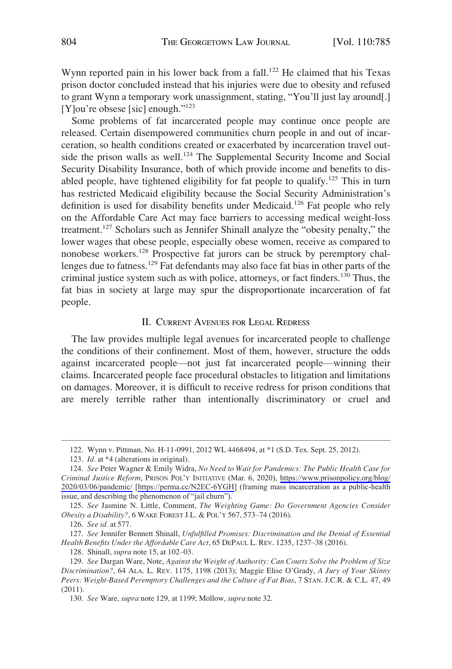<span id="page-19-0"></span>Wynn reported pain in his lower back from a fall.<sup>122</sup> He claimed that his Texas prison doctor concluded instead that his injuries were due to obesity and refused to grant Wynn a temporary work unassignment, stating, "You'll just lay around[.] [Y]ou're obsese [sic] enough."<sup>123</sup>

Some problems of fat incarcerated people may continue once people are released. Certain disempowered communities churn people in and out of incarceration, so health conditions created or exacerbated by incarceration travel outside the prison walls as well.<sup>124</sup> The Supplemental Security Income and Social Security Disability Insurance, both of which provide income and benefits to disabled people, have tightened eligibility for fat people to qualify.<sup>125</sup> This in turn has restricted Medicaid eligibility because the Social Security Administration's definition is used for disability benefits under Medicaid.126 Fat people who rely on the Affordable Care Act may face barriers to accessing medical weight-loss treatment.127 Scholars such as Jennifer Shinall analyze the "obesity penalty," the lower wages that obese people, especially obese women, receive as compared to nonobese workers.128 Prospective fat jurors can be struck by peremptory challenges due to fatness.<sup>129</sup> Fat defendants may also face fat bias in other parts of the criminal justice system such as with police, attorneys, or fact finders.130 Thus, the fat bias in society at large may spur the disproportionate incarceration of fat people.

# II. CURRENT AVENUES FOR LEGAL REDRESS

The law provides multiple legal avenues for incarcerated people to challenge the conditions of their confinement. Most of them, however, structure the odds against incarcerated people—not just fat incarcerated people—winning their claims. Incarcerated people face procedural obstacles to litigation and limitations on damages. Moreover, it is difficult to receive redress for prison conditions that are merely terrible rather than intentionally discriminatory or cruel and

128. Shinall, *supra* note 15, at 102–03.

<sup>122.</sup> Wynn v. Pittman, No. H-11-0991, 2012 WL 4468494, at \*1 (S.D. Tex. Sept. 25, 2012).

<sup>123.</sup> *Id.* at \*4 (alterations in original).

*See* Peter Wagner & Emily Widra, *No Need to Wait for Pandemics: The Public Health Case for* 124. *Criminal Justice Reform*, PRISON POL'Y INITIATIVE (Mar. 6, 2020), [https://www.prisonpolicy.org/blog/](https://www.prisonpolicy.org/blog/2020/03/06/pandemic/)  [2020/03/06/pandemic/](https://www.prisonpolicy.org/blog/2020/03/06/pandemic/) [\[https://perma.cc/N2EC-6YGH\]](https://perma.cc/N2EC-6YGH) (framing mass incarceration as a public-health issue, and describing the phenomenon of "jail churn").

<sup>125.</sup> *See* Jasmine N. Little, Comment, *The Weighting Game: Do Government Agencies Consider Obesity a Disability?*, 6 WAKE FOREST J.L. & POL'Y 567, 573–74 (2016).

<sup>126.</sup> *See id.* at 577.

<sup>127.</sup> *See* Jennifer Bennett Shinall, *Unfulfilled Promises: Discrimination and the Denial of Essential Health Benefits Under the Affordable Care Act*, 65 DEPAUL L. REV. 1235, 1237–38 (2016).

<sup>129.</sup> *See* Dargan Ware, Note, *Against the Weight of Authority: Can Courts Solve the Problem of Size Discrimination?*, 64 ALA. L. REV. 1175, 1198 (2013); Maggie Elise O'Grady, *A Jury of Your Skinny Peers: Weight-Based Peremptory Challenges and the Culture of Fat Bias*, 7 STAN. J.C.R. & C.L. 47, 49 (2011).

<sup>130.</sup> *See* Ware, *supra* note 129, at 1199; Mollow, *supra* note 32.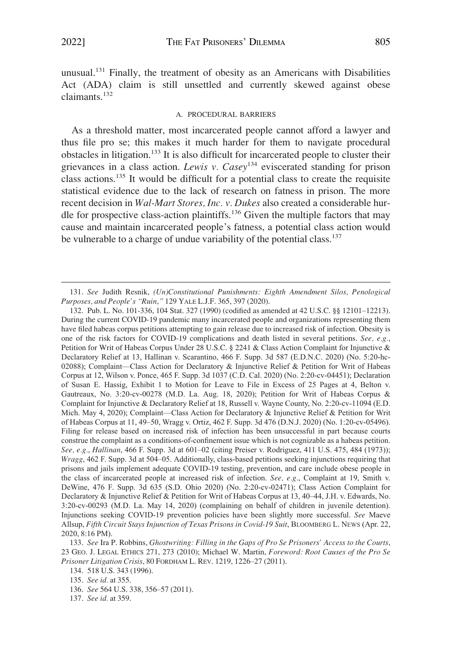<span id="page-20-0"></span>unusual.131 Finally, the treatment of obesity as an Americans with Disabilities Act (ADA) claim is still unsettled and currently skewed against obese claimants.<sup>132</sup>

#### A. PROCEDURAL BARRIERS

As a threshold matter, most incarcerated people cannot afford a lawyer and thus file pro se; this makes it much harder for them to navigate procedural obstacles in litigation.133 It is also difficult for incarcerated people to cluster their grievances in a class action. *Lewis v. Casey*134 eviscerated standing for prison class actions.135 It would be difficult for a potential class to create the requisite statistical evidence due to the lack of research on fatness in prison. The more recent decision in *Wal-Mart Stores, Inc. v. Dukes* also created a considerable hurdle for prospective class-action plaintiffs.136 Given the multiple factors that may cause and maintain incarcerated people's fatness, a potential class action would be vulnerable to a charge of undue variability of the potential class.<sup>137</sup>

<sup>131.</sup> *See* Judith Resnik, *(Un)Constitutional Punishments: Eighth Amendment Silos, Penological Purposes, and People's "Ruin*,*"* 129 YALE L.J.F. 365, 397 (2020).

<sup>132.</sup> Pub. L. No. 101-336, 104 Stat. 327 (1990) (codified as amended at 42 U.S.C. §§ 12101–12213). During the current COVID-19 pandemic many incarcerated people and organizations representing them have filed habeas corpus petitions attempting to gain release due to increased risk of infection. Obesity is one of the risk factors for COVID-19 complications and death listed in several petitions. *See, e.g.*, Petition for Writ of Habeas Corpus Under 28 U.S.C. § 2241 & Class Action Complaint for Injunctive & Declaratory Relief at 13, Hallinan v. Scarantino, 466 F. Supp. 3d 587 (E.D.N.C. 2020) (No. 5:20-hc-02088); Complaint—Class Action for Declaratory & Injunctive Relief & Petition for Writ of Habeas Corpus at 12, Wilson v. Ponce, 465 F. Supp. 3d 1037 (C.D. Cal. 2020) (No. 2:20-cv-04451); Declaration of Susan E. Hassig, Exhibit 1 to Motion for Leave to File in Excess of 25 Pages at 4, Belton v. Gautreaux, No. 3:20-cv-00278 (M.D. La. Aug. 18, 2020); Petition for Writ of Habeas Corpus & Complaint for Injunctive & Declaratory Relief at 18, Russell v. Wayne County, No. 2:20-cv-11094 (E.D. Mich. May 4, 2020); Complaint—Class Action for Declaratory & Injunctive Relief & Petition for Writ of Habeas Corpus at 11, 49–50, Wragg v. Ortiz, 462 F. Supp. 3d 476 (D.N.J. 2020) (No. 1:20-cv-05496). Filing for release based on increased risk of infection has been unsuccessful in part because courts construe the complaint as a conditions-of-confinement issue which is not cognizable as a habeas petition. *See, e.g.*, *Hallinan*, 466 F. Supp. 3d at 601–02 (citing Preiser v. Rodriguez, 411 U.S. 475, 484 (1973)); *Wragg*, 462 F. Supp. 3d at 504–05. Additionally, class-based petitions seeking injunctions requiring that prisons and jails implement adequate COVID-19 testing, prevention, and care include obese people in the class of incarcerated people at increased risk of infection. *See, e.g.*, Complaint at 19, Smith v. DeWine, 476 F. Supp. 3d 635 (S.D. Ohio 2020) (No. 2:20-cv-02471); Class Action Complaint for Declaratory & Injunctive Relief & Petition for Writ of Habeas Corpus at 13, 40–44, J.H. v. Edwards, No. 3:20-cv-00293 (M.D. La. May 14, 2020) (complaining on behalf of children in juvenile detention). Injunctions seeking COVID-19 prevention policies have been slightly more successful. *See* Maeve Allsup, *Fifth Circuit Stays Injunction of Texas Prisons in Covid-19 Suit*, BLOOMBERG L. NEWS (Apr. 22, 2020, 8:16 PM).

<sup>133.</sup> *See* Ira P. Robbins, *Ghostwriting: Filling in the Gaps of Pro Se Prisoners' Access to the Courts*, 23 GEO. J. LEGAL ETHICS 271, 273 (2010); Michael W. Martin, *Foreword: Root Causes of the Pro Se Prisoner Litigation Crisis*, 80 FORDHAM L. REV. 1219, 1226–27 (2011).

<sup>134. 518</sup> U.S. 343 (1996).

<sup>135.</sup> *See id.* at 355.

<sup>136.</sup> *See* 564 U.S. 338, 356–57 (2011).

<sup>137.</sup> *See id.* at 359.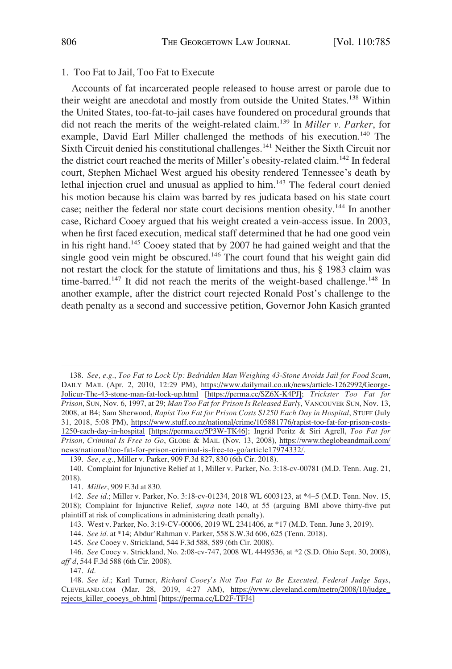#### <span id="page-21-0"></span>1. Too Fat to Jail, Too Fat to Execute

Accounts of fat incarcerated people released to house arrest or parole due to their weight are anecdotal and mostly from outside the United States.<sup>138</sup> Within the United States, too-fat-to-jail cases have foundered on procedural grounds that did not reach the merits of the weight-related claim.139 In *Miller v. Parker*, for example, David Earl Miller challenged the methods of his execution.<sup>140</sup> The Sixth Circuit denied his constitutional challenges.<sup>141</sup> Neither the Sixth Circuit nor the district court reached the merits of Miller's obesity-related claim.<sup>142</sup> In federal court, Stephen Michael West argued his obesity rendered Tennessee's death by lethal injection cruel and unusual as applied to him.<sup>143</sup> The federal court denied his motion because his claim was barred by res judicata based on his state court case; neither the federal nor state court decisions mention obesity.<sup>144</sup> In another case, Richard Cooey argued that his weight created a vein-access issue. In 2003, when he first faced execution, medical staff determined that he had one good vein in his right hand.145 Cooey stated that by 2007 he had gained weight and that the single good vein might be obscured.<sup>146</sup> The court found that his weight gain did not restart the clock for the statute of limitations and thus, his § 1983 claim was time-barred.<sup>147</sup> It did not reach the merits of the weight-based challenge.<sup>148</sup> In another example, after the district court rejected Ronald Post's challenge to the death penalty as a second and successive petition, Governor John Kasich granted

*See, e.g.*, *Too Fat to Lock Up: Bedridden Man Weighing 43-Stone Avoids Jail for Food Scam*, 138. DAILY MAIL (Apr. 2, 2010, 12:29 PM), [https://www.dailymail.co.uk/news/article-1262992/George-](https://www.dailymail.co.uk/news/article-1262992/George-Jolicur-The-43-stone-man-fat-lock-up.html)[Jolicur-The-43-stone-man-fat-lock-up.html](https://www.dailymail.co.uk/news/article-1262992/George-Jolicur-The-43-stone-man-fat-lock-up.html) [\[https://perma.cc/SZ6X-K4PJ\];](https://perma.cc/SZ6X-K4PJ];) *Trickster Too Fat for Prison*, SUN, Nov. 6, 1997, at 29; *Man Too Fat for Prison Is Released Early*, VANCOUVER SUN, Nov. 13, 2008, at B4; Sam Sherwood, *Rapist Too Fat for Prison Costs \$1250 Each Day in Hospital*, STUFF (July 31, 2018, 5:08 PM), [https://www.stuff.co.nz/national/crime/105881776/rapist-too-fat-for-prison-costs-](https://www.stuff.co.nz/national/crime/105881776/rapist-too-fat-for-prison-costs-1250-each-day-in-hospital)[1250-each-day-in-hospital](https://www.stuff.co.nz/national/crime/105881776/rapist-too-fat-for-prison-costs-1250-each-day-in-hospital) [[https://perma.cc/5P3W-TK46\]](https://perma.cc/5P3W-TK46); Ingrid Peritz & Siri Agrell, *Too Fat for Prison, Criminal Is Free to Go*, GLOBE & MAIL (Nov. 13, 2008), [https://www.theglobeandmail.com/](https://www.theglobeandmail.com/news/national/too-fat-for-prison-criminal-is-free-to-go/article17974332/)  [news/national/too-fat-for-prison-criminal-is-free-to-go/article17974332/.](https://www.theglobeandmail.com/news/national/too-fat-for-prison-criminal-is-free-to-go/article17974332/)

139. *See, e.g.*, Miller v. Parker, 909 F.3d 827, 830 (6th Cir. 2018).

140. Complaint for Injunctive Relief at 1, Miller v. Parker, No. 3:18-cv-00781 (M.D. Tenn. Aug. 21, 2018).

143. West v. Parker, No. 3:19-CV-00006, 2019 WL 2341406, at \*17 (M.D. Tenn. June 3, 2019).

144. *See id.* at \*14; Abdur'Rahman v. Parker, 558 S.W.3d 606, 625 (Tenn. 2018).

145. *See* Cooey v. Strickland, 544 F.3d 588, 589 (6th Cir. 2008).

146. *See* Cooey v. Strickland, No. 2:08-cv-747, 2008 WL 4449536, at \*2 (S.D. Ohio Sept. 30, 2008), *aff'd*, 544 F.3d 588 (6th Cir. 2008).

<sup>141.</sup> *Miller*, 909 F.3d at 830.

<sup>142.</sup> *See id.*; Miller v. Parker, No. 3:18-cv-01234, 2018 WL 6003123, at \*4–5 (M.D. Tenn. Nov. 15, 2018); Complaint for Injunctive Relief, *supra* note 140, at 55 (arguing BMI above thirty-five put plaintiff at risk of complications in administering death penalty).

<sup>147.</sup> *Id.* 

*See id.*; Karl Turner, *Richard Cooey's Not Too Fat to Be Executed, Federal Judge Says*, 148. CLEVELAND.COM (Mar. 28, 2019, 4:27 AM), [https://www.cleveland.com/metro/2008/10/judge\\_](https://www.cleveland.com/metro/2008/10/judge_rejects_killer_cooeys_ob.html)  [rejects\\_killer\\_cooeys\\_ob.html](https://www.cleveland.com/metro/2008/10/judge_rejects_killer_cooeys_ob.html) [[https://perma.cc/LD2F-TFJ4](https://www.cleveland.com/metro/2008/10/judge_rejects_killer_cooeys_ob.html)]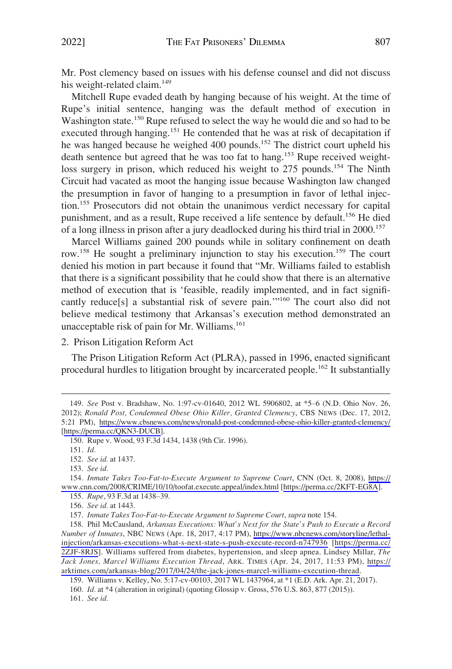<span id="page-22-0"></span>Mr. Post clemency based on issues with his defense counsel and did not discuss his weight-related claim.<sup>149</sup>

Mitchell Rupe evaded death by hanging because of his weight. At the time of Rupe's initial sentence, hanging was the default method of execution in Washington state.<sup>150</sup> Rupe refused to select the way he would die and so had to be executed through hanging.<sup>151</sup> He contended that he was at risk of decapitation if he was hanged because he weighed 400 pounds.<sup>152</sup> The district court upheld his death sentence but agreed that he was too fat to hang.153 Rupe received weightloss surgery in prison, which reduced his weight to 275 pounds.<sup>154</sup> The Ninth Circuit had vacated as moot the hanging issue because Washington law changed the presumption in favor of hanging to a presumption in favor of lethal injection.155 Prosecutors did not obtain the unanimous verdict necessary for capital punishment, and as a result, Rupe received a life sentence by default.156 He died of a long illness in prison after a jury deadlocked during his third trial in 2000.<sup>157</sup>

Marcel Williams gained 200 pounds while in solitary confinement on death row.<sup>158</sup> He sought a preliminary injunction to stay his execution.<sup>159</sup> The court denied his motion in part because it found that "Mr. Williams failed to establish that there is a significant possibility that he could show that there is an alternative method of execution that is 'feasible, readily implemented, and in fact significantly reduce[s] a substantial risk of severe pain.'"160 The court also did not believe medical testimony that Arkansas's execution method demonstrated an unacceptable risk of pain for Mr. Williams.<sup>161</sup>

2. Prison Litigation Reform Act

The Prison Litigation Reform Act (PLRA), passed in 1996, enacted significant procedural hurdles to litigation brought by incarcerated people.<sup>162</sup> It substantially

151. *Id.* 

153. *See id.* 

156. *See id.* at 1443.

157. *Inmate Takes Too-Fat-to-Execute Argument to Supreme Court*, *supra* note 154.

158. Phil McCausland, Arkansas Executions: What's Next for the State's Push to Execute a Record *Number of Inmates*, NBC NEWS (Apr. 18, 2017, 4:17 PM), [https://www.nbcnews.com/storyline/lethal](https://www.nbcnews.com/storyline/lethal-injection/arkansas-executions-what-s-next-state-s-push-execute-record-n747936)[injection/arkansas-executions-what-s-next-state-s-push-execute-record-n747936](https://www.nbcnews.com/storyline/lethal-injection/arkansas-executions-what-s-next-state-s-push-execute-record-n747936) [[https://perma.cc/](https://perma.cc/2ZJF-8RJS) [2ZJF-8RJS\]](https://perma.cc/2ZJF-8RJS). Williams suffered from diabetes, hypertension, and sleep apnea. Lindsey Millar, *The Jack Jones, Marcel Williams Execution Thread*, ARK. TIMES (Apr. 24, 2017, 11:53 PM), [https://](https://arktimes.com/arkansas-blog/2017/04/24/the-jack-jones-marcel-williams-execution-thread) [arktimes.com/arkansas-blog/2017/04/24/the-jack-jones-marcel-williams-execution-thread.](https://arktimes.com/arkansas-blog/2017/04/24/the-jack-jones-marcel-williams-execution-thread)

161. *See id.* 

*See* Post v. Bradshaw, No. 1:97-cv-01640, 2012 WL 5906802, at \*5–6 (N.D. Ohio Nov. 26, 149. 2012); *Ronald Post, Condemned Obese Ohio Killer, Granted Clemency*, CBS NEWS (Dec. 17, 2012, 5:21 PM), <https://www.cbsnews.com/news/ronald-post-condemned-obese-ohio-killer-granted-clemency/> [[https://perma.cc/QKN3-DUCB\]](https://perma.cc/QKN3-DUCB).

<sup>150.</sup> Rupe v. Wood, 93 F.3d 1434, 1438 (9th Cir. 1996).

<sup>152.</sup> *See id.* at 1437.

<sup>154.</sup> Inmate Takes Too-Fat-to-Execute Argument to Supreme Court, CNN (Oct. 8, 2008), https:// [www.cnn.com/2008/CRIME/10/10/toofat.execute.appeal/index.html](https://www.cnn.com/2008/CRIME/10/10/toofat.execute.appeal/index.html) [[https://perma.cc/2KFT-EG8A\]](https://perma.cc/2KFT-EG8A). 155. *Rupe*, 93 F.3d at 1438–39.

<sup>159.</sup> Williams v. Kelley, No. 5:17-cv-00103, 2017 WL 1437964, at \*1 (E.D. Ark. Apr. 21, 2017).

<sup>160.</sup> *Id.* at \*4 (alteration in original) (quoting Glossip v. Gross, 576 U.S. 863, 877 (2015)).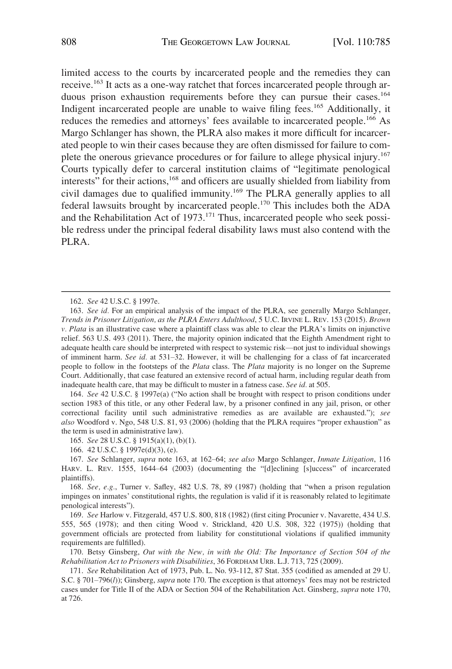limited access to the courts by incarcerated people and the remedies they can receive.163 It acts as a one-way ratchet that forces incarcerated people through arduous prison exhaustion requirements before they can pursue their cases.<sup>164</sup> Indigent incarcerated people are unable to waive filing fees.165 Additionally, it reduces the remedies and attorneys' fees available to incarcerated people.<sup>166</sup> As Margo Schlanger has shown, the PLRA also makes it more difficult for incarcerated people to win their cases because they are often dismissed for failure to complete the onerous grievance procedures or for failure to allege physical injury.<sup>167</sup> Courts typically defer to carceral institution claims of "legitimate penological interests" for their actions,<sup>168</sup> and officers are usually shielded from liability from civil damages due to qualified immunity.169 The PLRA generally applies to all federal lawsuits brought by incarcerated people.170 This includes both the ADA and the Rehabilitation Act of 1973.<sup>171</sup> Thus, incarcerated people who seek possible redress under the principal federal disability laws must also contend with the PLRA.

164. *See* 42 U.S.C. § 1997e(a) ("No action shall be brought with respect to prison conditions under section 1983 of this title, or any other Federal law, by a prisoner confined in any jail, prison, or other correctional facility until such administrative remedies as are available are exhausted."); *see also* Woodford v. Ngo, 548 U.S. 81, 93 (2006) (holding that the PLRA requires "proper exhaustion" as the term is used in administrative law).

165. *See* 28 U.S.C. § 1915(a)(1), (b)(1).

166. 42 U.S.C. § 1997e(d)(3), (e).

167. *See* Schlanger, *supra* note 163, at 162–64; *see also* Margo Schlanger, *Inmate Litigation*, 116 HARV. L. REV. 1555, 1644–64 (2003) (documenting the "[d]eclining [s]uccess" of incarcerated plaintiffs).

168. *See, e.g.*, Turner v. Safley, 482 U.S. 78, 89 (1987) (holding that "when a prison regulation impinges on inmates' constitutional rights, the regulation is valid if it is reasonably related to legitimate penological interests").

169. *See* Harlow v. Fitzgerald, 457 U.S. 800, 818 (1982) (first citing Procunier v. Navarette, 434 U.S. 555, 565 (1978); and then citing Wood v. Strickland, 420 U.S. 308, 322 (1975)) (holding that government officials are protected from liability for constitutional violations if qualified immunity requirements are fulfilled).

170. Betsy Ginsberg, *Out with the New, in with the Old: The Importance of Section 504 of the Rehabilitation Act to Prisoners with Disabilities*, 36 FORDHAM URB. L.J. 713, 725 (2009).

171. *See* Rehabilitation Act of 1973, Pub. L. No. 93-112, 87 Stat. 355 (codified as amended at 29 U. S.C. § 701–796(*l*)); Ginsberg, *supra* note 170. The exception is that attorneys' fees may not be restricted cases under for Title II of the ADA or Section 504 of the Rehabilitation Act. Ginsberg, *supra* note 170, at 726.

<sup>162.</sup> *See* 42 U.S.C. § 1997e.

<sup>163.</sup> *See id.* For an empirical analysis of the impact of the PLRA, see generally Margo Schlanger, *Trends in Prisoner Litigation, as the PLRA Enters Adulthood*, 5 U.C. IRVINE L. REV. 153 (2015). *Brown v. Plata* is an illustrative case where a plaintiff class was able to clear the PLRA's limits on injunctive relief. 563 U.S. 493 (2011). There, the majority opinion indicated that the Eighth Amendment right to adequate health care should be interpreted with respect to systemic risk—not just to individual showings of imminent harm. *See id.* at 531–32. However, it will be challenging for a class of fat incarcerated people to follow in the footsteps of the *Plata* class. The *Plata* majority is no longer on the Supreme Court. Additionally, that case featured an extensive record of actual harm, including regular death from inadequate health care, that may be difficult to muster in a fatness case. *See id.* at 505.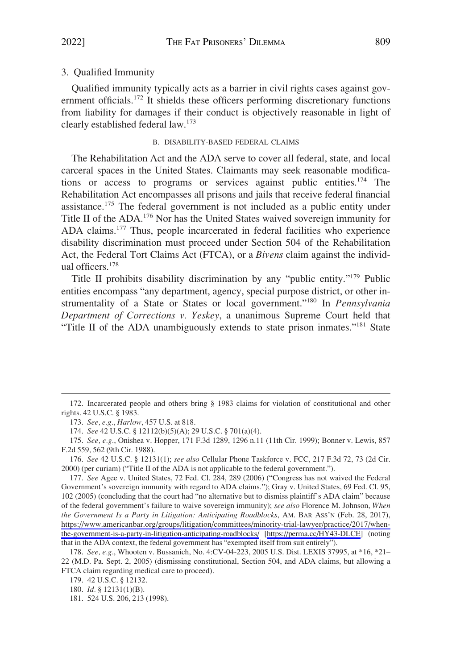# <span id="page-24-0"></span>3. Qualified Immunity

Qualified immunity typically acts as a barrier in civil rights cases against government officials.<sup>172</sup> It shields these officers performing discretionary functions from liability for damages if their conduct is objectively reasonable in light of clearly established federal law.173

#### B. DISABILITY-BASED FEDERAL CLAIMS

The Rehabilitation Act and the ADA serve to cover all federal, state, and local carceral spaces in the United States. Claimants may seek reasonable modifications or access to programs or services against public entities.<sup>174</sup> The Rehabilitation Act encompasses all prisons and jails that receive federal financial assistance.175 The federal government is not included as a public entity under Title II of the ADA.176 Nor has the United States waived sovereign immunity for ADA claims.<sup>177</sup> Thus, people incarcerated in federal facilities who experience disability discrimination must proceed under Section 504 of the Rehabilitation Act, the Federal Tort Claims Act (FTCA), or a *Bivens* claim against the individual officers.178

Title II prohibits disability discrimination by any "public entity."179 Public entities encompass "any department, agency, special purpose district, or other instrumentality of a State or States or local government."180 In *Pennsylvania Department of Corrections v. Yeskey*, a unanimous Supreme Court held that "Title II of the ADA unambiguously extends to state prison inmates."<sup>181</sup> State

<sup>172.</sup> Incarcerated people and others bring § 1983 claims for violation of constitutional and other rights. 42 U.S.C. § 1983.

<sup>173.</sup> *See, e.g.*, *Harlow*, 457 U.S. at 818.

<sup>174.</sup> *See* 42 U.S.C. § 12112(b)(5)(A); 29 U.S.C. § 701(a)(4).

<sup>175.</sup> *See, e.g.*, Onishea v. Hopper, 171 F.3d 1289, 1296 n.11 (11th Cir. 1999); Bonner v. Lewis, 857 F.2d 559, 562 (9th Cir. 1988).

<sup>176.</sup> *See* 42 U.S.C. § 12131(1); *see also* Cellular Phone Taskforce v. FCC, 217 F.3d 72, 73 (2d Cir. 2000) (per curiam) ("Title II of the ADA is not applicable to the federal government.").

<sup>177.</sup> See Agee v. United States, 72 Fed. Cl. 284, 289 (2006) ("Congress has not waived the Federal Government's sovereign immunity with regard to ADA claims."); Gray v. United States, 69 Fed. Cl. 95, 102 (2005) (concluding that the court had "no alternative but to dismiss plaintiff's ADA claim" because of the federal government's failure to waive sovereign immunity); *see also* Florence M. Johnson, *When the Government Is a Party in Litigation: Anticipating Roadblocks*, AM. BAR ASS'N (Feb. 28, 2017), [https://www.americanbar.org/groups/litigation/committees/minority-trial-lawyer/practice/2017/when](https://www.americanbar.org/groups/litigation/committees/minority-trial-lawyer/practice/2017/when-the-government-is-a-party-in-litigation-anticipating-roadblocks/)[the-government-is-a-party-in-litigation-anticipating-roadblocks/](https://www.americanbar.org/groups/litigation/committees/minority-trial-lawyer/practice/2017/when-the-government-is-a-party-in-litigation-anticipating-roadblocks/) [\[https://perma.cc/HY43-DLCE\]](https://perma.cc/HY43-DLCE) (noting that in the ADA context, the federal government has "exempted itself from suit entirely").

<sup>178.</sup> *See, e.g.*, Whooten v. Bussanich, No. 4:CV-04-223, 2005 U.S. Dist. LEXIS 37995, at \*16, \*21– 22 (M.D. Pa. Sept. 2, 2005) (dismissing constitutional, Section 504, and ADA claims, but allowing a FTCA claim regarding medical care to proceed).

<sup>179. 42</sup> U.S.C. § 12132.

<sup>180.</sup> *Id.* § 12131(1)(B).

<sup>181. 524</sup> U.S. 206, 213 (1998).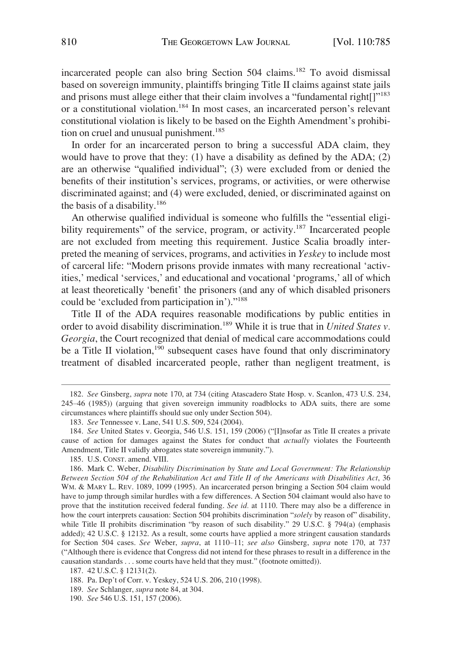incarcerated people can also bring Section 504 claims.<sup>182</sup> To avoid dismissal based on sovereign immunity, plaintiffs bringing Title II claims against state jails and prisons must allege either that their claim involves a "fundamental right[]"<sup>183</sup> or a constitutional violation.184 In most cases, an incarcerated person's relevant constitutional violation is likely to be based on the Eighth Amendment's prohibition on cruel and unusual punishment.<sup>185</sup>

In order for an incarcerated person to bring a successful ADA claim, they would have to prove that they: (1) have a disability as defined by the ADA; (2) are an otherwise "qualified individual"; (3) were excluded from or denied the benefits of their institution's services, programs, or activities, or were otherwise discriminated against; and (4) were excluded, denied, or discriminated against on the basis of a disability.<sup>186</sup>

An otherwise qualified individual is someone who fulfills the "essential eligibility requirements" of the service, program, or activity.<sup>187</sup> Incarcerated people are not excluded from meeting this requirement. Justice Scalia broadly interpreted the meaning of services, programs, and activities in *Yeskey* to include most of carceral life: "Modern prisons provide inmates with many recreational 'activities,' medical 'services,' and educational and vocational 'programs,' all of which at least theoretically 'benefit' the prisoners (and any of which disabled prisoners could be 'excluded from participation in')."<sup>188</sup>

Title II of the ADA requires reasonable modifications by public entities in order to avoid disability discrimination.<sup>189</sup> While it is true that in *United States v*. *Georgia*, the Court recognized that denial of medical care accommodations could be a Title II violation,<sup>190</sup> subsequent cases have found that only discriminatory treatment of disabled incarcerated people, rather than negligent treatment, is

<sup>182.</sup> *See* Ginsberg, *supra* note 170, at 734 (citing Atascadero State Hosp. v. Scanlon, 473 U.S. 234, 245–46 (1985)) (arguing that given sovereign immunity roadblocks to ADA suits, there are some circumstances where plaintiffs should sue only under Section 504).

<sup>183.</sup> *See* Tennessee v. Lane, 541 U.S. 509, 524 (2004).

<sup>184.</sup> *See* United States v. Georgia, 546 U.S. 151, 159 (2006) ("[I]nsofar as Title II creates a private cause of action for damages against the States for conduct that *actually* violates the Fourteenth Amendment, Title II validly abrogates state sovereign immunity.").

<sup>185.</sup> U.S. CONST. amend. VIII.

<sup>186.</sup> Mark C. Weber, *Disability Discrimination by State and Local Government: The Relationship Between Section 504 of the Rehabilitation Act and Title II of the Americans with Disabilities Act*, 36 WM. & MARY L. REV. 1089, 1099 (1995). An incarcerated person bringing a Section 504 claim would have to jump through similar hurdles with a few differences. A Section 504 claimant would also have to prove that the institution received federal funding. *See id.* at 1110. There may also be a difference in how the court interprets causation: Section 504 prohibits discrimination "*solely* by reason of" disability, while Title II prohibits discrimination "by reason of such disability." 29 U.S.C. § 794(a) (emphasis added); 42 U.S.C. § 12132. As a result, some courts have applied a more stringent causation standards for Section 504 cases. *See* Weber, *supra*, at 1110–11; *see also* Ginsberg, *supra* note 170, at 737 ("Although there is evidence that Congress did not intend for these phrases to result in a difference in the causation standards . . . some courts have held that they must." (footnote omitted)).

<sup>187. 42</sup> U.S.C. § 12131(2).

<sup>188.</sup> Pa. Dep't of Corr. v. Yeskey, 524 U.S. 206, 210 (1998).

<sup>189.</sup> *See* Schlanger, *supra* note 84, at 304.

<sup>190.</sup> *See* 546 U.S. 151, 157 (2006).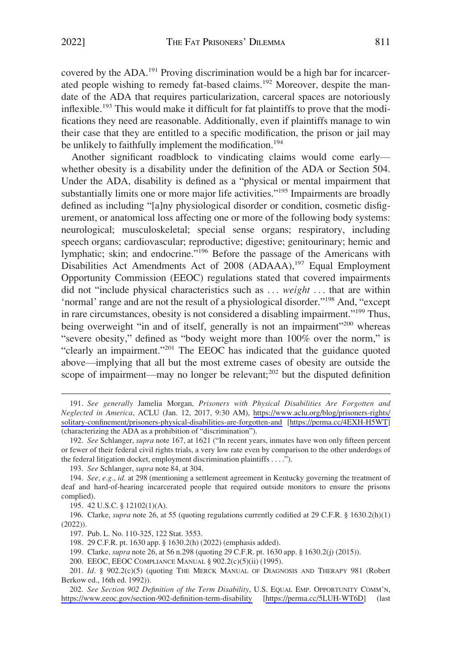covered by the ADA.<sup>191</sup> Proving discrimination would be a high bar for incarcerated people wishing to remedy fat-based claims.<sup>192</sup> Moreover, despite the mandate of the ADA that requires particularization, carceral spaces are notoriously inflexible.<sup>193</sup> This would make it difficult for fat plaintiffs to prove that the modifications they need are reasonable. Additionally, even if plaintiffs manage to win their case that they are entitled to a specific modification, the prison or jail may be unlikely to faithfully implement the modification.<sup>194</sup>

Another significant roadblock to vindicating claims would come early whether obesity is a disability under the definition of the ADA or Section 504. Under the ADA, disability is defined as a "physical or mental impairment that substantially limits one or more major life activities."<sup>195</sup> Impairments are broadly defined as including "[a]ny physiological disorder or condition, cosmetic disfigurement, or anatomical loss affecting one or more of the following body systems: neurological; musculoskeletal; special sense organs; respiratory, including speech organs; cardiovascular; reproductive; digestive; genitourinary; hemic and lymphatic; skin; and endocrine."<sup>196</sup> Before the passage of the Americans with Disabilities Act Amendments Act of 2008 (ADAAA),<sup>197</sup> Equal Employment Opportunity Commission (EEOC) regulations stated that covered impairments did not "include physical characteristics such as . . . *weight* . . . that are within 'normal' range and are not the result of a physiological disorder."198 And, "except in rare circumstances, obesity is not considered a disabling impairment."199 Thus, being overweight "in and of itself, generally is not an impairment"<sup>200</sup> whereas "severe obesity," defined as "body weight more than 100% over the norm," is "clearly an impairment."201 The EEOC has indicated that the guidance quoted above—implying that all but the most extreme cases of obesity are outside the scope of impairment—may no longer be relevant; $^{202}$  but the disputed definition

193. *See* Schlanger, *supra* note 84, at 304.

195. 42 U.S.C. § 12102(1)(A).

196. Clarke, *supra* note 26, at 55 (quoting regulations currently codified at 29 C.F.R. § 1630.2(h)(1) (2022)).

197. Pub. L. No. 110-325, 122 Stat. 3553.

198. 29 C.F.R. pt. 1630 app. § 1630.2(h) (2022) (emphasis added).

199. Clarke, *supra* note 26, at 56 n.298 (quoting 29 C.F.R. pt. 1630 app. § 1630.2(j) (2015)).

200. EEOC, EEOC COMPLIANCE MANUAL § 902.2(c)(5)(ii) (1995).

201. *Id.* § 902.2(c)(5) (quoting THE MERCK MANUAL OF DIAGNOSIS AND THERAPY 981 (Robert Berkow ed., 16th ed. 1992)).

*See Section 902 Definition of the Term Disability*, U.S. EQUAL EMP. OPPORTUNITY COMM'N, 202. <https://www.eeoc.gov/section-902-definition-term-disability> [[https://perma.cc/5LUH-WT6D\]](https://perma.cc/5LUH-WT6D) (last

*See generally* Jamelia Morgan, *Prisoners with Physical Disabilities Are Forgotten and*  191. *Neglected in America*, ACLU (Jan. 12, 2017, 9:30 AM), [https://www.aclu.org/blog/prisoners-rights/](https://www.aclu.org/blog/prisoners-rights/solitary-confinement/prisoners-physical-disabilities-are-forgotten-and)  [solitary-confinement/prisoners-physical-disabilities-are-forgotten-and](https://www.aclu.org/blog/prisoners-rights/solitary-confinement/prisoners-physical-disabilities-are-forgotten-and) [<https://perma.cc/4EXH-H5WT>] (characterizing the ADA as a prohibition of "discrimination").

<sup>192.</sup> *See* Schlanger, *supra* note 167, at 1621 ("In recent years, inmates have won only fifteen percent or fewer of their federal civil rights trials, a very low rate even by comparison to the other underdogs of the federal litigation docket, employment discrimination plaintiffs . . . .").

<sup>194.</sup> *See, e.g.*, *id.* at 298 (mentioning a settlement agreement in Kentucky governing the treatment of deaf and hard-of-hearing incarcerated people that required outside monitors to ensure the prisons complied).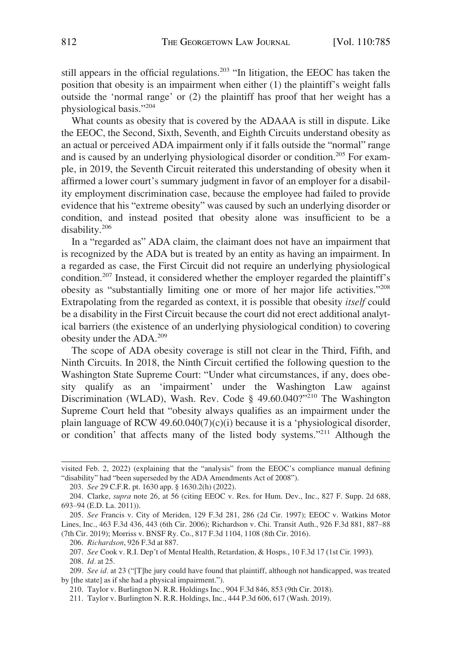still appears in the official regulations.<sup>203</sup> "In litigation, the EEOC has taken the position that obesity is an impairment when either (1) the plaintiff's weight falls outside the 'normal range' or (2) the plaintiff has proof that her weight has a physiological basis."<sup>204</sup>

What counts as obesity that is covered by the ADAAA is still in dispute. Like the EEOC, the Second, Sixth, Seventh, and Eighth Circuits understand obesity as an actual or perceived ADA impairment only if it falls outside the "normal" range and is caused by an underlying physiological disorder or condition.<sup>205</sup> For example, in 2019, the Seventh Circuit reiterated this understanding of obesity when it affirmed a lower court's summary judgment in favor of an employer for a disability employment discrimination case, because the employee had failed to provide evidence that his "extreme obesity" was caused by such an underlying disorder or condition, and instead posited that obesity alone was insufficient to be a disability.206

In a "regarded as" ADA claim, the claimant does not have an impairment that is recognized by the ADA but is treated by an entity as having an impairment. In a regarded as case, the First Circuit did not require an underlying physiological condition.207 Instead, it considered whether the employer regarded the plaintiff's obesity as "substantially limiting one or more of her major life activities."<sup>208</sup> Extrapolating from the regarded as context, it is possible that obesity *itself* could be a disability in the First Circuit because the court did not erect additional analytical barriers (the existence of an underlying physiological condition) to covering obesity under the ADA.209

The scope of ADA obesity coverage is still not clear in the Third, Fifth, and Ninth Circuits. In 2018, the Ninth Circuit certified the following question to the Washington State Supreme Court: "Under what circumstances, if any, does obesity qualify as an 'impairment' under the Washington Law against Discrimination (WLAD), Wash. Rev. Code § 49.60.040?"<sup>210</sup> The Washington Supreme Court held that "obesity always qualifies as an impairment under the plain language of RCW 49.60.040(7)(c)(i) because it is a 'physiological disorder, or condition' that affects many of the listed body systems."211 Although the

206. *Richardson*, 926 F.3d at 887.

207. *See* Cook v. R.I. Dep't of Mental Health, Retardation, & Hosps., 10 F.3d 17 (1st Cir. 1993).

210. Taylor v. Burlington N. R.R. Holdings Inc., 904 F.3d 846, 853 (9th Cir. 2018).

211. Taylor v. Burlington N. R.R. Holdings, Inc., 444 P.3d 606, 617 (Wash. 2019).

visited Feb. 2, 2022) (explaining that the "analysis" from the EEOC's compliance manual defining " disability" had "been superseded by the ADA Amendments Act of 2008").

<sup>203.</sup> *See* 29 C.F.R. pt. 1630 app. § 1630.2(h) (2022).

<sup>204.</sup> Clarke, *supra* note 26, at 56 (citing EEOC v. Res. for Hum. Dev., Inc., 827 F. Supp. 2d 688, 693–94 (E.D. La. 2011)).

<sup>205.</sup> *See* Francis v. City of Meriden, 129 F.3d 281, 286 (2d Cir. 1997); EEOC v. Watkins Motor Lines, Inc., 463 F.3d 436, 443 (6th Cir. 2006); Richardson v. Chi. Transit Auth., 926 F.3d 881, 887–88 (7th Cir. 2019); Morriss v. BNSF Ry. Co., 817 F.3d 1104, 1108 (8th Cir. 2016).

<sup>208.</sup> *Id.* at 25.

<sup>209.</sup> *See id.* at 23 ("[T]he jury could have found that plaintiff, although not handicapped, was treated by [the state] as if she had a physical impairment.").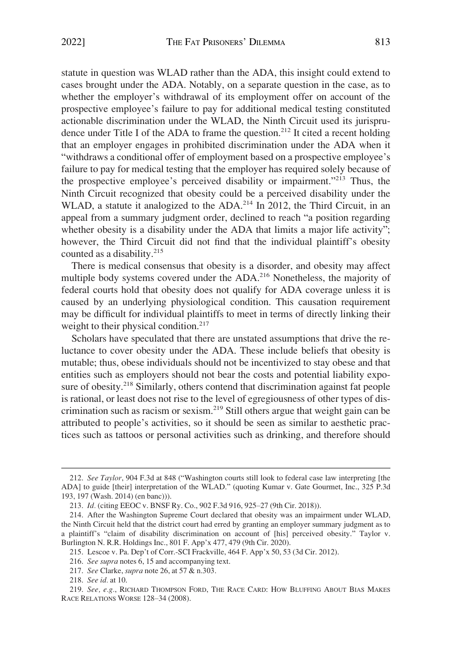statute in question was WLAD rather than the ADA, this insight could extend to cases brought under the ADA. Notably, on a separate question in the case, as to whether the employer's withdrawal of its employment offer on account of the prospective employee's failure to pay for additional medical testing constituted actionable discrimination under the WLAD, the Ninth Circuit used its jurisprudence under Title I of the ADA to frame the question.<sup>212</sup> It cited a recent holding that an employer engages in prohibited discrimination under the ADA when it "withdraws a conditional offer of employment based on a prospective employee's failure to pay for medical testing that the employer has required solely because of the prospective employee's perceived disability or impairment."213 Thus, the Ninth Circuit recognized that obesity could be a perceived disability under the WLAD, a statute it analogized to the ADA.<sup>214</sup> In 2012, the Third Circuit, in an appeal from a summary judgment order, declined to reach "a position regarding whether obesity is a disability under the ADA that limits a major life activity"; however, the Third Circuit did not find that the individual plaintiff's obesity counted as a disability.<sup>215</sup>

There is medical consensus that obesity is a disorder, and obesity may affect multiple body systems covered under the ADA.<sup>216</sup> Nonetheless, the majority of federal courts hold that obesity does not qualify for ADA coverage unless it is caused by an underlying physiological condition. This causation requirement may be difficult for individual plaintiffs to meet in terms of directly linking their weight to their physical condition.<sup>217</sup>

Scholars have speculated that there are unstated assumptions that drive the reluctance to cover obesity under the ADA. These include beliefs that obesity is mutable; thus, obese individuals should not be incentivized to stay obese and that entities such as employers should not bear the costs and potential liability exposure of obesity.<sup>218</sup> Similarly, others contend that discrimination against fat people is rational, or least does not rise to the level of egregiousness of other types of discrimination such as racism or sexism.<sup>219</sup> Still others argue that weight gain can be attributed to people's activities, so it should be seen as similar to aesthetic practices such as tattoos or personal activities such as drinking, and therefore should

<sup>212.</sup> *See Taylor*, 904 F.3d at 848 ("Washington courts still look to federal case law interpreting [the ADA] to guide [their] interpretation of the WLAD." (quoting Kumar v. Gate Gourmet, Inc., 325 P.3d 193, 197 (Wash. 2014) (en banc))).

<sup>213.</sup> *Id.* (citing EEOC v. BNSF Ry. Co., 902 F.3d 916, 925–27 (9th Cir. 2018)).

<sup>214.</sup> After the Washington Supreme Court declared that obesity was an impairment under WLAD, the Ninth Circuit held that the district court had erred by granting an employer summary judgment as to a plaintiff's "claim of disability discrimination on account of [his] perceived obesity." Taylor v. Burlington N. R.R. Holdings Inc., 801 F. App'x 477, 479 (9th Cir. 2020).

<sup>215.</sup> Lescoe v. Pa. Dep't of Corr.-SCI Frackville, 464 F. App'x 50, 53 (3d Cir. 2012).

<sup>216.</sup> *See supra* notes 6, 15 and accompanying text.

<sup>217.</sup> *See* Clarke, *supra* note 26, at 57 & n.303.

<sup>218.</sup> *See id.* at 10.

<sup>219.</sup> *See, e.g.*, RICHARD THOMPSON FORD, THE RACE CARD: HOW BLUFFING ABOUT BIAS MAKES RACE RELATIONS WORSE 128–34 (2008).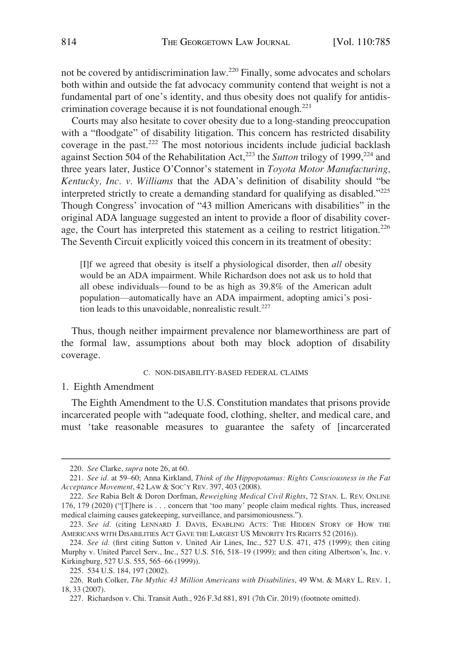<span id="page-29-0"></span>not be covered by antidiscrimination law.220 Finally, some advocates and scholars both within and outside the fat advocacy community contend that weight is not a fundamental part of one's identity, and thus obesity does not qualify for antidiscrimination coverage because it is not foundational enough.221

Courts may also hesitate to cover obesity due to a long-standing preoccupation with a "floodgate" of disability litigation. This concern has restricted disability coverage in the past.<sup>222</sup> The most notorious incidents include judicial backlash against Section 504 of the Rehabilitation Act,<sup>223</sup> the *Sutton* trilogy of 1999,<sup>224</sup> and three years later, Justice O'Connor's statement in *Toyota Motor Manufacturing, Kentucky, Inc. v. Williams* that the ADA's definition of disability should "be interpreted strictly to create a demanding standard for qualifying as disabled." $^{225}$ Though Congress' invocation of "43 million Americans with disabilities" in the original ADA language suggested an intent to provide a floor of disability coverage, the Court has interpreted this statement as a ceiling to restrict litigation.<sup>226</sup> The Seventh Circuit explicitly voiced this concern in its treatment of obesity:

[I]f we agreed that obesity is itself a physiological disorder, then *all* obesity would be an ADA impairment. While Richardson does not ask us to hold that all obese individuals—found to be as high as 39.8% of the American adult population—automatically have an ADA impairment, adopting amici's position leads to this unavoidable, nonrealistic result.<sup>227</sup>

Thus, though neither impairment prevalence nor blameworthiness are part of the formal law, assumptions about both may block adoption of disability coverage.

#### C. NON-DISABILITY-BASED FEDERAL CLAIMS

#### 1. Eighth Amendment

The Eighth Amendment to the U.S. Constitution mandates that prisons provide incarcerated people with "adequate food, clothing, shelter, and medical care, and must 'take reasonable measures to guarantee the safety of [incarcerated

<sup>220.</sup> *See* Clarke, *supra* note 26, at 60.

<sup>221.</sup> *See id.* at 59–60; Anna Kirkland, *Think of the Hippopotamus: Rights Consciousness in the Fat Acceptance Movement*, 42 LAW & SOC'Y REV. 397, 403 (2008).

<sup>222.</sup> *See* Rabia Belt & Doron Dorfman, *Reweighing Medical Civil Rights*, 72 STAN. L. REV. ONLINE 176, 179 (2020) ("[T]here is . . . concern that 'too many' people claim medical rights. Thus, increased medical claiming causes gatekeeping, surveillance, and parsimoniousness.").

<sup>223.</sup> *See id.* (citing LENNARD J. DAVIS, ENABLING ACTS: THE HIDDEN STORY OF HOW THE AMERICANS WITH DISABILITIES ACT GAVE THE LARGEST US MINORITY ITS RIGHTS 52 (2016)).

<sup>224.</sup> *See id.* (first citing Sutton v. United Air Lines, Inc., 527 U.S. 471, 475 (1999); then citing Murphy v. United Parcel Serv., Inc., 527 U.S. 516, 518–19 (1999); and then citing Albertson's, Inc. v. Kirkingburg, 527 U.S. 555, 565–66 (1999)).

<sup>225. 534</sup> U.S. 184, 197 (2002).

<sup>226.</sup> Ruth Colker, *The Mythic 43 Million Americans with Disabilities*, 49 WM. & MARY L. REV. 1, 18, 33 (2007).

<sup>227.</sup> Richardson v. Chi. Transit Auth., 926 F.3d 881, 891 (7th Cir. 2019) (footnote omitted).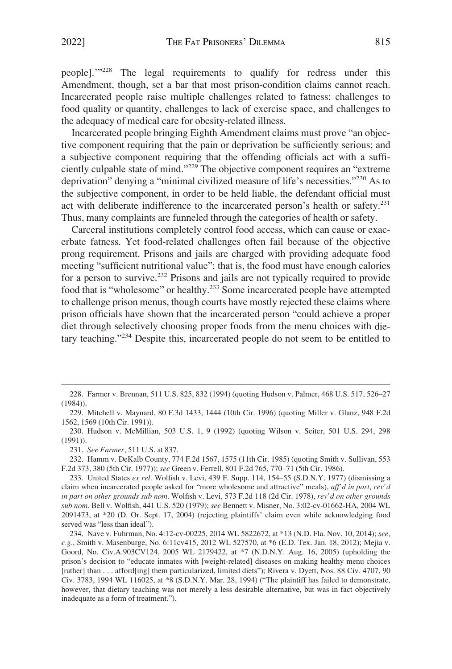people].'"228 The legal requirements to qualify for redress under this Amendment, though, set a bar that most prison-condition claims cannot reach. Incarcerated people raise multiple challenges related to fatness: challenges to food quality or quantity, challenges to lack of exercise space, and challenges to the adequacy of medical care for obesity-related illness.

Incarcerated people bringing Eighth Amendment claims must prove "an objective component requiring that the pain or deprivation be sufficiently serious; and a subjective component requiring that the offending officials act with a sufficiently culpable state of mind."229 The objective component requires an "extreme deprivation" denying a "minimal civilized measure of life's necessities."230 As to the subjective component, in order to be held liable, the defendant official must act with deliberate indifference to the incarcerated person's health or safety.<sup>231</sup> Thus, many complaints are funneled through the categories of health or safety.

Carceral institutions completely control food access, which can cause or exacerbate fatness. Yet food-related challenges often fail because of the objective prong requirement. Prisons and jails are charged with providing adequate food meeting "sufficient nutritional value"; that is, the food must have enough calories for a person to survive.232 Prisons and jails are not typically required to provide food that is "wholesome" or healthy.233 Some incarcerated people have attempted to challenge prison menus, though courts have mostly rejected these claims where prison officials have shown that the incarcerated person "could achieve a proper diet through selectively choosing proper foods from the menu choices with dietary teaching."234 Despite this, incarcerated people do not seem to be entitled to

232. Hamm v. DeKalb County, 774 F.2d 1567, 1575 (11th Cir. 1985) (quoting Smith v. Sullivan, 553 F.2d 373, 380 (5th Cir. 1977)); *see* Green v. Ferrell, 801 F.2d 765, 770–71 (5th Cir. 1986).

<sup>228.</sup> Farmer v. Brennan, 511 U.S. 825, 832 (1994) (quoting Hudson v. Palmer, 468 U.S. 517, 526–27 (1984)).

<sup>229.</sup> Mitchell v. Maynard, 80 F.3d 1433, 1444 (10th Cir. 1996) (quoting Miller v. Glanz, 948 F.2d 1562, 1569 (10th Cir. 1991)).

<sup>230.</sup> Hudson v. McMillian, 503 U.S. 1, 9 (1992) (quoting Wilson v. Seiter, 501 U.S. 294, 298 (1991)).

<sup>231.</sup> *See Farmer*, 511 U.S. at 837.

<sup>233.</sup> United States *ex rel.* Wolfish v. Levi, 439 F. Supp. 114, 154–55 (S.D.N.Y. 1977) (dismissing a claim when incarcerated people asked for "more wholesome and attractive" meals), *aff'd in part, rev'd in part on other grounds sub nom.* Wolfish v. Levi, 573 F.2d 118 (2d Cir. 1978), *rev'd on other grounds sub nom.* Bell v. Wolfish, 441 U.S. 520 (1979); *see* Bennett v. Misner, No. 3:02-cv-01662-HA, 2004 WL 2091473, at \*20 (D. Or. Sept. 17, 2004) (rejecting plaintiffs' claim even while acknowledging food served was "less than ideal").

<sup>234.</sup> Nave v. Fuhrman, No. 4:12-cv-00225, 2014 WL 5822672, at \*13 (N.D. Fla. Nov. 10, 2014); *see, e.g.*, Smith v. Masenburge, No. 6:11cv415, 2012 WL 527570, at \*6 (E.D. Tex. Jan. 18, 2012); Mejia v. Goord, No. Civ.A.903CV124, 2005 WL 2179422, at \*7 (N.D.N.Y. Aug. 16, 2005) (upholding the prison's decision to "educate inmates with [weight-related] diseases on making healthy menu choices [rather] than . . . afford[ing] them particularized, limited diets"); Rivera v. Dyett, Nos. 88 Civ. 4707, 90 Civ. 3783, 1994 WL 116025, at \*8 (S.D.N.Y. Mar. 28, 1994) ("The plaintiff has failed to demonstrate, however, that dietary teaching was not merely a less desirable alternative, but was in fact objectively inadequate as a form of treatment.").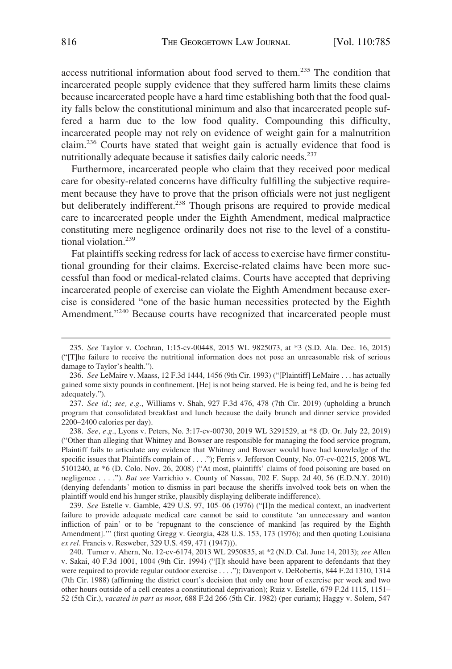access nutritional information about food served to them.235 The condition that incarcerated people supply evidence that they suffered harm limits these claims because incarcerated people have a hard time establishing both that the food quality falls below the constitutional minimum and also that incarcerated people suffered a harm due to the low food quality. Compounding this difficulty, incarcerated people may not rely on evidence of weight gain for a malnutrition claim.236 Courts have stated that weight gain is actually evidence that food is nutritionally adequate because it satisfies daily caloric needs.<sup>237</sup>

Furthermore, incarcerated people who claim that they received poor medical care for obesity-related concerns have difficulty fulfilling the subjective requirement because they have to prove that the prison officials were not just negligent but deliberately indifferent.<sup>238</sup> Though prisons are required to provide medical care to incarcerated people under the Eighth Amendment, medical malpractice constituting mere negligence ordinarily does not rise to the level of a constitutional violation.<sup>239</sup>

Fat plaintiffs seeking redress for lack of access to exercise have firmer constitutional grounding for their claims. Exercise-related claims have been more successful than food or medical-related claims. Courts have accepted that depriving incarcerated people of exercise can violate the Eighth Amendment because exercise is considered "one of the basic human necessities protected by the Eighth Amendment."<sup>240</sup> Because courts have recognized that incarcerated people must

239. *See* Estelle v. Gamble, 429 U.S. 97, 105–06 (1976) ("[I]n the medical context, an inadvertent failure to provide adequate medical care cannot be said to constitute 'an unnecessary and wanton infliction of pain' or to be 'repugnant to the conscience of mankind [as required by the Eighth Amendment].'" (first quoting Gregg v. Georgia, 428 U.S. 153, 173 (1976); and then quoting Louisiana *ex rel.* Francis v. Resweber, 329 U.S. 459, 471 (1947))).

<sup>235.</sup> *See* Taylor v. Cochran, 1:15-cv-00448, 2015 WL 9825073, at \*3 (S.D. Ala. Dec. 16, 2015) ("[T]he failure to receive the nutritional information does not pose an unreasonable risk of serious damage to Taylor's health.").

<sup>236.</sup> *See* LeMaire v. Maass, 12 F.3d 1444, 1456 (9th Cir. 1993) ("[Plaintiff] LeMaire . . . has actually gained some sixty pounds in confinement. [He] is not being starved. He is being fed, and he is being fed adequately.").

<sup>237.</sup> *See id.*; *see, e.g.*, Williams v. Shah, 927 F.3d 476, 478 (7th Cir. 2019) (upholding a brunch program that consolidated breakfast and lunch because the daily brunch and dinner service provided 2200–2400 calories per day).

<sup>238.</sup> *See, e.g.*, Lyons v. Peters, No. 3:17-cv-00730, 2019 WL 3291529, at \*8 (D. Or. July 22, 2019) ("Other than alleging that Whitney and Bowser are responsible for managing the food service program, Plaintiff fails to articulate any evidence that Whitney and Bowser would have had knowledge of the specific issues that Plaintiffs complain of . . . ."); Ferris v. Jefferson County, No. 07-cv-02215, 2008 WL 5101240, at \*6 (D. Colo. Nov. 26, 2008) ("At most, plaintiffs' claims of food poisoning are based on negligence . . . ."). *But see* Varrichio v. County of Nassau, 702 F. Supp. 2d 40, 56 (E.D.N.Y. 2010) (denying defendants' motion to dismiss in part because the sheriffs involved took bets on when the plaintiff would end his hunger strike, plausibly displaying deliberate indifference).

<sup>240.</sup> Turner v. Ahern, No. 12-cv-6174, 2013 WL 2950835, at \*2 (N.D. Cal. June 14, 2013); *see* Allen v. Sakai, 40 F.3d 1001, 1004 (9th Cir. 1994) ("[I]t should have been apparent to defendants that they were required to provide regular outdoor exercise . . . ."); Davenport v. DeRobertis, 844 F.2d 1310, 1314 (7th Cir. 1988) (affirming the district court's decision that only one hour of exercise per week and two other hours outside of a cell creates a constitutional deprivation); Ruiz v. Estelle, 679 F.2d 1115, 1151– 52 (5th Cir.), *vacated in part as moot*, 688 F.2d 266 (5th Cir. 1982) (per curiam); Haggy v. Solem, 547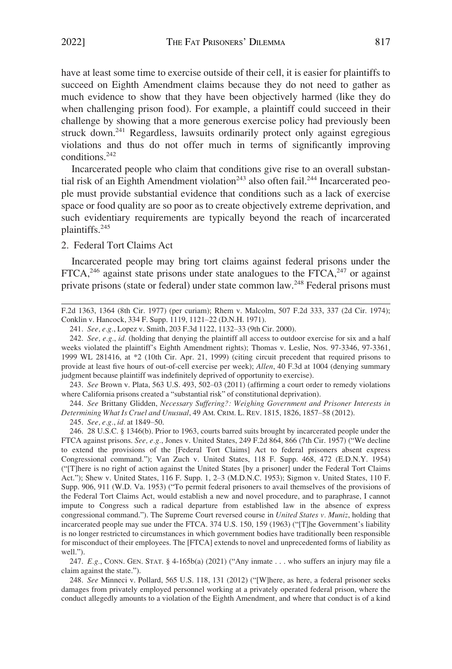<span id="page-32-0"></span>have at least some time to exercise outside of their cell, it is easier for plaintiffs to succeed on Eighth Amendment claims because they do not need to gather as much evidence to show that they have been objectively harmed (like they do when challenging prison food). For example, a plaintiff could succeed in their challenge by showing that a more generous exercise policy had previously been struck down.<sup>241</sup> Regardless, lawsuits ordinarily protect only against egregious violations and thus do not offer much in terms of significantly improving conditions.242

Incarcerated people who claim that conditions give rise to an overall substantial risk of an Eighth Amendment violation<sup>243</sup> also often fail.<sup>244</sup> Incarcerated people must provide substantial evidence that conditions such as a lack of exercise space or food quality are so poor as to create objectively extreme deprivation, and such evidentiary requirements are typically beyond the reach of incarcerated plaintiffs.245

# 2. Federal Tort Claims Act

Incarcerated people may bring tort claims against federal prisons under the  $FTCA<sub>1</sub><sup>246</sup>$  against state prisons under state analogues to the  $FTCA<sub>1</sub><sup>247</sup>$  or against private prisons (state or federal) under state common law.<sup>248</sup> Federal prisons must

243. *See* Brown v. Plata, 563 U.S. 493, 502–03 (2011) (affirming a court order to remedy violations where California prisons created a "substantial risk" of constitutional deprivation).

244. *See* Brittany Glidden, *Necessary Suffering?: Weighing Government and Prisoner Interests in Determining What Is Cruel and Unusual*, 49 AM. CRIM. L. REV. 1815, 1826, 1857–58 (2012).

245. *See, e.g.*, *id.* at 1849–50.

246. 28 U.S.C. § 1346(b). Prior to 1963, courts barred suits brought by incarcerated people under the FTCA against prisons. *See, e.g.*, Jones v. United States, 249 F.2d 864, 866 (7th Cir. 1957) ("We decline to extend the provisions of the [Federal Tort Claims] Act to federal prisoners absent express Congressional command."); Van Zuch v. United States, 118 F. Supp. 468, 472 (E.D.N.Y. 1954) ("[T]here is no right of action against the United States [by a prisoner] under the Federal Tort Claims Act."); Shew v. United States, 116 F. Supp. 1, 2–3 (M.D.N.C. 1953); Sigmon v. United States, 110 F. Supp. 906, 911 (W.D. Va. 1953) ("To permit federal prisoners to avail themselves of the provisions of the Federal Tort Claims Act, would establish a new and novel procedure, and to paraphrase, I cannot impute to Congress such a radical departure from established law in the absence of express congressional command."). The Supreme Court reversed course in *United States v. Muniz*, holding that incarcerated people may sue under the FTCA. 374 U.S. 150, 159 (1963) ("[T]he Government's liability is no longer restricted to circumstances in which government bodies have traditionally been responsible for misconduct of their employees. The [FTCA] extends to novel and unprecedented forms of liability as well.").

247. *E.g.*, CONN. GEN. STAT. § 4-165b(a) (2021) ("Any inmate . . . who suffers an injury may file a claim against the state.").

248. *See* Minneci v. Pollard, 565 U.S. 118, 131 (2012) ("[W]here, as here, a federal prisoner seeks damages from privately employed personnel working at a privately operated federal prison, where the conduct allegedly amounts to a violation of the Eighth Amendment, and where that conduct is of a kind

F.2d 1363, 1364 (8th Cir. 1977) (per curiam); Rhem v. Malcolm, 507 F.2d 333, 337 (2d Cir. 1974); Conklin v. Hancock, 334 F. Supp. 1119, 1121–22 (D.N.H. 1971).

<sup>241.</sup> *See, e.g.*, Lopez v. Smith, 203 F.3d 1122, 1132–33 (9th Cir. 2000).

<sup>242.</sup> *See, e.g.*, *id.* (holding that denying the plaintiff all access to outdoor exercise for six and a half weeks violated the plaintiff's Eighth Amendment rights); Thomas v. Leslie, Nos. 97-3346, 97-3361, 1999 WL 281416, at \*2 (10th Cir. Apr. 21, 1999) (citing circuit precedent that required prisons to provide at least five hours of out-of-cell exercise per week); *Allen*, 40 F.3d at 1004 (denying summary judgment because plaintiff was indefinitely deprived of opportunity to exercise).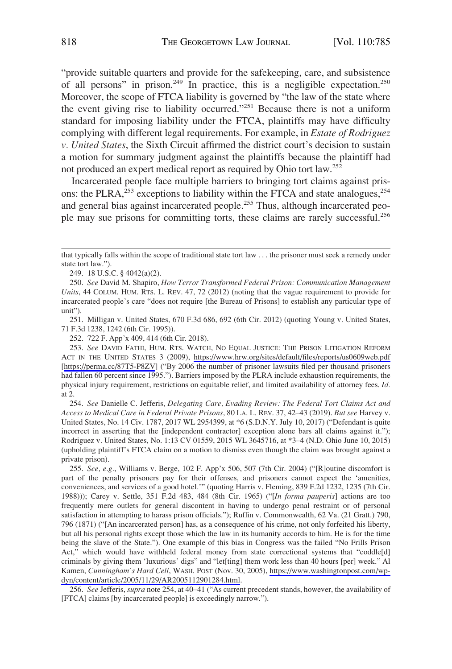"provide suitable quarters and provide for the safekeeping, care, and subsistence of all persons" in prison.<sup>249</sup> In practice, this is a negligible expectation.<sup>250</sup> Moreover, the scope of FTCA liability is governed by "the law of the state where the event giving rise to liability occurred."251 Because there is not a uniform standard for imposing liability under the FTCA, plaintiffs may have difficulty complying with different legal requirements. For example, in *Estate of Rodriguez v. United States*, the Sixth Circuit affirmed the district court's decision to sustain a motion for summary judgment against the plaintiffs because the plaintiff had not produced an expert medical report as required by Ohio tort law.252

Incarcerated people face multiple barriers to bringing tort claims against prisons: the PLRA, $^{253}$  exceptions to liability within the FTCA and state analogues, $^{254}$ and general bias against incarcerated people.<sup>255</sup> Thus, although incarcerated people may sue prisons for committing torts, these claims are rarely successful.<sup>256</sup>

249. 18 U.S.C. § 4042(a)(2).

251. Milligan v. United States, 670 F.3d 686, 692 (6th Cir. 2012) (quoting Young v. United States, 71 F.3d 1238, 1242 (6th Cir. 1995)).

252. 722 F. App'x 409, 414 (6th Cir. 2018).

*See* DAVID FATHI, HUM. RTS. WATCH, NO EQUAL JUSTICE: THE PRISON LITIGATION REFORM 253. ACT IN THE UNITED STATES 3 (2009), <https://www.hrw.org/sites/default/files/reports/us0609web.pdf> [<https://perma.cc/87T5-P8ZV>] ("By 2006 the number of prisoner lawsuits filed per thousand prisoners had fallen 60 percent since 1995."). Barriers imposed by the PLRA include exhaustion requirements, the physical injury requirement, restrictions on equitable relief, and limited availability of attorney fees. *Id.*  at 2.

254. *See* Danielle C. Jefferis, *Delegating Care, Evading Review: The Federal Tort Claims Act and Access to Medical Care in Federal Private Prisons*, 80 LA. L. REV. 37, 42–43 (2019). *But see* Harvey v. United States, No. 14 Civ. 1787, 2017 WL 2954399, at \*6 (S.D.N.Y. July 10, 2017) ("Defendant is quite incorrect in asserting that the [independent contractor] exception alone bars all claims against it."); Rodriguez v. United States, No. 1:13 CV 01559, 2015 WL 3645716, at \*3–4 (N.D. Ohio June 10, 2015) (upholding plaintiff's FTCA claim on a motion to dismiss even though the claim was brought against a private prison).

255. See, e.g., Williams v. Berge, 102 F. App'x 506, 507 (7th Cir. 2004) ("[R]outine discomfort is part of the penalty prisoners pay for their offenses, and prisoners cannot expect the 'amenities, conveniences, and services of a good hotel.'" (quoting Harris v. Fleming, 839 F.2d 1232, 1235 (7th Cir. 1988))); Carey v. Settle, 351 F.2d 483, 484 (8th Cir. 1965) ("[*In forma pauperis*] actions are too frequently mere outlets for general discontent in having to undergo penal restraint or of personal satisfaction in attempting to harass prison officials."); Ruffin v. Commonwealth, 62 Va. (21 Gratt.) 790, 796 (1871) ("[An incarcerated person] has, as a consequence of his crime, not only forfeited his liberty, but all his personal rights except those which the law in its humanity accords to him. He is for the time being the slave of the State."). One example of this bias in Congress was the failed "No Frills Prison Act," which would have withheld federal money from state correctional systems that "coddle[d] criminals by giving them 'luxurious' digs" and "let[ting] them work less than 40 hours [per] week." Al Kamen, *Cunningham's Hard Cell*, WASH. POST (Nov. 30, 2005), [https://www.washingtonpost.com/wp](https://www.washingtonpost.com/wp-dyn/content/article/2005/11/29/AR2005112901284.html)[dyn/content/article/2005/11/29/AR2005112901284.html](https://www.washingtonpost.com/wp-dyn/content/article/2005/11/29/AR2005112901284.html).

256. *See* Jefferis, *supra* note 254, at 40–41 ("As current precedent stands, however, the availability of [FTCA] claims [by incarcerated people] is exceedingly narrow.").

that typically falls within the scope of traditional state tort law . . . the prisoner must seek a remedy under state tort law.").

<sup>250.</sup> *See* David M. Shapiro, *How Terror Transformed Federal Prison: Communication Management Units*, 44 COLUM. HUM. RTS. L. REV. 47, 72 (2012) (noting that the vague requirement to provide for incarcerated people's care "does not require [the Bureau of Prisons] to establish any particular type of unit").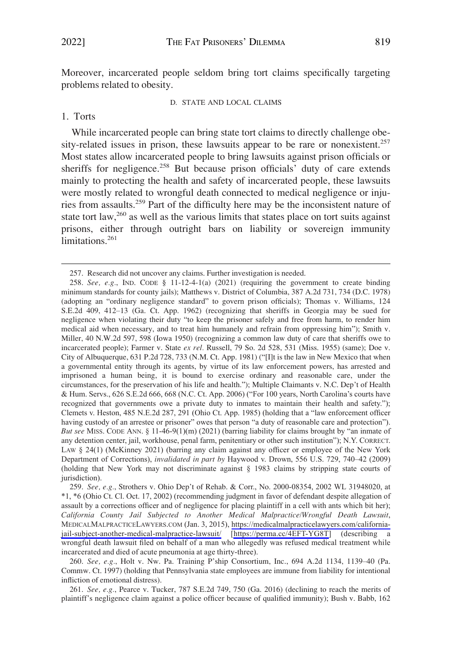<span id="page-34-0"></span>Moreover, incarcerated people seldom bring tort claims specifically targeting problems related to obesity.

D. STATE AND LOCAL CLAIMS

1. Torts

While incarcerated people can bring state tort claims to directly challenge obesity-related issues in prison, these lawsuits appear to be rare or nonexistent.<sup>257</sup> Most states allow incarcerated people to bring lawsuits against prison officials or sheriffs for negligence.<sup>258</sup> But because prison officials' duty of care extends mainly to protecting the health and safety of incarcerated people, these lawsuits were mostly related to wrongful death connected to medical negligence or injuries from assaults.259 Part of the difficulty here may be the inconsistent nature of state tort law, $260$  as well as the various limits that states place on tort suits against prisons, either through outright bars on liability or sovereign immunity limitations.<sup>261</sup>

<sup>257.</sup> Research did not uncover any claims. Further investigation is needed.

<sup>258.</sup> *See, e.g.*, IND. CODE  $\S$  11-12-4-1(a) (2021) (requiring the government to create binding minimum standards for county jails); Matthews v. District of Columbia, 387 A.2d 731, 734 (D.C. 1978) (adopting an "ordinary negligence standard" to govern prison officials); Thomas v. Williams, 124 S.E.2d 409, 412–13 (Ga. Ct. App. 1962) (recognizing that sheriffs in Georgia may be sued for negligence when violating their duty "to keep the prisoner safely and free from harm, to render him medical aid when necessary, and to treat him humanely and refrain from oppressing him"); Smith v. Miller, 40 N.W.2d 597, 598 (Iowa 1950) (recognizing a common law duty of care that sheriffs owe to incarcerated people); Farmer v. State *ex rel.* Russell, 79 So. 2d 528, 531 (Miss. 1955) (same); Doe v. City of Albuquerque, 631 P.2d 728, 733 (N.M. Ct. App. 1981) ("[I]t is the law in New Mexico that when a governmental entity through its agents, by virtue of its law enforcement powers, has arrested and imprisoned a human being, it is bound to exercise ordinary and reasonable care, under the circumstances, for the preservation of his life and health."); Multiple Claimants v. N.C. Dep't of Health & Hum. Servs., 626 S.E.2d 666, 668 (N.C. Ct. App. 2006) ("For 100 years, North Carolina's courts have recognized that governments owe a private duty to inmates to maintain their health and safety."); Clemets v. Heston, 485 N.E.2d 287, 291 (Ohio Ct. App. 1985) (holding that a "law enforcement officer having custody of an arrestee or prisoner" owes that person "a duty of reasonable care and protection"). *But see* MISS. CODE ANN. § 11-46-9(1)(m) (2021) (barring liability for claims brought by "an inmate of any detention center, jail, workhouse, penal farm, penitentiary or other such institution"); N.Y. CORRECT. LAW § 24(1) (McKinney 2021) (barring any claim against any officer or employee of the New York Department of Corrections), *invalidated in part by* Haywood v. Drown, 556 U.S. 729, 740–42 (2009) (holding that New York may not discriminate against § 1983 claims by stripping state courts of jurisdiction).

*See, e.g.*, Strothers v. Ohio Dep't of Rehab. & Corr., No. 2000-08354, 2002 WL 31948020, at 259. \*1, \*6 (Ohio Ct. Cl. Oct. 17, 2002) (recommending judgment in favor of defendant despite allegation of assault by a corrections officer and of negligence for placing plaintiff in a cell with ants which bit her); *California County Jail Subjected to Another Medical Malpractice/Wrongful Death Lawsuit*, MEDICALMALPRACTICELAWYERS.COM (Jan. 3, 2015), [https://medicalmalpracticelawyers.com/california](https://medicalmalpracticelawyers.com/california-jail-subject-another-medical-malpractice-lawsuit/)[jail-subject-another-medical-malpractice-lawsuit/](https://medicalmalpracticelawyers.com/california-jail-subject-another-medical-malpractice-lawsuit/) [\[https://perma.cc/4EFT-YG8T\]](https://perma.cc/4EFT-YG8T) (describing a wrongful death lawsuit filed on behalf of a man who allegedly was refused medical treatment while incarcerated and died of acute pneumonia at age thirty-three).

<sup>260.</sup> *See, e.g.*, Holt v. Nw. Pa. Training P'ship Consortium, Inc., 694 A.2d 1134, 1139–40 (Pa. Commw. Ct. 1997) (holding that Pennsylvania state employees are immune from liability for intentional infliction of emotional distress).

<sup>261.</sup> *See, e.g.*, Pearce v. Tucker, 787 S.E.2d 749, 750 (Ga. 2016) (declining to reach the merits of plaintiff's negligence claim against a police officer because of qualified immunity); Bush v. Babb, 162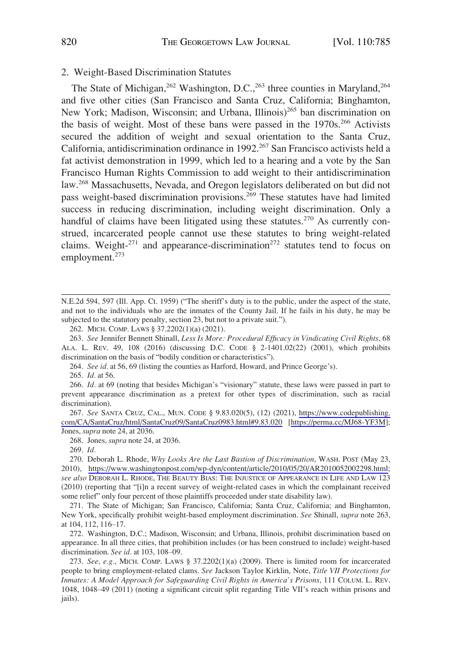# <span id="page-35-0"></span>2. Weight-Based Discrimination Statutes

The State of Michigan,  $262$  Washington, D.C.,  $263$  three counties in Maryland,  $264$ and five other cities (San Francisco and Santa Cruz, California; Binghamton, New York; Madison, Wisconsin; and Urbana, Illinois)<sup>265</sup> ban discrimination on the basis of weight. Most of these bans were passed in the  $1970s<sup>266</sup>$  Activists secured the addition of weight and sexual orientation to the Santa Cruz, California, antidiscrimination ordinance in 1992.<sup>267</sup> San Francisco activists held a fat activist demonstration in 1999, which led to a hearing and a vote by the San Francisco Human Rights Commission to add weight to their antidiscrimination law.268 Massachusetts, Nevada, and Oregon legislators deliberated on but did not pass weight-based discrimination provisions.<sup>269</sup> These statutes have had limited success in reducing discrimination, including weight discrimination. Only a handful of claims have been litigated using these statutes.<sup>270</sup> As currently construed, incarcerated people cannot use these statutes to bring weight-related claims. Weight- $271$  and appearance-discrimination<sup>272</sup> statutes tend to focus on employment.273

262. MICH. COMP. LAWS § 37.2202(1)(a) (2021).

263. *See* Jennifer Bennett Shinall, *Less Is More: Procedural Efficacy in Vindicating Civil Rights*, 68 ALA. L. REV. 49, 108 (2016) (discussing D.C. CODE § 2-1401.02(22) (2001), which prohibits discrimination on the basis of "bodily condition or characteristics").

264. *See id.* at 56, 69 (listing the counties as Harford, Howard, and Prince George's).

265. *Id.* at 56.

266. *Id.* at 69 (noting that besides Michigan's "visionary" statute, these laws were passed in part to prevent appearance discrimination as a pretext for other types of discrimination, such as racial discrimination).

*See* SANTA CRUZ, CAL., MUN. CODE § 9.83.020(5), (12) (2021), [https://www.codepublishing.](https://www.codepublishing.com/CA/SantaCruz/html/SantaCruz09/SantaCruz0983.html#9.83.020) 267. [com/CA/SantaCruz/html/SantaCruz09/SantaCruz0983.html#9.83.020](https://www.codepublishing.com/CA/SantaCruz/html/SantaCruz09/SantaCruz0983.html#9.83.020) [[https://perma.cc/MJ68-YF3M\]](https://perma.cc/MJ68-YF3M); Jones, *supra* note 24, at 2036.

268. Jones, *supra* note 24, at 2036.

269. *Id.* 

N.E.2d 594, 597 (Ill. App. Ct. 1959) ("The sheriff's duty is to the public, under the aspect of the state, and not to the individuals who are the inmates of the County Jail. If he fails in his duty, he may be subjected to the statutory penalty, section 23, but not to a private suit.").

<sup>270.</sup> Deborah L. Rhode, *Why Looks Are the Last Bastion of Discrimination*, WASH. POST (May 23, 2010), [https://www.washingtonpost.com/wp-dyn/content/article/2010/05/20/AR2010052002298.html;](https://www.washingtonpost.com/wp-dyn/content/article/2010/05/20/AR2010052002298.html) *see also* DEBORAH L. RHODE, THE BEAUTY BIAS: THE INJUSTICE OF APPEARANCE IN LIFE AND LAW 123 (2010) (reporting that "[i]n a recent survey of weight-related cases in which the complainant received some relief" only four percent of those plaintiffs proceeded under state disability law).

<sup>271.</sup> The State of Michigan; San Francisco, California; Santa Cruz, California; and Binghamton, New York, specifically prohibit weight-based employment discrimination. *See* Shinall, *supra* note 263, at 104, 112, 116–17.

<sup>272.</sup> Washington, D.C.; Madison, Wisconsin; and Urbana, Illinois, prohibit discrimination based on appearance. In all three cities, that prohibition includes (or has been construed to include) weight-based discrimination. *See id.* at 103, 108–09.

<sup>273.</sup> *See, e.g.*, MICH. COMP. LAWS § 37.2202(1)(a) (2009). There is limited room for incarcerated people to bring employment-related clams. *See* Jackson Taylor Kirklin, Note, *Title VII Protections for Inmates: A Model Approach for Safeguarding Civil Rights in America's Prisons*, 111 COLUM. L. REV. 1048, 1048–49 (2011) (noting a significant circuit split regarding Title VII's reach within prisons and jails).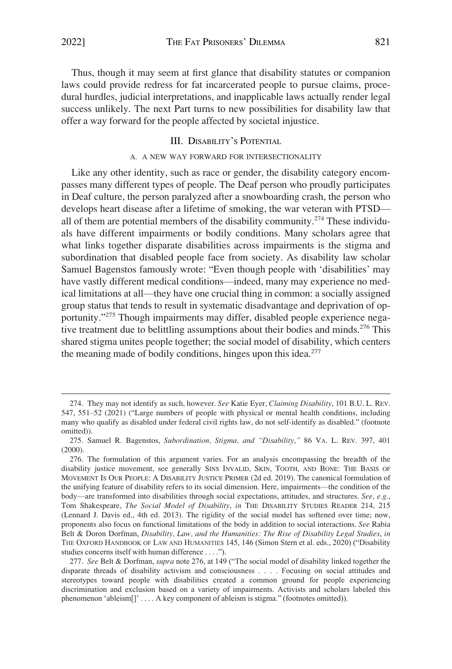<span id="page-36-0"></span>Thus, though it may seem at first glance that disability statutes or companion laws could provide redress for fat incarcerated people to pursue claims, procedural hurdles, judicial interpretations, and inapplicable laws actually render legal success unlikely. The next Part turns to new possibilities for disability law that offer a way forward for the people affected by societal injustice.

# III. DISABILITY'S POTENTIAL

#### A. A NEW WAY FORWARD FOR INTERSECTIONALITY

Like any other identity, such as race or gender, the disability category encompasses many different types of people. The Deaf person who proudly participates in Deaf culture, the person paralyzed after a snowboarding crash, the person who develops heart disease after a lifetime of smoking, the war veteran with PTSD all of them are potential members of the disability community.<sup>274</sup> These individuals have different impairments or bodily conditions. Many scholars agree that what links together disparate disabilities across impairments is the stigma and subordination that disabled people face from society. As disability law scholar Samuel Bagenstos famously wrote: "Even though people with 'disabilities' may have vastly different medical conditions—indeed, many may experience no medical limitations at all—they have one crucial thing in common: a socially assigned group status that tends to result in systematic disadvantage and deprivation of opportunity."275 Though impairments may differ, disabled people experience negative treatment due to belittling assumptions about their bodies and minds.<sup>276</sup> This shared stigma unites people together; the social model of disability, which centers the meaning made of bodily conditions, hinges upon this idea.<sup>277</sup>

<sup>274.</sup> They may not identify as such, however. *See* Katie Eyer, *Claiming Disability*, 101 B.U. L. REV. 547, 551–52 (2021) ("Large numbers of people with physical or mental health conditions, including many who qualify as disabled under federal civil rights law, do not self-identify as disabled." (footnote omitted)).

<sup>275.</sup> Samuel R. Bagenstos, *Subordination, Stigma, and "Disability*,*"* 86 VA. L. REV. 397, 401 (2000).

<sup>276.</sup> The formulation of this argument varies. For an analysis encompassing the breadth of the disability justice movement, see generally SINS INVALID, SKIN, TOOTH, AND BONE: THE BASIS OF MOVEMENT IS OUR PEOPLE: A DISABILITY JUSTICE PRIMER (2d ed. 2019). The canonical formulation of the unifying feature of disability refers to its social dimension. Here, impairments—the condition of the body—are transformed into disabilities through social expectations, attitudes, and structures. *See, e.g.*, Tom Shakespeare, *The Social Model of Disability*, *in* THE DISABILITY STUDIES READER 214, 215 (Lennard J. Davis ed., 4th ed. 2013). The rigidity of the social model has softened over time; now, proponents also focus on functional limitations of the body in addition to social interactions. *See* Rabia Belt & Doron Dorfman, *Disability, Law, and the Humanities: The Rise of Disability Legal Studies*, *in*  THE OXFORD HANDBOOK OF LAW AND HUMANITIES 145, 146 (Simon Stern et al. eds., 2020) ("Disability studies concerns itself with human difference . . . .").

<sup>277.</sup> *See* Belt & Dorfman, *supra* note 276, at 149 ("The social model of disability linked together the disparate threads of disability activism and consciousness . . . . Focusing on social attitudes and stereotypes toward people with disabilities created a common ground for people experiencing discrimination and exclusion based on a variety of impairments. Activists and scholars labeled this phenomenon 'ableism[]' . . . . A key component of ableism is stigma." (footnotes omitted)).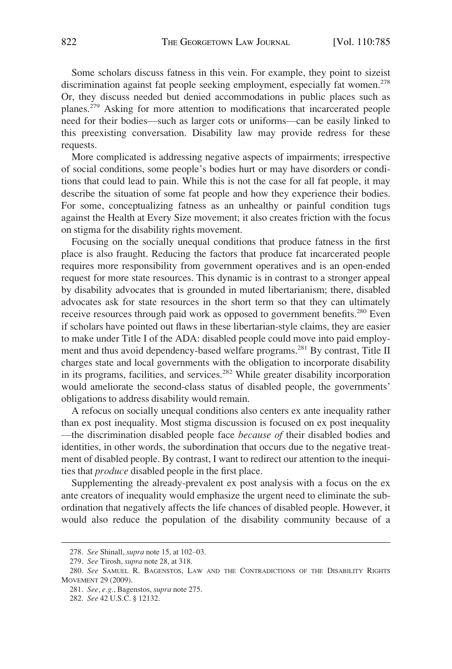Some scholars discuss fatness in this vein. For example, they point to sizeist discrimination against fat people seeking employment, especially fat women.<sup>278</sup> Or, they discuss needed but denied accommodations in public places such as planes.279 Asking for more attention to modifications that incarcerated people need for their bodies—such as larger cots or uniforms—can be easily linked to this preexisting conversation. Disability law may provide redress for these requests.

More complicated is addressing negative aspects of impairments; irrespective of social conditions, some people's bodies hurt or may have disorders or conditions that could lead to pain. While this is not the case for all fat people, it may describe the situation of some fat people and how they experience their bodies. For some, conceptualizing fatness as an unhealthy or painful condition tugs against the Health at Every Size movement; it also creates friction with the focus on stigma for the disability rights movement.

Focusing on the socially unequal conditions that produce fatness in the first place is also fraught. Reducing the factors that produce fat incarcerated people requires more responsibility from government operatives and is an open-ended request for more state resources. This dynamic is in contrast to a stronger appeal by disability advocates that is grounded in muted libertarianism; there, disabled advocates ask for state resources in the short term so that they can ultimately receive resources through paid work as opposed to government benefits.<sup>280</sup> Even if scholars have pointed out flaws in these libertarian-style claims, they are easier to make under Title I of the ADA: disabled people could move into paid employment and thus avoid dependency-based welfare programs.281 By contrast, Title II charges state and local governments with the obligation to incorporate disability in its programs, facilities, and services. $282$  While greater disability incorporation would ameliorate the second-class status of disabled people, the governments' obligations to address disability would remain.

A refocus on socially unequal conditions also centers ex ante inequality rather than ex post inequality. Most stigma discussion is focused on ex post inequality —the discrimination disabled people face *because of* their disabled bodies and identities, in other words, the subordination that occurs due to the negative treatment of disabled people. By contrast, I want to redirect our attention to the inequities that *produce* disabled people in the first place.

Supplementing the already-prevalent ex post analysis with a focus on the ex ante creators of inequality would emphasize the urgent need to eliminate the subordination that negatively affects the life chances of disabled people. However, it would also reduce the population of the disability community because of a

<sup>278.</sup> *See* Shinall, *supra* note 15, at 102–03.

<sup>279.</sup> *See* Tirosh, *supra* note 28, at 318.

<sup>280.</sup> *See* SAMUEL R. BAGENSTOS, LAW AND THE CONTRADICTIONS OF THE DISABILITY RIGHTS MOVEMENT 29 (2009).

<sup>281.</sup> *See, e.g.*, Bagenstos, *supra* note 275.

<sup>282.</sup> *See* 42 U.S.C. § 12132.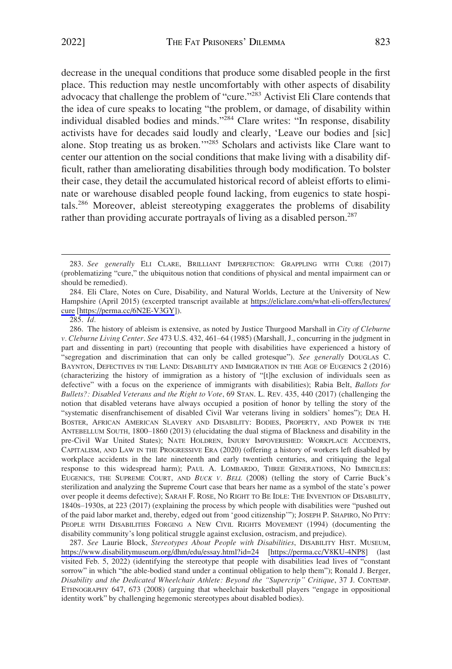decrease in the unequal conditions that produce some disabled people in the first place. This reduction may nestle uncomfortably with other aspects of disability advocacy that challenge the problem of "cure."283 Activist Eli Clare contends that the idea of cure speaks to locating "the problem, or damage, of disability within individual disabled bodies and minds."<sup>284</sup> Clare writes: "In response, disability activists have for decades said loudly and clearly, 'Leave our bodies and [sic] alone. Stop treating us as broken.'"285 Scholars and activists like Clare want to center our attention on the social conditions that make living with a disability difficult, rather than ameliorating disabilities through body modification. To bolster their case, they detail the accumulated historical record of ableist efforts to eliminate or warehouse disabled people found lacking, from eugenics to state hospitals.286 Moreover, ableist stereotyping exaggerates the problems of disability rather than providing accurate portrayals of living as a disabled person.<sup>287</sup>

286. The history of ableism is extensive, as noted by Justice Thurgood Marshall in *City of Cleburne v. Cleburne Living Center*. *See* 473 U.S. 432, 461–64 (1985) (Marshall, J., concurring in the judgment in part and dissenting in part) (recounting that people with disabilities have experienced a history of "segregation and discrimination that can only be called grotesque"). *See generally* DOUGLAS C. BAYNTON, DEFECTIVES IN THE LAND: DISABILITY AND IMMIGRATION IN THE AGE OF EUGENICS 2 (2016) (characterizing the history of immigration as a history of "[t]he exclusion of individuals seen as defective" with a focus on the experience of immigrants with disabilities); Rabia Belt, *Ballots for Bullets?: Disabled Veterans and the Right to Vote*, 69 STAN. L. REV. 435, 440 (2017) (challenging the notion that disabled veterans have always occupied a position of honor by telling the story of the "systematic disenfranchisement of disabled Civil War veterans living in soldiers' homes"); DEA H. BOSTER, AFRICAN AMERICAN SLAVERY AND DISABILITY: BODIES, PROPERTY, AND POWER IN THE ANTEBELLUM SOUTH, 1800–1860 (2013) (elucidating the dual stigma of Blackness and disability in the pre-Civil War United States); NATE HOLDREN, INJURY IMPOVERISHED: WORKPLACE ACCIDENTS, CAPITALISM, AND LAW IN THE PROGRESSIVE ERA (2020) (offering a history of workers left disabled by workplace accidents in the late nineteenth and early twentieth centuries, and critiquing the legal response to this widespread harm); PAUL A. LOMBARDO, THREE GENERATIONS, NO IMBECILES: EUGENICS, THE SUPREME COURT, AND *BUCK V. BELL* (2008) (telling the story of Carrie Buck's sterilization and analyzing the Supreme Court case that bears her name as a symbol of the state's power over people it deems defective); SARAH F. ROSE, NO RIGHT TO BE IDLE: THE INVENTION OF DISABILITY, 1840S–1930S, at 223 (2017) (explaining the process by which people with disabilities were "pushed out of the paid labor market and, thereby, edged out from 'good citizenship'"); JOSEPH P. SHAPIRO, NO PITY: PEOPLE WITH DISABILITIES FORGING A NEW CIVIL RIGHTS MOVEMENT (1994) (documenting the disability community's long political struggle against exclusion, ostracism, and prejudice).

*See* Laurie Block, *Stereotypes About People with Disabilities*, DISABILITY HIST. MUSEUM, 287. <https://www.disabilitymuseum.org/dhm/edu/essay.html?id=24>[\[https://perma.cc/V8KU-4NP8\]](https://perma.cc/V8KU-4NP8) (last visited Feb. 5, 2022) (identifying the stereotype that people with disabilities lead lives of "constant sorrow" in which "the able-bodied stand under a continual obligation to help them"); Ronald J. Berger, *Disability and the Dedicated Wheelchair Athlete: Beyond the "Supercrip" Critique*, 37 J. CONTEMP. ETHNOGRAPHY 647, 673 (2008) (arguing that wheelchair basketball players "engage in oppositional identity work" by challenging hegemonic stereotypes about disabled bodies).

<sup>283.</sup> *See generally* ELI CLARE, BRILLIANT IMPERFECTION: GRAPPLING WITH CURE (2017) (problematizing "cure," the ubiquitous notion that conditions of physical and mental impairment can or should be remedied).

<sup>284.</sup> Eli Clare, Notes on Cure, Disability, and Natural Worlds, Lecture at the University of New Hampshire (April 2015) (excerpted transcript available at [https://eliclare.com/what-eli-offers/lectures/](https://eliclare.com/what-eli-offers/lectures/cure)  [cure](https://eliclare.com/what-eli-offers/lectures/cure) [\[https://perma.cc/6N2E-V3GY\]](https://perma.cc/6N2E-V3GY)).

<sup>285.</sup> *Id.*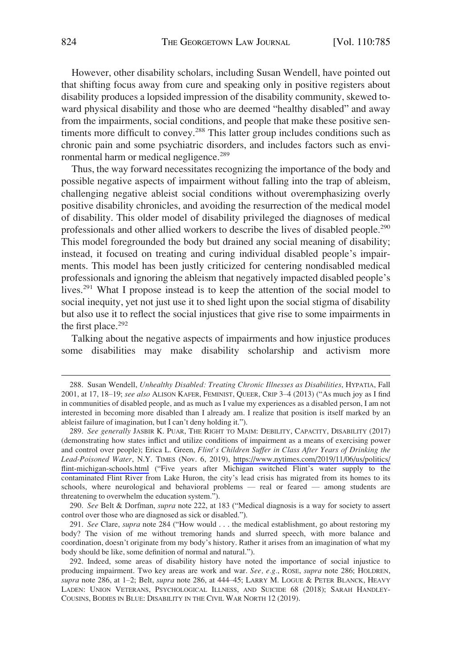However, other disability scholars, including Susan Wendell, have pointed out that shifting focus away from cure and speaking only in positive registers about disability produces a lopsided impression of the disability community, skewed toward physical disability and those who are deemed "healthy disabled" and away from the impairments, social conditions, and people that make these positive sentiments more difficult to convey.<sup>288</sup> This latter group includes conditions such as chronic pain and some psychiatric disorders, and includes factors such as environmental harm or medical negligence.<sup>289</sup>

Thus, the way forward necessitates recognizing the importance of the body and possible negative aspects of impairment without falling into the trap of ableism, challenging negative ableist social conditions without overemphasizing overly positive disability chronicles, and avoiding the resurrection of the medical model of disability. This older model of disability privileged the diagnoses of medical professionals and other allied workers to describe the lives of disabled people.290 This model foregrounded the body but drained any social meaning of disability; instead, it focused on treating and curing individual disabled people's impairments. This model has been justly criticized for centering nondisabled medical professionals and ignoring the ableism that negatively impacted disabled people's lives.291 What I propose instead is to keep the attention of the social model to social inequity, yet not just use it to shed light upon the social stigma of disability but also use it to reflect the social injustices that give rise to some impairments in the first place. $292$ 

Talking about the negative aspects of impairments and how injustice produces some disabilities may make disability scholarship and activism more

290. *See* Belt & Dorfman, *supra* note 222, at 183 ("Medical diagnosis is a way for society to assert control over those who are diagnosed as sick or disabled.").

291. *See* Clare, *supra* note 284 ("How would . . . the medical establishment, go about restoring my body? The vision of me without tremoring hands and slurred speech, with more balance and coordination, doesn't originate from my body's history. Rather it arises from an imagination of what my body should be like, some definition of normal and natural.").

<sup>288.</sup> Susan Wendell, *Unhealthy Disabled: Treating Chronic Illnesses as Disabilities*, HYPATIA, Fall 2001, at 17, 18–19; *see also* ALISON KAFER, FEMINIST, QUEER, CRIP 3–4 (2013) ("As much joy as I find in communities of disabled people, and as much as I value my experiences as a disabled person, I am not interested in becoming more disabled than I already am. I realize that position is itself marked by an ableist failure of imagination, but I can't deny holding it.").

<sup>289.</sup> See generally JASBIR K. PUAR, THE RIGHT TO MAIM: DEBILITY, CAPACITY, DISABILITY (2017) (demonstrating how states inflict and utilize conditions of impairment as a means of exercising power and control over people); Erica L. Green, *Flint's Children Suffer in Class After Years of Drinking the Lead-Poisoned Water*, N.Y. TIMES (Nov. 6, 2019), [https://www.nytimes.com/2019/11/06/us/politics/](https://www.nytimes.com/2019/11/06/us/politics/flint-michigan-schools.html)  [flint-michigan-schools.html](https://www.nytimes.com/2019/11/06/us/politics/flint-michigan-schools.html) ("Five years after Michigan switched Flint's water supply to the contaminated Flint River from Lake Huron, the city's lead crisis has migrated from its homes to its schools, where neurological and behavioral problems — real or feared — among students are threatening to overwhelm the education system.").

<sup>292.</sup> Indeed, some areas of disability history have noted the importance of social injustice to producing impairment. Two key areas are work and war. *See, e.g.*, ROSE, *supra* note 286; HOLDREN, *supra* note 286, at 1–2; Belt, *supra* note 286, at 444–45; LARRY M. LOGUE & PETER BLANCK, HEAVY LADEN: UNION VETERANS, PSYCHOLOGICAL ILLNESS, AND SUICIDE 68 (2018); SARAH HANDLEY-COUSINS, BODIES IN BLUE: DISABILITY IN THE CIVIL WAR NORTH 12 (2019).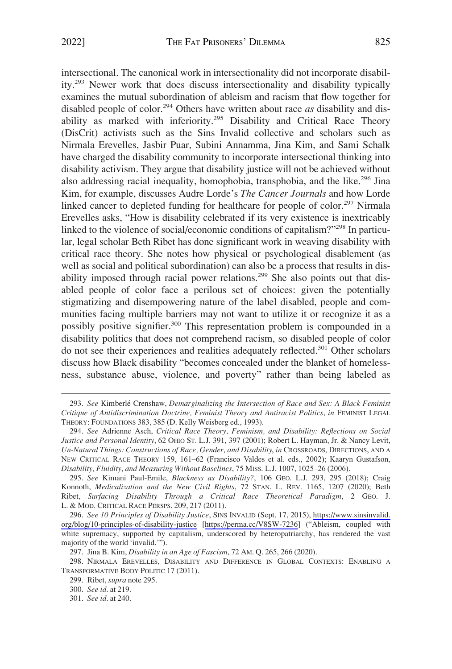intersectional. The canonical work in intersectionality did not incorporate disability.293 Newer work that does discuss intersectionality and disability typically examines the mutual subordination of ableism and racism that flow together for disabled people of color.294 Others have written about race *as* disability and disability as marked with inferiority.<sup>295</sup> Disability and Critical Race Theory (DisCrit) activists such as the Sins Invalid collective and scholars such as Nirmala Erevelles, Jasbir Puar, Subini Annamma, Jina Kim, and Sami Schalk have charged the disability community to incorporate intersectional thinking into disability activism. They argue that disability justice will not be achieved without also addressing racial inequality, homophobia, transphobia, and the like.<sup>296</sup> Jina Kim, for example, discusses Audre Lorde's *The Cancer Journals* and how Lorde linked cancer to depleted funding for healthcare for people of color.<sup>297</sup> Nirmala Erevelles asks, "How is disability celebrated if its very existence is inextricably linked to the violence of social/economic conditions of capitalism?"298 In particular, legal scholar Beth Ribet has done significant work in weaving disability with critical race theory. She notes how physical or psychological disablement (as well as social and political subordination) can also be a process that results in disability imposed through racial power relations.<sup>299</sup> She also points out that disabled people of color face a perilous set of choices: given the potentially stigmatizing and disempowering nature of the label disabled, people and communities facing multiple barriers may not want to utilize it or recognize it as a possibly positive signifier.<sup>300</sup> This representation problem is compounded in a disability politics that does not comprehend racism, so disabled people of color do not see their experiences and realities adequately reflected.<sup>301</sup> Other scholars discuss how Black disability "becomes concealed under the blanket of homelessness, substance abuse, violence, and poverty" rather than being labeled as

<sup>293.</sup> *See* Kimberle´ Crenshaw, *Demarginalizing the Intersection of Race and Sex: A Black Feminist Critique of Antidiscrimination Doctrine, Feminist Theory and Antiracist Politics*, *in* FEMINIST LEGAL THEORY: FOUNDATIONS 383, 385 **(**D. Kelly Weisberg ed., 1993).

<sup>294.</sup> *See* Adrienne Asch, *Critical Race Theory, Feminism, and Disability: Reflections on Social Justice and Personal Identity*, 62 OHIO ST. L.J. 391, 397 (2001); Robert L. Hayman, Jr. & Nancy Levit, *Un-Natural Things: Constructions of Race, Gender, and Disability*, *in* CROSSROADS, DIRECTIONS, AND A NEW CRITICAL RACE THEORY 159, 161–62 (Francisco Valdes et al. eds., 2002); Kaaryn Gustafson, *Disability, Fluidity, and Measuring Without Baselines*, 75 MISS. L.J. 1007, 1025–26 (2006).

<sup>295.</sup> *See* Kimani Paul-Emile, *Blackness as Disability?*, 106 GEO. L.J. 293, 295 (2018); Craig Konnoth, *Medicalization and the New Civil Rights*, 72 STAN. L. REV. 1165, 1207 (2020); Beth Ribet, *Surfacing Disability Through a Critical Race Theoretical Paradigm*, 2 GEO. J. L. & MOD. CRITICAL RACE PERSPS. 209, 217 (2011).

*See 10 Principles of Disability Justice*, SINS INVALID (Sept. 17, 2015), [https://www.sinsinvalid.](https://www.sinsinvalid.org/blog/10-principles-of-disability-justice)  296. [org/blog/10-principles-of-disability-justice](https://www.sinsinvalid.org/blog/10-principles-of-disability-justice) [\[https://perma.cc/V8SW-7236](https://perma.cc/V8SW-7236)] ("Ableism, coupled with white supremacy, supported by capitalism, underscored by heteropatriarchy, has rendered the vast majority of the world 'invalid.'").

<sup>297.</sup> Jina B. Kim, *Disability in an Age of Fascism*, 72 AM. Q. 265, 266 (2020).

<sup>298.</sup> NIRMALA EREVELLES, DISABILITY AND DIFFERENCE IN GLOBAL CONTEXTS: ENABLING A TRANSFORMATIVE BODY POLITIC 17 (2011).

<sup>299.</sup> Ribet, *supra* note 295.

<sup>300.</sup> *See id.* at 219.

<sup>301.</sup> *See id.* at 240.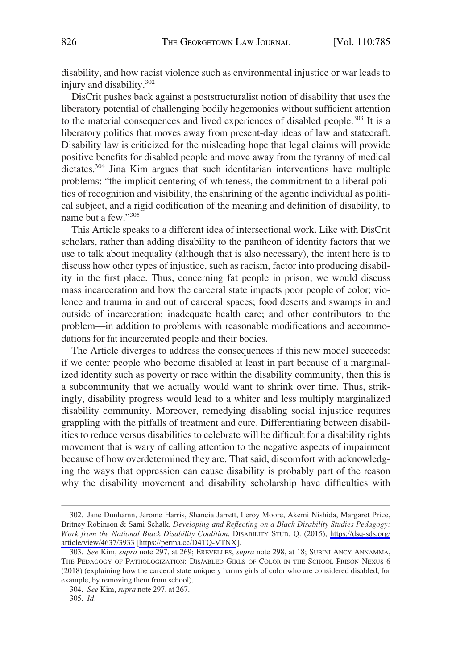disability, and how racist violence such as environmental injustice or war leads to injury and disability.<sup>302</sup>

DisCrit pushes back against a poststructuralist notion of disability that uses the liberatory potential of challenging bodily hegemonies without sufficient attention to the material consequences and lived experiences of disabled people.303 It is a liberatory politics that moves away from present-day ideas of law and statecraft. Disability law is criticized for the misleading hope that legal claims will provide positive benefits for disabled people and move away from the tyranny of medical dictates.304 Jina Kim argues that such identitarian interventions have multiple problems: "the implicit centering of whiteness, the commitment to a liberal politics of recognition and visibility, the enshrining of the agentic individual as political subject, and a rigid codification of the meaning and definition of disability, to name but a few."<sup>305</sup>

This Article speaks to a different idea of intersectional work. Like with DisCrit scholars, rather than adding disability to the pantheon of identity factors that we use to talk about inequality (although that is also necessary), the intent here is to discuss how other types of injustice, such as racism, factor into producing disability in the first place. Thus, concerning fat people in prison, we would discuss mass incarceration and how the carceral state impacts poor people of color; violence and trauma in and out of carceral spaces; food deserts and swamps in and outside of incarceration; inadequate health care; and other contributors to the problem—in addition to problems with reasonable modifications and accommodations for fat incarcerated people and their bodies.

The Article diverges to address the consequences if this new model succeeds: if we center people who become disabled at least in part because of a marginalized identity such as poverty or race within the disability community, then this is a subcommunity that we actually would want to shrink over time. Thus, strikingly, disability progress would lead to a whiter and less multiply marginalized disability community. Moreover, remedying disabling social injustice requires grappling with the pitfalls of treatment and cure. Differentiating between disabilities to reduce versus disabilities to celebrate will be difficult for a disability rights movement that is wary of calling attention to the negative aspects of impairment because of how overdetermined they are. That said, discomfort with acknowledging the ways that oppression can cause disability is probably part of the reason why the disability movement and disability scholarship have difficulties with

<sup>302.</sup> Jane Dunhamn, Jerome Harris, Shancia Jarrett, Leroy Moore, Akemi Nishida, Margaret Price, Britney Robinson & Sami Schalk, *Developing and Reflecting on a Black Disability Studies Pedagogy: Work from the National Black Disability Coalition*, DISABILITY STUD. Q. (2015), [https://dsq-sds.org/](https://dsq-sds.org/article/view/4637/3933) [article/view/4637/3933](https://dsq-sds.org/article/view/4637/3933) [[https://perma.cc/D4TQ-VTNX\]](https://perma.cc/D4TQ-VTNX).

<sup>303.</sup> *See* Kim, *supra* note 297, at 269; EREVELLES, *supra* note 298, at 18; SUBINI ANCY ANNAMMA, THE PEDAGOGY OF PATHOLOGIZATION: DIS/ABLED GIRLS OF COLOR IN THE SCHOOL-PRISON NEXUS 6 (2018) (explaining how the carceral state uniquely harms girls of color who are considered disabled, for example, by removing them from school).

<sup>304.</sup> *See* Kim, *supra* note 297, at 267.

<sup>305.</sup> *Id.*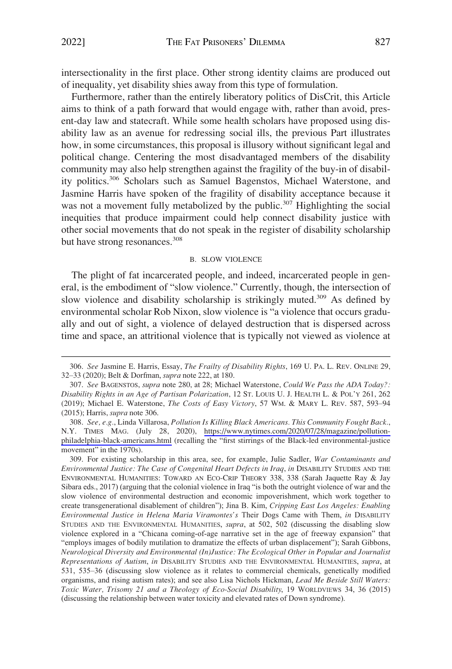<span id="page-42-0"></span>intersectionality in the first place. Other strong identity claims are produced out of inequality, yet disability shies away from this type of formulation.

Furthermore, rather than the entirely liberatory politics of DisCrit, this Article aims to think of a path forward that would engage with, rather than avoid, present-day law and statecraft. While some health scholars have proposed using disability law as an avenue for redressing social ills, the previous Part illustrates how, in some circumstances, this proposal is illusory without significant legal and political change. Centering the most disadvantaged members of the disability community may also help strengthen against the fragility of the buy-in of disability politics.<sup>306</sup> Scholars such as Samuel Bagenstos, Michael Waterstone, and Jasmine Harris have spoken of the fragility of disability acceptance because it was not a movement fully metabolized by the public.<sup>307</sup> Highlighting the social inequities that produce impairment could help connect disability justice with other social movements that do not speak in the register of disability scholarship but have strong resonances.<sup>308</sup>

#### B. SLOW VIOLENCE

The plight of fat incarcerated people, and indeed, incarcerated people in general, is the embodiment of "slow violence." Currently, though, the intersection of slow violence and disability scholarship is strikingly muted.<sup>309</sup> As defined by environmental scholar Rob Nixon, slow violence is "a violence that occurs gradually and out of sight, a violence of delayed destruction that is dispersed across time and space, an attritional violence that is typically not viewed as violence at

<sup>306.</sup> *See* Jasmine E. Harris, Essay, *The Frailty of Disability Rights*, 169 U. PA. L. REV. ONLINE 29, 32–33 (2020); Belt & Dorfman, *supra* note 222, at 180.

<sup>307.</sup> *See* BAGENSTOS, *supra* note 280, at 28; Michael Waterstone, *Could We Pass the ADA Today?: Disability Rights in an Age of Partisan Polarization*, 12 ST. LOUIS U. J. HEALTH L. & POL'Y 261, 262 (2019); Michael E. Waterstone, *The Costs of Easy Victory*, 57 WM. & MARY L. REV. 587, 593–94 (2015); Harris, *supra* note 306.

*See, e.g.*, Linda Villarosa, *Pollution Is Killing Black Americans. This Community Fought Back.*, 308. N.Y. TIMES MAG. (July 28, 2020), [https://www.nytimes.com/2020/07/28/magazine/pollution](https://www.nytimes.com/2020/07/28/magazine/pollution-philadelphia-black-americans.html)[philadelphia-black-americans.html](https://www.nytimes.com/2020/07/28/magazine/pollution-philadelphia-black-americans.html) (recalling the "first stirrings of the Black-led environmental-justice movement" in the 1970s).

<sup>309.</sup> For existing scholarship in this area, see, for example, Julie Sadler, *War Contaminants and Environmental Justice: The Case of Congenital Heart Defects in Iraq*, *in* DISABILITY STUDIES AND THE ENVIRONMENTAL HUMANITIES: TOWARD AN ECO-CRIP THEORY 338, 338 (Sarah Jaquette Ray & Jay Sibara eds., 2017) (arguing that the colonial violence in Iraq "is both the outright violence of war and the slow violence of environmental destruction and economic impoverishment, which work together to create transgenerational disablement of children"); Jina B. Kim, *Cripping East Los Angeles: Enabling Environmental Justice in Helena Maria Viramontes's* Their Dogs Came with Them, *in* DISABILITY STUDIES AND THE ENVIRONMENTAL HUMANITIES, *supra*, at 502, 502 (discussing the disabling slow violence explored in a "Chicana coming-of-age narrative set in the age of freeway expansion" that "employs images of bodily mutilation to dramatize the effects of urban displacement"); Sarah Gibbons, *Neurological Diversity and Environmental (In)Justice: The Ecological Other in Popular and Journalist Representations of Autism*, *in* DISABILITY STUDIES AND THE ENVIRONMENTAL HUMANITIES, *supra*, at 531, 535–36 (discussing slow violence as it relates to commercial chemicals, genetically modified organisms, and rising autism rates); and see also Lisa Nichols Hickman, *Lead Me Beside Still Waters: Toxic Water, Trisomy 21 and a Theology of Eco-Social Disability*, 19 WORLDVIEWS 34, 36 (2015) (discussing the relationship between water toxicity and elevated rates of Down syndrome).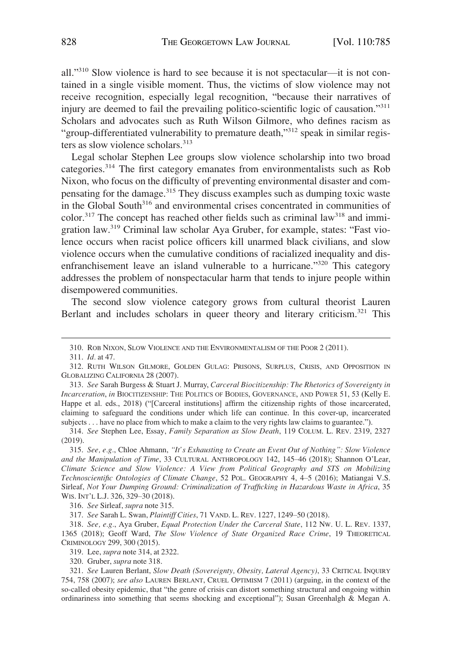all."310 Slow violence is hard to see because it is not spectacular—it is not contained in a single visible moment. Thus, the victims of slow violence may not receive recognition, especially legal recognition, "because their narratives of injury are deemed to fail the prevailing politico-scientific logic of causation."<sup>311</sup> Scholars and advocates such as Ruth Wilson Gilmore, who defines racism as "group-differentiated vulnerability to premature death,"<sup>312</sup> speak in similar registers as slow violence scholars.<sup>313</sup>

Legal scholar Stephen Lee groups slow violence scholarship into two broad categories.314 The first category emanates from environmentalists such as Rob Nixon, who focus on the difficulty of preventing environmental disaster and compensating for the damage.315 They discuss examples such as dumping toxic waste in the Global South<sup>316</sup> and environmental crises concentrated in communities of  $color<sup>317</sup>$  The concept has reached other fields such as criminal law<sup>318</sup> and immigration law.319 Criminal law scholar Aya Gruber, for example, states: "Fast violence occurs when racist police officers kill unarmed black civilians, and slow violence occurs when the cumulative conditions of racialized inequality and disenfranchisement leave an island vulnerable to a hurricane.<sup>"320</sup> This category addresses the problem of nonspectacular harm that tends to injure people within disempowered communities.

The second slow violence category grows from cultural theorist Lauren Berlant and includes scholars in queer theory and literary criticism.<sup>321</sup> This

315. *See, e.g.*, Chloe Ahmann, *"It's Exhausting to Create an Event Out of Nothing": Slow Violence and the Manipulation of Time*, 33 CULTURAL ANTHROPOLOGY 142, 145–46 (2018); Shannon O'Lear, *Climate Science and Slow Violence: A View from Political Geography and STS on Mobilizing Technoscientific Ontologies of Climate Change*, 52 POL. GEOGRAPHY 4, 4–5 (2016); Matiangai V.S. Sirleaf, *Not Your Dumping Ground: Criminalization of Trafficking in Hazardous Waste in Africa*, 35 WIS. INT'L L.J. 326, 329-30 (2018).

316. *See* Sirleaf, *supra* note 315.

317. *See* Sarah L. Swan, *Plaintiff Cities*, 71 VAND. L. REV. 1227, 1249–50 (2018).

318. *See, e.g.*, Aya Gruber, *Equal Protection Under the Carceral State*, 112 NW. U. L. REV. 1337, 1365 (2018); Geoff Ward, *The Slow Violence of State Organized Race Crime*, 19 THEORETICAL CRIMINOLOGY 299, 300 (2015).

319. Lee, *supra* note 314, at 2322.

320. Gruber, *supra* note 318.

<sup>310.</sup> ROB NIXON, SLOW VIOLENCE AND THE ENVIRONMENTALISM OF THE POOR 2 (2011).

<sup>311.</sup> *Id.* at 47.

<sup>312.</sup> RUTH WILSON GILMORE, GOLDEN GULAG: PRISONS, SURPLUS, CRISIS, AND OPPOSITION IN GLOBALIZING CALIFORNIA 28 (2007).

<sup>313.</sup> *See* Sarah Burgess & Stuart J. Murray, *Carceral Biocitizenship: The Rhetorics of Sovereignty in Incarceration*, *in* BIOCITIZENSHIP: THE POLITICS OF BODIES, GOVERNANCE, AND POWER 51, 53 (Kelly E. Happe et al. eds., 2018) ("[Carceral institutions] affirm the citizenship rights of those incarcerated, claiming to safeguard the conditions under which life can continue. In this cover-up, incarcerated subjects . . . have no place from which to make a claim to the very rights law claims to guarantee.").

<sup>314.</sup> *See* Stephen Lee, Essay, *Family Separation as Slow Death*, 119 COLUM. L. REV. 2319, 2327 (2019).

<sup>321.</sup> *See* Lauren Berlant, *Slow Death (Sovereignty, Obesity, Lateral Agency)*, 33 CRITICAL INQUIRY 754, 758 (2007); *see also* LAUREN BERLANT, CRUEL OPTIMISM 7 (2011) (arguing, in the context of the so-called obesity epidemic, that "the genre of crisis can distort something structural and ongoing within ordinariness into something that seems shocking and exceptional"); Susan Greenhalgh & Megan A.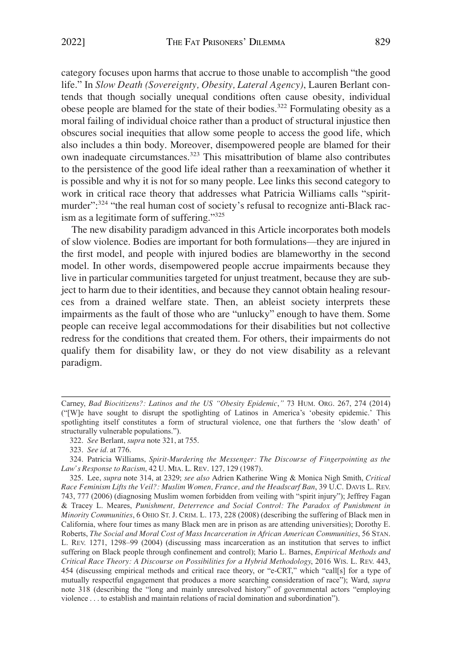category focuses upon harms that accrue to those unable to accomplish "the good life." In *Slow Death (Sovereignty, Obesity, Lateral Agency)*, Lauren Berlant contends that though socially unequal conditions often cause obesity, individual obese people are blamed for the state of their bodies.<sup>322</sup> Formulating obesity as a moral failing of individual choice rather than a product of structural injustice then obscures social inequities that allow some people to access the good life, which also includes a thin body. Moreover, disempowered people are blamed for their own inadequate circumstances.<sup>323</sup> This misattribution of blame also contributes to the persistence of the good life ideal rather than a reexamination of whether it is possible and why it is not for so many people. Lee links this second category to work in critical race theory that addresses what Patricia Williams calls "spiritmurder":<sup>324</sup> "the real human cost of society's refusal to recognize anti-Black racism as a legitimate form of suffering."<sup>325</sup>

The new disability paradigm advanced in this Article incorporates both models of slow violence. Bodies are important for both formulations—they are injured in the first model, and people with injured bodies are blameworthy in the second model. In other words, disempowered people accrue impairments because they live in particular communities targeted for unjust treatment, because they are subject to harm due to their identities, and because they cannot obtain healing resources from a drained welfare state. Then, an ableist society interprets these impairments as the fault of those who are "unlucky" enough to have them. Some people can receive legal accommodations for their disabilities but not collective redress for the conditions that created them. For others, their impairments do not qualify them for disability law, or they do not view disability as a relevant paradigm.

Carney, *Bad Biocitizens?: Latinos and the US "Obesity Epidemic*,*"* 73 HUM. ORG. 267, 274 (2014) ("[W]e have sought to disrupt the spotlighting of Latinos in America's 'obesity epidemic.' This spotlighting itself constitutes a form of structural violence, one that furthers the 'slow death' of structurally vulnerable populations.").

<sup>322.</sup> *See* Berlant, *supra* note 321, at 755.

<sup>323.</sup> *See id.* at 776.

<sup>324.</sup> Patricia Williams, *Spirit-Murdering the Messenger: The Discourse of Fingerpointing as the Law's Response to Racism*, 42 U. MIA. L. REV. 127, 129 (1987).

<sup>325.</sup> Lee, *supra* note 314, at 2329; *see also* Adrien Katherine Wing & Monica Nigh Smith, *Critical Race Feminism Lifts the Veil?: Muslim Women, France, and the Headscarf Ban*, 39 U.C. DAVIS L. REV. 743, 777 (2006) (diagnosing Muslim women forbidden from veiling with "spirit injury"); Jeffrey Fagan & Tracey L. Meares, *Punishment, Deterrence and Social Control: The Paradox of Punishment in Minority Communities*, 6 OHIO ST. J. CRIM. L. 173, 228 (2008) (describing the suffering of Black men in California, where four times as many Black men are in prison as are attending universities); Dorothy E. Roberts, *The Social and Moral Cost of Mass Incarceration in African American Communities*, 56 STAN. L. REV. 1271, 1298–99 (2004) (discussing mass incarceration as an institution that serves to inflict suffering on Black people through confinement and control); Mario L. Barnes, *Empirical Methods and Critical Race Theory: A Discourse on Possibilities for a Hybrid Methodology*, 2016 WIS. L. REV. 443, 454 (discussing empirical methods and critical race theory, or "e-CRT," which "call[s] for a type of mutually respectful engagement that produces a more searching consideration of race"); Ward, *supra*  note 318 (describing the "long and mainly unresolved history" of governmental actors "employing violence . . . to establish and maintain relations of racial domination and subordination").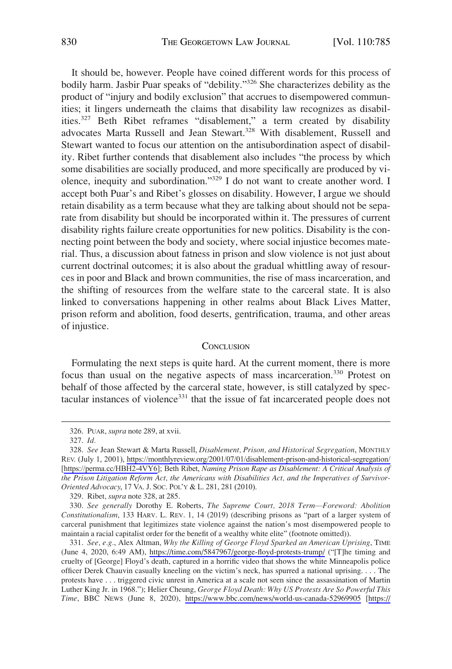<span id="page-45-0"></span>It should be, however. People have coined different words for this process of bodily harm. Jasbir Puar speaks of "debility."326 She characterizes debility as the product of "injury and bodily exclusion" that accrues to disempowered communities; it lingers underneath the claims that disability law recognizes as disabilities.327 Beth Ribet reframes "disablement," a term created by disability advocates Marta Russell and Jean Stewart.<sup>328</sup> With disablement, Russell and Stewart wanted to focus our attention on the antisubordination aspect of disability. Ribet further contends that disablement also includes "the process by which some disabilities are socially produced, and more specifically are produced by violence, inequity and subordination."329 I do not want to create another word. I accept both Puar's and Ribet's glosses on disability. However, I argue we should retain disability as a term because what they are talking about should not be separate from disability but should be incorporated within it. The pressures of current disability rights failure create opportunities for new politics. Disability is the connecting point between the body and society, where social injustice becomes material. Thus, a discussion about fatness in prison and slow violence is not just about current doctrinal outcomes; it is also about the gradual whittling away of resources in poor and Black and brown communities, the rise of mass incarceration, and the shifting of resources from the welfare state to the carceral state. It is also linked to conversations happening in other realms about Black Lives Matter, prison reform and abolition, food deserts, gentrification, trauma, and other areas of injustice.

# **CONCLUSION**

Formulating the next steps is quite hard. At the current moment, there is more focus than usual on the negative aspects of mass incarceration.<sup>330</sup> Protest on behalf of those affected by the carceral state, however, is still catalyzed by spectacular instances of violence<sup>331</sup> that the issue of fat incarcerated people does not

<sup>326.</sup> PUAR, *supra* note 289, at xvii.

<sup>327.</sup> *Id.* 

*See* Jean Stewart & Marta Russell, *Disablement, Prison, and Historical Segregation*, MONTHLY 328. REV. (July 1, 2001), <https://monthlyreview.org/2001/07/01/disablement-prison-and-historical-segregation/> [[https://perma.cc/HBH2-4VY6](https://perma.cc/)]; Beth Ribet, *Naming Prison Rape as Disablement: A Critical Analysis of the Prison Litigation Reform Act, the Americans with Disabilities Act, and the Imperatives of Survivor-Oriented Advocacy*, 17 VA. J. SOC. POL'Y & L. 281, 281 (2010).

<sup>329.</sup> Ribet, *supra* note 328, at 285.

<sup>330.</sup> *See generally* Dorothy E. Roberts, *The Supreme Court, 2018 Term*—*Foreword: Abolition Constitutionalism*, 133 HARV. L. REV. 1, 14 (2019) (describing prisons as "part of a larger system of carceral punishment that legitimizes state violence against the nation's most disempowered people to maintain a racial capitalist order for the benefit of a wealthy white elite" (footnote omitted)).

*See, e.g.*, Alex Altman, *Why the Killing of George Floyd Sparked an American Uprising*, TIME 331. (June 4, 2020, 6:49 AM), <https://time.com/5847967/george-floyd-protests-trump/>("[T]he timing and cruelty of [George] Floyd's death, captured in a horrific video that shows the white Minneapolis police officer Derek Chauvin casually kneeling on the victim's neck, has spurred a national uprising. . . . The protests have . . . triggered civic unrest in America at a scale not seen since the assassination of Martin Luther King Jr. in 1968."); Helier Cheung, *George Floyd Death: Why US Protests Are So Powerful This Time*, BBC NEWS (June 8, 2020), <https://www.bbc.com/news/world-us-canada-52969905> [\[https://](https://perma.cc/9JQX-35TY)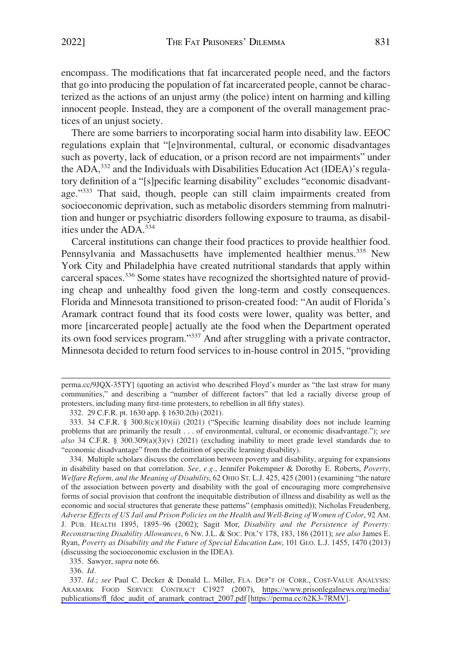encompass. The modifications that fat incarcerated people need, and the factors that go into producing the population of fat incarcerated people, cannot be characterized as the actions of an unjust army (the police) intent on harming and killing innocent people. Instead, they are a component of the overall management practices of an unjust society.

There are some barriers to incorporating social harm into disability law. EEOC regulations explain that "[e]nvironmental, cultural, or economic disadvantages such as poverty, lack of education, or a prison record are not impairments" under the ADA,332 and the Individuals with Disabilities Education Act (IDEA)'s regulatory definition of a "[s]pecific learning disability" excludes "economic disadvantage."<sup>333</sup> That said, though, people can still claim impairments created from socioeconomic deprivation, such as metabolic disorders stemming from malnutrition and hunger or psychiatric disorders following exposure to trauma, as disabilities under the ADA.<sup>334</sup>

Carceral institutions can change their food practices to provide healthier food. Pennsylvania and Massachusetts have implemented healthier menus.<sup>335</sup> New York City and Philadelphia have created nutritional standards that apply within carceral spaces.336 Some states have recognized the shortsighted nature of providing cheap and unhealthy food given the long-term and costly consequences. Florida and Minnesota transitioned to prison-created food: "An audit of Florida's Aramark contract found that its food costs were lower, quality was better, and more [incarcerated people] actually ate the food when the Department operated its own food services program."<sup>337</sup> And after struggling with a private contractor, Minnesota decided to return food services to in-house control in 2015, "providing

334. Multiple scholars discuss the correlation between poverty and disability, arguing for expansions in disability based on that correlation. *See, e.g.*, Jennifer Pokempner & Dorothy E. Roberts, *Poverty, Welfare Reform, and the Meaning of Disability*, 62 OHIO ST. L.J. 425, 425 (2001) (examining "the nature of the association between poverty and disability with the goal of encouraging more comprehensive forms of social provision that confront the inequitable distribution of illness and disability as well as the economic and social structures that generate these patterns" (emphasis omitted)); Nicholas Freudenberg, *Adverse Effects of US Jail and Prison Policies on the Health and Well-Being of Women of Color*, 92 AM. J. PUB. HEALTH 1895, 1895–96 (2002); Sagit Mor, *Disability and the Persistence of Poverty: Reconstructing Disability Allowances*, 6 NW. J.L. & SOC. POL'Y 178, 183, 186 (2011); *see also* James E. Ryan, *Poverty as Disability and the Future of Special Education Law*, 101 GEO. L.J. 1455, 1470 (2013) (discussing the socioeconomic exclusion in the IDEA).

335. Sawyer, *supra* note 66.

336. *Id.* 

337. Id.; see Paul C. Decker & Donald L. Miller, FLA. DEP'T OF CORR., COST-VALUE ANALYSIS: ARAMARK FOOD SERVICE CONTRACT C1927 (2007), [https://www.prisonlegalnews.org/media/](https://www.prisonlegalnews.org/media/publications/fl_fdoc_audit_of_aramark_contract_2007.pdf)  [publications/fl\\_fdoc\\_audit\\_of\\_aramark\\_contract\\_2007.pdf](https://www.prisonlegalnews.org/media/publications/fl_fdoc_audit_of_aramark_contract_2007.pdf) [[https://perma.cc/62K3-7RMV\]](https://perma.cc/62K3-7RMV).

perma.cc/9JQX-35TY] (quoting an activist who described Floyd's murder as "the last straw for many communities," and describing a "number of different factors" that led a racially diverse group of protesters, including many first-time protesters, to rebellion in all fifty states).

<sup>332. 29</sup> C.F.R. pt. 1630 app. § 1630.2(h) (2021).

<sup>333. 34</sup> C.F.R. § 300.8(c)(10)(ii) (2021) ("Specific learning disability does not include learning problems that are primarily the result . . . of environmental, cultural, or economic disadvantage."); *see also* 34 C.F.R. § 300.309(a)(3)(v) (2021) (excluding inability to meet grade level standards due to "economic disadvantage" from the definition of specific learning disability).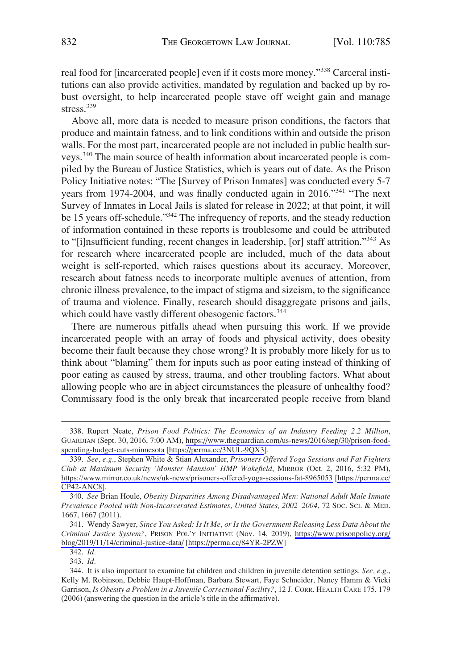real food for [incarcerated people] even if it costs more money."<sup>338</sup> Carceral institutions can also provide activities, mandated by regulation and backed up by robust oversight, to help incarcerated people stave off weight gain and manage stress.<sup>339</sup>

Above all, more data is needed to measure prison conditions, the factors that produce and maintain fatness, and to link conditions within and outside the prison walls. For the most part, incarcerated people are not included in public health surveys.340 The main source of health information about incarcerated people is compiled by the Bureau of Justice Statistics, which is years out of date. As the Prison Policy Initiative notes: "The [Survey of Prison Inmates] was conducted every 5-7 years from 1974-2004, and was finally conducted again in 2016."<sup>341</sup> "The next Survey of Inmates in Local Jails is slated for release in 2022; at that point, it will be 15 years off-schedule."<sup>342</sup> The infrequency of reports, and the steady reduction of information contained in these reports is troublesome and could be attributed to "[i]nsufficient funding, recent changes in leadership, [or] staff attrition."343 As for research where incarcerated people are included, much of the data about weight is self-reported, which raises questions about its accuracy. Moreover, research about fatness needs to incorporate multiple avenues of attention, from chronic illness prevalence, to the impact of stigma and sizeism, to the significance of trauma and violence. Finally, research should disaggregate prisons and jails, which could have vastly different obesogenic factors.<sup>344</sup>

There are numerous pitfalls ahead when pursuing this work. If we provide incarcerated people with an array of foods and physical activity, does obesity become their fault because they chose wrong? It is probably more likely for us to think about "blaming" them for inputs such as poor eating instead of thinking of poor eating as caused by stress, trauma, and other troubling factors. What about allowing people who are in abject circumstances the pleasure of unhealthy food? Commissary food is the only break that incarcerated people receive from bland

<sup>338.</sup> Rupert Neate, Prison Food Politics: The Economics of an Industry Feeding 2.2 Million, GUARDIAN (Sept. 30, 2016, 7:00 AM), [https://www.theguardian.com/us-news/2016/sep/30/prison-food](https://www.theguardian.com/us-news/2016/sep/30/prison-food-spending-budget-cuts-minnesota)[spending-budget-cuts-minnesota](https://www.theguardian.com/us-news/2016/sep/30/prison-food-spending-budget-cuts-minnesota) [<https://perma.cc/3NUL-9QX3>].

*See, e.g.*, Stephen White & Stian Alexander, *Prisoners Offered Yoga Sessions and Fat Fighters*  339. *Club at Maximum Security 'Monster Mansion' HMP Wakefield*, MIRROR (Oct. 2, 2016, 5:32 PM), <https://www.mirror.co.uk/news/uk-news/prisoners-offered-yoga-sessions-fat-8965053>[\[https://perma.cc/](https://perma.cc/CP42-ANC8) [CP42-ANC8\]](https://perma.cc/CP42-ANC8).

<sup>340.</sup> *See* Brian Houle, *Obesity Disparities Among Disadvantaged Men: National Adult Male Inmate Prevalence Pooled with Non-Incarcerated Estimates, United States, 2002*–*2004*, 72 SOC. SCI. & MED. 1667, 1667 (2011).

<sup>341.</sup> Wendy Sawyer, Since You Asked: Is It Me, or Is the Government Releasing Less Data About the *Criminal Justice System?*, PRISON POL'Y INITIATIVE (Nov. 14, 2019), [https://www.prisonpolicy.org/](https://www.prisonpolicy.org/blog/2019/11/14/criminal-justice-data/)  [blog/2019/11/14/criminal-justice-data/](https://www.prisonpolicy.org/blog/2019/11/14/criminal-justice-data/) [[https://perma.cc/84YR-2PZW\]](https://perma.cc/84YR-2PZW)

<sup>342.</sup> *Id.* 

<sup>343.</sup> *Id.* 

<sup>344.</sup> It is also important to examine fat children and children in juvenile detention settings. *See, e.g.*, Kelly M. Robinson, Debbie Haupt-Hoffman, Barbara Stewart, Faye Schneider, Nancy Hamm & Vicki Garrison, *Is Obesity a Problem in a Juvenile Correctional Facility?*, 12 J. CORR. HEALTH CARE 175, 179 (2006) (answering the question in the article's title in the affirmative).